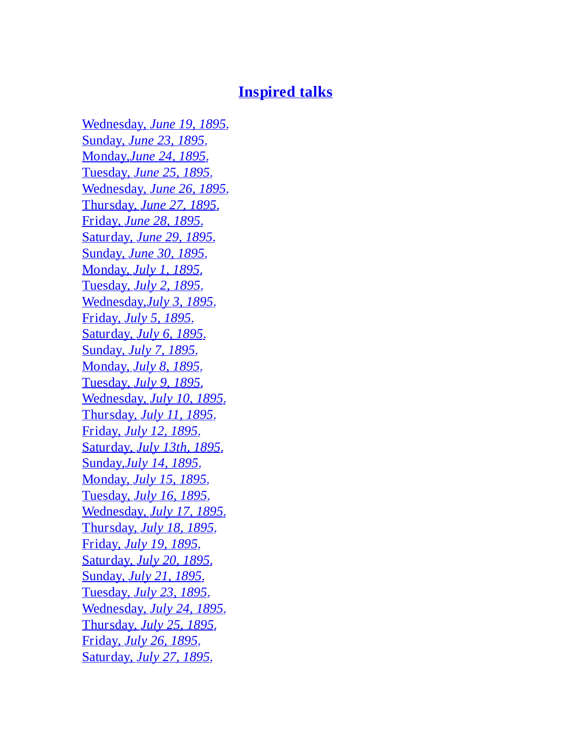# **Inspired talks**

<span id="page-0-19"></span><span id="page-0-18"></span><span id="page-0-17"></span><span id="page-0-16"></span><span id="page-0-15"></span><span id="page-0-14"></span><span id="page-0-13"></span><span id="page-0-12"></span><span id="page-0-11"></span><span id="page-0-10"></span><span id="page-0-9"></span><span id="page-0-8"></span><span id="page-0-7"></span><span id="page-0-6"></span><span id="page-0-5"></span><span id="page-0-4"></span><span id="page-0-3"></span><span id="page-0-2"></span><span id="page-0-1"></span><span id="page-0-0"></span>[Wednesday,](#page-2-0) *June 19, 1895*. [Sunday,](#page-4-0) *June 23, 1895*. [Monday,](#page-5-0)*June 24, 1895*. [Tuesday,](#page-8-0) *June 25, 1895*. [Wednesday,](#page-10-0) *June 26, 1895*. [Thursday,](#page-12-0) *June 27, 1895*. [Friday,](#page-13-0) *June 28, 1895*. [Saturday,](#page-14-0) *June 29, 1895*. [Sunday,](#page-15-0) *June 30, 1895*. [Monday,](#page-17-0) *July 1, 1895*. [Tuesday,](#page-19-0) *July 2, 1895*. [Wednesday,](#page-20-0)*July 3, 1895*. [Friday,](#page-23-0) *July 5, 1895*. [Saturday,](#page-24-0) *July 6, 1895*. [Sunday,](#page-26-0) *July 7, 1895*. [Monday,](#page-28-0) *July 8, 1895*. [Tuesday,](#page-29-0) *July 9, 1895*. [Wednesday,](#page-30-0) *July 10, 1895*. [Thursday,](#page-32-0) *July 11, 1895*. [Friday,](#page-34-0) *July 12, 1895*. [Saturday,](#page-36-0) *July 13th, 1895*. [Sunday,](#page-37-0)*July 14, 1895*. [Monday,](#page-39-0) *July 15, 1895*. [Tuesday,](#page-39-1) *July 16, 1895*. [Wednesday,](#page-41-0) *July 17, 1895*. [Thursday,](#page-42-0) *July 18, 1895*. [Friday,](#page-43-0) *July 19, 1895*. [Saturday,](#page-45-0) *July 20, 1895*. [Sunday,](#page-46-0) *July 21, 1895*. [Tuesday,](#page-48-0) *July 23, 1895*. [Wednesday,](#page-50-0) *July 24, 1895*. [Thursday,](#page-51-0) *July 25, 1895*. [Friday,](#page-53-0) *July 26, 1895*. [Saturday,](#page-53-1) *July 27, 1895*.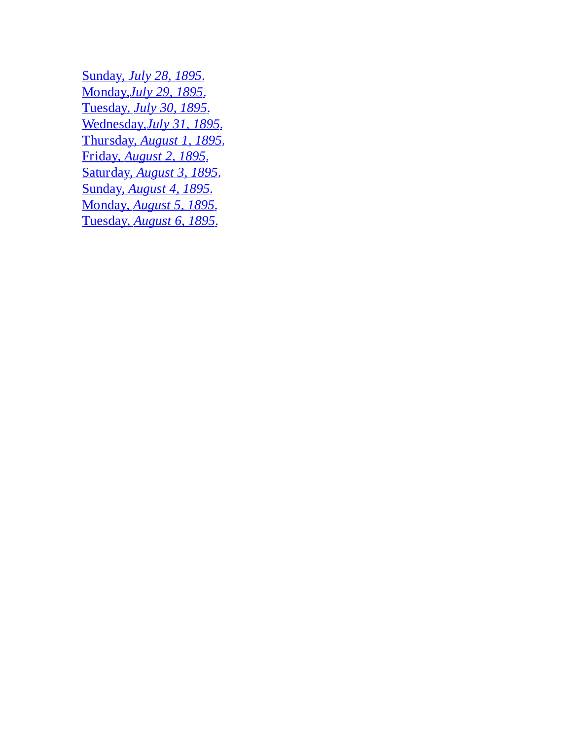[Sunday,](#page-55-0) *July 28, 1895*. [Monday,](#page-56-0)*July 29, 1895*. [Tuesday,](#page-59-0) *July 30, 1895*. [Wednesday,](#page-61-0)*July 31, 1895*. [Thursday,](#page-64-0) *August 1, 1895*. [Friday,](#page-66-0) *August 2, 1895*. [Saturday,](#page-68-0) *August 3, 1895*. [Sunday,](#page-70-0) *August 4, 1895*. [Monday,](#page-73-0) *August 5, 1895*. [Tuesday,](#page-76-0) *August 6, 1895*.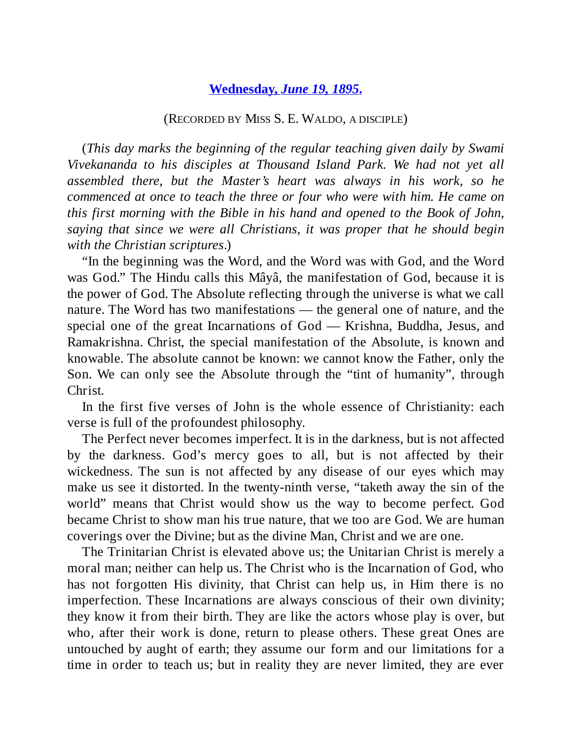## **[Wednesday,](#page-0-0)** *June 19, 1895***.**

#### (RECORDED BY MISS S. E. WALDO, A DISCIPLE)

<span id="page-2-0"></span>(*This day marks the beginning of the regular teaching given daily by Swami Vivekananda to his disciples at Thousand Island Park. We had not yet all assembled there, but the Master's heart was always in his work, so he commenced at once to teach the three or four who were with him. He came on this first morning with the Bible in his hand and opened to the Book of John, saying that since we were all Christians, it was proper that he should begin with the Christian scriptures*.)

"In the beginning was the Word, and the Word was with God, and the Word was God." The Hindu calls this Mâyâ, the manifestation of God, because it is the power of God. The Absolute reflecting through the universe is what we call nature. The Word has two manifestations — the general one of nature, and the special one of the great Incarnations of God — Krishna, Buddha, Jesus, and Ramakrishna. Christ, the special manifestation of the Absolute, is known and knowable. The absolute cannot be known: we cannot know the Father, only the Son. We can only see the Absolute through the "tint of humanity", through Christ.

In the first five verses of John is the whole essence of Christianity: each verse is full of the profoundest philosophy.

The Perfect never becomes imperfect. It is in the darkness, but is not affected by the darkness. God's mercy goes to all, but is not affected by their wickedness. The sun is not affected by any disease of our eyes which may make us see it distorted. In the twenty-ninth verse, "taketh away the sin of the world" means that Christ would show us the way to become perfect. God became Christ to show man his true nature, that we too are God. We are human coverings over the Divine; but as the divine Man, Christ and we are one.

The Trinitarian Christ is elevated above us; the Unitarian Christ is merely a moral man; neither can help us. The Christ who is the Incarnation of God, who has not forgotten His divinity, that Christ can help us, in Him there is no imperfection. These Incarnations are always conscious of their own divinity; they know it from their birth. They are like the actors whose play is over, but who, after their work is done, return to please others. These great Ones are untouched by aught of earth; they assume our form and our limitations for a time in order to teach us; but in reality they are never limited, they are ever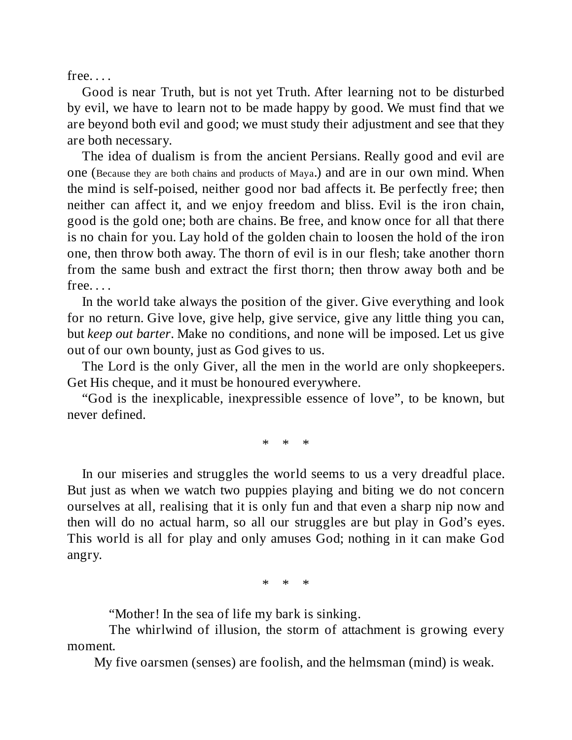free. . . .

Good is near Truth, but is not yet Truth. After learning not to be disturbed by evil, we have to learn not to be made happy by good. We must find that we are beyond both evil and good; we must study their adjustment and see that they are both necessary.

The idea of dualism is from the ancient Persians. Really good and evil are one (Because they are both chains and products of Maya.) and are in our own mind. When the mind is self-poised, neither good nor bad affects it. Be perfectly free; then neither can affect it, and we enjoy freedom and bliss. Evil is the iron chain, good is the gold one; both are chains. Be free, and know once for all that there is no chain for you. Lay hold of the golden chain to loosen the hold of the iron one, then throw both away. The thorn of evil is in our flesh; take another thorn from the same bush and extract the first thorn; then throw away both and be  $free...$ 

In the world take always the position of the giver. Give everything and look for no return. Give love, give help, give service, give any little thing you can, but *keep out barter*. Make no conditions, and none will be imposed. Let us give out of our own bounty, just as God gives to us.

The Lord is the only Giver, all the men in the world are only shopkeepers. Get His cheque, and it must be honoured everywhere.

"God is the inexplicable, inexpressible essence of love", to be known, but never defined.

\* \* \*

In our miseries and struggles the world seems to us a very dreadful place. But just as when we watch two puppies playing and biting we do not concern ourselves at all, realising that it is only fun and that even a sharp nip now and then will do no actual harm, so all our struggles are but play in God's eyes. This world is all for play and only amuses God; nothing in it can make God angry.

\* \* \*

"Mother! In the sea of life my bark is sinking.

The whirlwind of illusion, the storm of attachment is growing every moment.

My five oarsmen (senses) are foolish, and the helmsman (mind) is weak.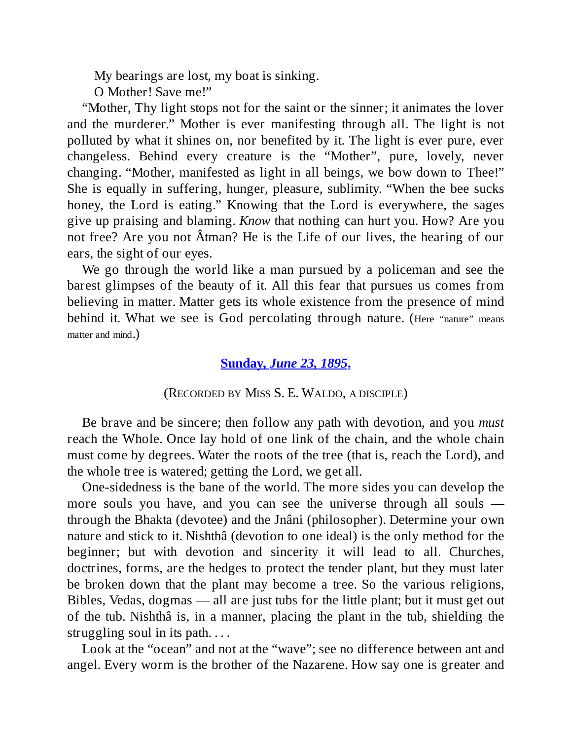My bearings are lost, my boat is sinking.

O Mother! Save me!"

"Mother, Thy light stops not for the saint or the sinner; it animates the lover and the murderer." Mother is ever manifesting through all. The light is not polluted by what it shines on, nor benefited by it. The light is ever pure, ever changeless. Behind every creature is the "Mother", pure, lovely, never changing. "Mother, manifested as light in all beings, we bow down to Thee!" She is equally in suffering, hunger, pleasure, sublimity. "When the bee sucks honey, the Lord is eating." Knowing that the Lord is everywhere, the sages give up praising and blaming. *Know* that nothing can hurt you. How? Are you not free? Are you not Âtman? He is the Life of our lives, the hearing of our ears, the sight of our eyes.

We go through the world like a man pursued by a policeman and see the barest glimpses of the beauty of it. All this fear that pursues us comes from believing in matter. Matter gets its whole existence from the presence of mind behind it. What we see is God percolating through nature. (Here "nature" means matter and mind.)

## **[Sunday,](#page-0-1)** *June 23, 1895***.**

## (RECORDED BY MISS S. E. WALDO, A DISCIPLE)

<span id="page-4-0"></span>Be brave and be sincere; then follow any path with devotion, and you *must* reach the Whole. Once lay hold of one link of the chain, and the whole chain must come by degrees. Water the roots of the tree (that is, reach the Lord), and the whole tree is watered; getting the Lord, we get all.

One-sidedness is the bane of the world. The more sides you can develop the more souls you have, and you can see the universe through all souls through the Bhakta (devotee) and the Jnâni (philosopher). Determine your own nature and stick to it. Nishthâ (devotion to one ideal) is the only method for the beginner; but with devotion and sincerity it will lead to all. Churches, doctrines, forms, are the hedges to protect the tender plant, but they must later be broken down that the plant may become a tree. So the various religions, Bibles, Vedas, dogmas — all are just tubs for the little plant; but it must get out of the tub. Nishthâ is, in a manner, placing the plant in the tub, shielding the struggling soul in its path. . . .

Look at the "ocean" and not at the "wave"; see no difference between ant and angel. Every worm is the brother of the Nazarene. How say one is greater and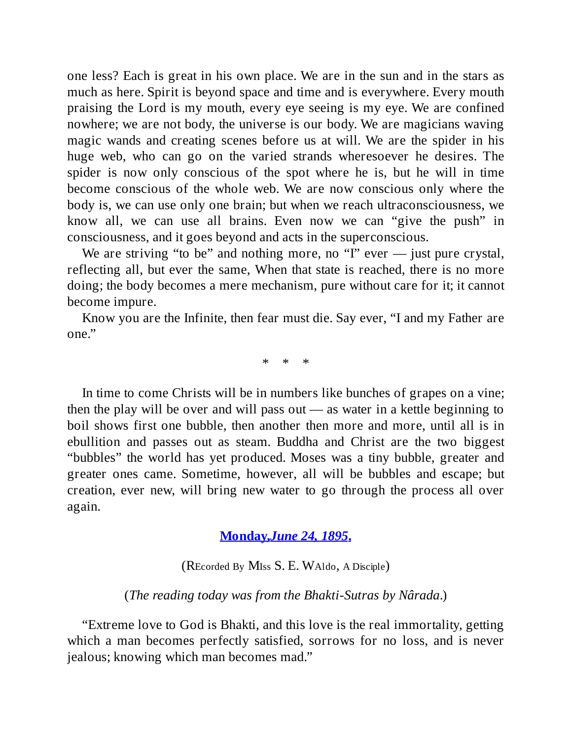one less? Each is great in his own place. We are in the sun and in the stars as much as here. Spirit is beyond space and time and is everywhere. Every mouth praising the Lord is my mouth, every eye seeing is my eye. We are confined nowhere; we are not body, the universe is our body. We are magicians waving magic wands and creating scenes before us at will. We are the spider in his huge web, who can go on the varied strands wheresoever he desires. The spider is now only conscious of the spot where he is, but he will in time become conscious of the whole web. We are now conscious only where the body is, we can use only one brain; but when we reach ultraconsciousness, we know all, we can use all brains. Even now we can "give the push" in consciousness, and it goes beyond and acts in the superconscious.

We are striving "to be" and nothing more, no "I" ever — just pure crystal, reflecting all, but ever the same, When that state is reached, there is no more doing; the body becomes a mere mechanism, pure without care for it; it cannot become impure.

Know you are the Infinite, then fear must die. Say ever, "I and my Father are one."

\* \* \*

In time to come Christs will be in numbers like bunches of grapes on a vine; then the play will be over and will pass out — as water in a kettle beginning to boil shows first one bubble, then another then more and more, until all is in ebullition and passes out as steam. Buddha and Christ are the two biggest "bubbles" the world has yet produced. Moses was a tiny bubble, greater and greater ones came. Sometime, however, all will be bubbles and escape; but creation, ever new, will bring new water to go through the process all over again.

## **[Monday,](#page-0-2)***June 24, 1895***.**

## (REcorded By MIss S. E. WAldo, A Disciple)

## <span id="page-5-0"></span>(*The reading today was from the Bhakti-Sutras by Nârada*.)

"Extreme love to God is Bhakti, and this love is the real immortality, getting which a man becomes perfectly satisfied, sorrows for no loss, and is never jealous; knowing which man becomes mad."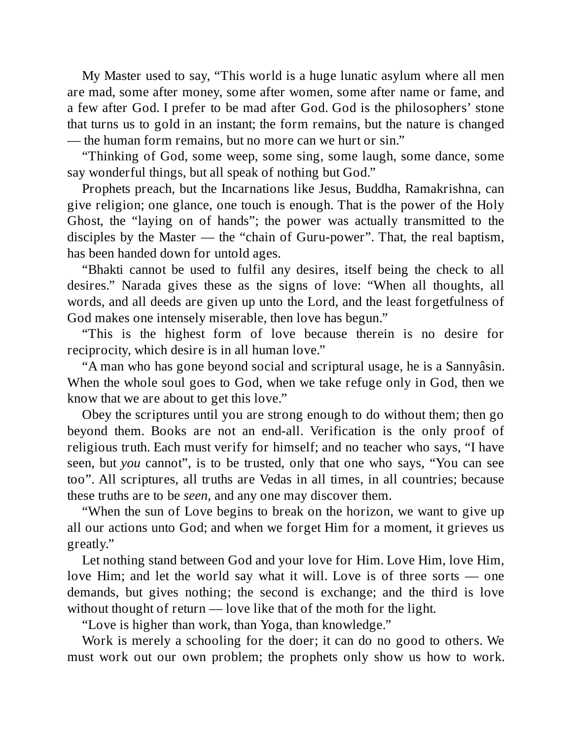My Master used to say, "This world is a huge lunatic asylum where all men are mad, some after money, some after women, some after name or fame, and a few after God. I prefer to be mad after God. God is the philosophers' stone that turns us to gold in an instant; the form remains, but the nature is changed — the human form remains, but no more can we hurt or sin."

"Thinking of God, some weep, some sing, some laugh, some dance, some say wonderful things, but all speak of nothing but God."

Prophets preach, but the Incarnations like Jesus, Buddha, Ramakrishna, can give religion; one glance, one touch is enough. That is the power of the Holy Ghost, the "laying on of hands"; the power was actually transmitted to the disciples by the Master — the "chain of Guru-power". That, the real baptism, has been handed down for untold ages.

"Bhakti cannot be used to fulfil any desires, itself being the check to all desires." Narada gives these as the signs of love: "When all thoughts, all words, and all deeds are given up unto the Lord, and the least forgetfulness of God makes one intensely miserable, then love has begun."

"This is the highest form of love because therein is no desire for reciprocity, which desire is in all human love."

"A man who has gone beyond social and scriptural usage, he is a Sannyâsin. When the whole soul goes to God, when we take refuge only in God, then we know that we are about to get this love."

Obey the scriptures until you are strong enough to do without them; then go beyond them. Books are not an end-all. Verification is the only proof of religious truth. Each must verify for himself; and no teacher who says, "I have seen, but *you* cannot", is to be trusted, only that one who says, "You can see too". All scriptures, all truths are Vedas in all times, in all countries; because these truths are to be *seen*, and any one may discover them.

"When the sun of Love begins to break on the horizon, we want to give up all our actions unto God; and when we forget Him for a moment, it grieves us greatly."

Let nothing stand between God and your love for Him. Love Him, love Him, love Him; and let the world say what it will. Love is of three sorts — one demands, but gives nothing; the second is exchange; and the third is love without thought of return — love like that of the moth for the light.

"Love is higher than work, than Yoga, than knowledge."

Work is merely a schooling for the doer; it can do no good to others. We must work out our own problem; the prophets only show us how to work.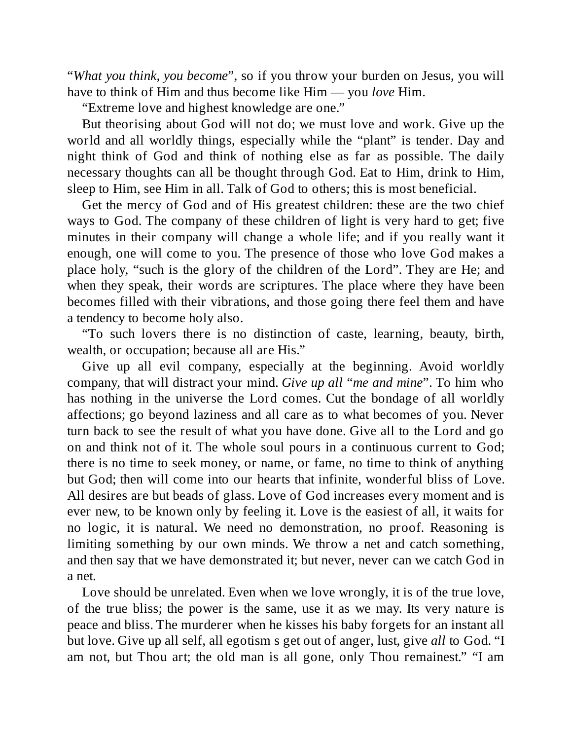"*What you think, you become*", so if you throw your burden on Jesus, you will have to think of Him and thus become like Him — you *love* Him.

"Extreme love and highest knowledge are one."

But theorising about God will not do; we must love and work. Give up the world and all worldly things, especially while the "plant" is tender. Day and night think of God and think of nothing else as far as possible. The daily necessary thoughts can all be thought through God. Eat to Him, drink to Him, sleep to Him, see Him in all. Talk of God to others; this is most beneficial.

Get the mercy of God and of His greatest children: these are the two chief ways to God. The company of these children of light is very hard to get; five minutes in their company will change a whole life; and if you really want it enough, one will come to you. The presence of those who love God makes a place holy, "such is the glory of the children of the Lord". They are He; and when they speak, their words are scriptures. The place where they have been becomes filled with their vibrations, and those going there feel them and have a tendency to become holy also.

"To such lovers there is no distinction of caste, learning, beauty, birth, wealth, or occupation; because all are His."

Give up all evil company, especially at the beginning. Avoid worldly company, that will distract your mind. *Give up all* "*me and mine*". To him who has nothing in the universe the Lord comes. Cut the bondage of all worldly affections; go beyond laziness and all care as to what becomes of you. Never turn back to see the result of what you have done. Give all to the Lord and go on and think not of it. The whole soul pours in a continuous current to God; there is no time to seek money, or name, or fame, no time to think of anything but God; then will come into our hearts that infinite, wonderful bliss of Love. All desires are but beads of glass. Love of God increases every moment and is ever new, to be known only by feeling it. Love is the easiest of all, it waits for no logic, it is natural. We need no demonstration, no proof. Reasoning is limiting something by our own minds. We throw a net and catch something, and then say that we have demonstrated it; but never, never can we catch God in a net.

Love should be unrelated. Even when we love wrongly, it is of the true love, of the true bliss; the power is the same, use it as we may. Its very nature is peace and bliss. The murderer when he kisses his baby forgets for an instant all but love. Give up all self, all egotism s get out of anger, lust, give *all* to God. "I am not, but Thou art; the old man is all gone, only Thou remainest." "I am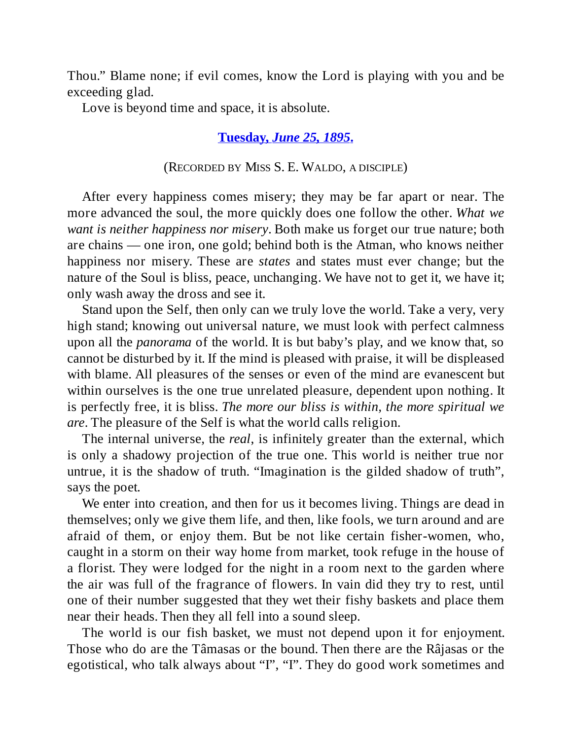Thou." Blame none; if evil comes, know the Lord is playing with you and be exceeding glad.

<span id="page-8-0"></span>Love is beyond time and space, it is absolute.

## **[Tuesday,](#page-0-3)** *June 25, 1895***.**

## (RECORDED BY MISS S. E. WALDO, A DISCIPLE)

After every happiness comes misery; they may be far apart or near. The more advanced the soul, the more quickly does one follow the other. *What we want is neither happiness nor misery*. Both make us forget our true nature; both are chains — one iron, one gold; behind both is the Atman, who knows neither happiness nor misery. These are *states* and states must ever change; but the nature of the Soul is bliss, peace, unchanging. We have not to get it, we have it; only wash away the dross and see it.

Stand upon the Self, then only can we truly love the world. Take a very, very high stand; knowing out universal nature, we must look with perfect calmness upon all the *panorama* of the world. It is but baby's play, and we know that, so cannot be disturbed by it. If the mind is pleased with praise, it will be displeased with blame. All pleasures of the senses or even of the mind are evanescent but within ourselves is the one true unrelated pleasure, dependent upon nothing. It is perfectly free, it is bliss. *The more our bliss is within, the more spiritual we are*. The pleasure of the Self is what the world calls religion.

The internal universe, the *real*, is infinitely greater than the external, which is only a shadowy projection of the true one. This world is neither true nor untrue, it is the shadow of truth. "Imagination is the gilded shadow of truth", says the poet.

We enter into creation, and then for us it becomes living. Things are dead in themselves; only we give them life, and then, like fools, we turn around and are afraid of them, or enjoy them. But be not like certain fisher-women, who, caught in a storm on their way home from market, took refuge in the house of a florist. They were lodged for the night in a room next to the garden where the air was full of the fragrance of flowers. In vain did they try to rest, until one of their number suggested that they wet their fishy baskets and place them near their heads. Then they all fell into a sound sleep.

The world is our fish basket, we must not depend upon it for enjoyment. Those who do are the Tâmasas or the bound. Then there are the Râjasas or the egotistical, who talk always about "I", "I". They do good work sometimes and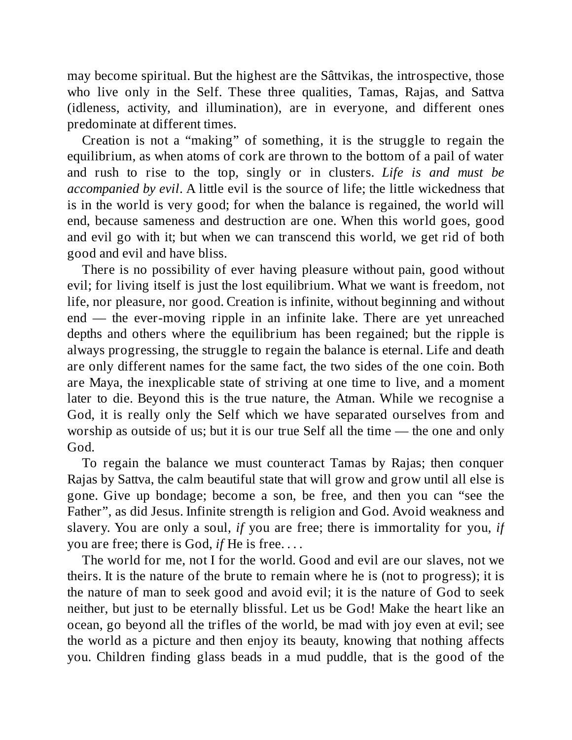may become spiritual. But the highest are the Sâttvikas, the introspective, those who live only in the Self. These three qualities, Tamas, Rajas, and Sattva (idleness, activity, and illumination), are in everyone, and different ones predominate at different times.

Creation is not a "making" of something, it is the struggle to regain the equilibrium, as when atoms of cork are thrown to the bottom of a pail of water and rush to rise to the top, singly or in clusters. *Life is and must be accompanied by evil*. A little evil is the source of life; the little wickedness that is in the world is very good; for when the balance is regained, the world will end, because sameness and destruction are one. When this world goes, good and evil go with it; but when we can transcend this world, we get rid of both good and evil and have bliss.

There is no possibility of ever having pleasure without pain, good without evil; for living itself is just the lost equilibrium. What we want is freedom, not life, nor pleasure, nor good. Creation is infinite, without beginning and without end — the ever-moving ripple in an infinite lake. There are yet unreached depths and others where the equilibrium has been regained; but the ripple is always progressing, the struggle to regain the balance is eternal. Life and death are only different names for the same fact, the two sides of the one coin. Both are Maya, the inexplicable state of striving at one time to live, and a moment later to die. Beyond this is the true nature, the Atman. While we recognise a God, it is really only the Self which we have separated ourselves from and worship as outside of us; but it is our true Self all the time — the one and only God.

To regain the balance we must counteract Tamas by Rajas; then conquer Rajas by Sattva, the calm beautiful state that will grow and grow until all else is gone. Give up bondage; become a son, be free, and then you can "see the Father", as did Jesus. Infinite strength is religion and God. Avoid weakness and slavery. You are only a soul, *if* you are free; there is immortality for you, *if* you are free; there is God, *if* He is free. . . .

The world for me, not I for the world. Good and evil are our slaves, not we theirs. It is the nature of the brute to remain where he is (not to progress); it is the nature of man to seek good and avoid evil; it is the nature of God to seek neither, but just to be eternally blissful. Let us be God! Make the heart like an ocean, go beyond all the trifles of the world, be mad with joy even at evil; see the world as a picture and then enjoy its beauty, knowing that nothing affects you. Children finding glass beads in a mud puddle, that is the good of the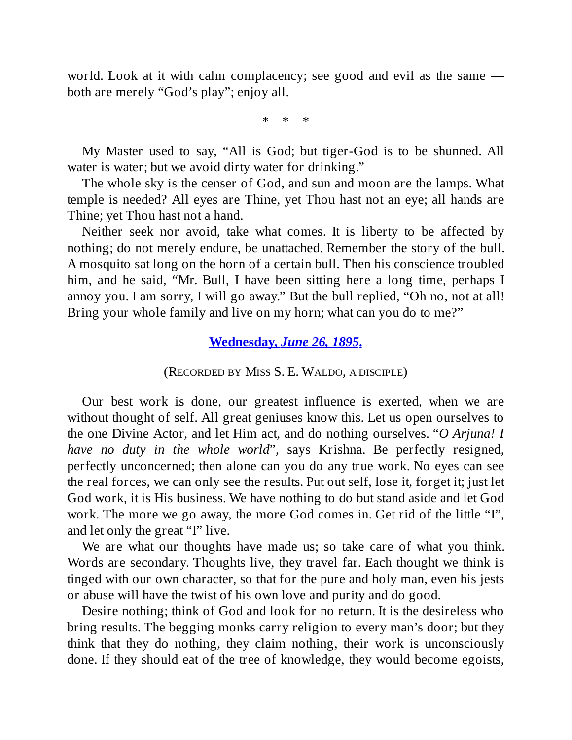world. Look at it with calm complacency; see good and evil as the same both are merely "God's play"; enjoy all.

\* \* \*

My Master used to say, "All is God; but tiger-God is to be shunned. All water is water; but we avoid dirty water for drinking."

The whole sky is the censer of God, and sun and moon are the lamps. What temple is needed? All eyes are Thine, yet Thou hast not an eye; all hands are Thine; yet Thou hast not a hand.

Neither seek nor avoid, take what comes. It is liberty to be affected by nothing; do not merely endure, be unattached. Remember the story of the bull. A mosquito sat long on the horn of a certain bull. Then his conscience troubled him, and he said, "Mr. Bull, I have been sitting here a long time, perhaps I annoy you. I am sorry, I will go away." But the bull replied, "Oh no, not at all! Bring your whole family and live on my horn; what can you do to me?"

## **[Wednesday,](#page-0-4)** *June 26, 1895***.**

## (RECORDED BY MISS S. E. WALDO, A DISCIPLE)

<span id="page-10-0"></span>Our best work is done, our greatest influence is exerted, when we are without thought of self. All great geniuses know this. Let us open ourselves to the one Divine Actor, and let Him act, and do nothing ourselves. "*O Arjuna! I have no duty in the whole world*", says Krishna. Be perfectly resigned, perfectly unconcerned; then alone can you do any true work. No eyes can see the real forces, we can only see the results. Put out self, lose it, forget it; just let God work, it is His business. We have nothing to do but stand aside and let God work. The more we go away, the more God comes in. Get rid of the little "I", and let only the great "I" live.

We are what our thoughts have made us; so take care of what you think. Words are secondary. Thoughts live, they travel far. Each thought we think is tinged with our own character, so that for the pure and holy man, even his jests or abuse will have the twist of his own love and purity and do good.

Desire nothing; think of God and look for no return. It is the desireless who bring results. The begging monks carry religion to every man's door; but they think that they do nothing, they claim nothing, their work is unconsciously done. If they should eat of the tree of knowledge, they would become egoists,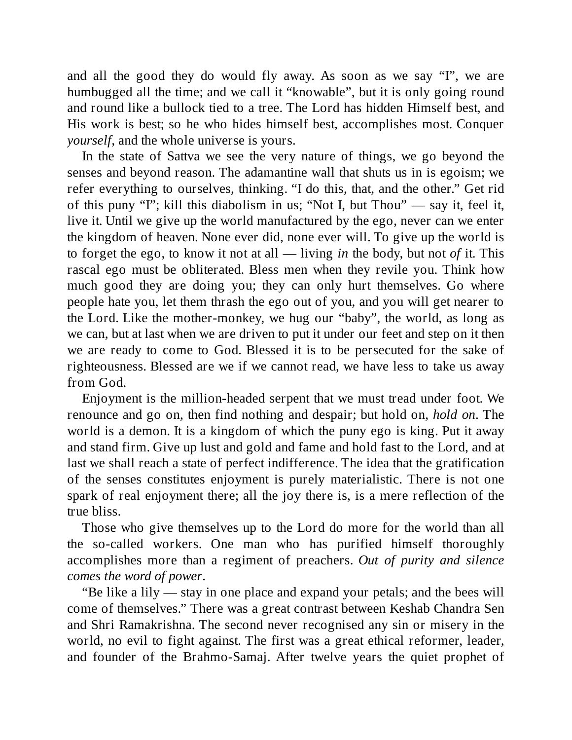and all the good they do would fly away. As soon as we say "I", we are humbugged all the time; and we call it "knowable", but it is only going round and round like a bullock tied to a tree. The Lord has hidden Himself best, and His work is best; so he who hides himself best, accomplishes most. Conquer *yourself*, and the whole universe is yours.

In the state of Sattva we see the very nature of things, we go beyond the senses and beyond reason. The adamantine wall that shuts us in is egoism; we refer everything to ourselves, thinking. "I do this, that, and the other." Get rid of this puny "I"; kill this diabolism in us; "Not I, but Thou" — say it, feel it, live it. Until we give up the world manufactured by the ego, never can we enter the kingdom of heaven. None ever did, none ever will. To give up the world is to forget the ego, to know it not at all — living *in* the body, but not *of* it. This rascal ego must be obliterated. Bless men when they revile you. Think how much good they are doing you; they can only hurt themselves. Go where people hate you, let them thrash the ego out of you, and you will get nearer to the Lord. Like the mother-monkey, we hug our "baby", the world, as long as we can, but at last when we are driven to put it under our feet and step on it then we are ready to come to God. Blessed it is to be persecuted for the sake of righteousness. Blessed are we if we cannot read, we have less to take us away from God.

Enjoyment is the million-headed serpent that we must tread under foot. We renounce and go on, then find nothing and despair; but hold on, *hold on*. The world is a demon. It is a kingdom of which the puny ego is king. Put it away and stand firm. Give up lust and gold and fame and hold fast to the Lord, and at last we shall reach a state of perfect indifference. The idea that the gratification of the senses constitutes enjoyment is purely materialistic. There is not one spark of real enjoyment there; all the joy there is, is a mere reflection of the true bliss.

Those who give themselves up to the Lord do more for the world than all the so-called workers. One man who has purified himself thoroughly accomplishes more than a regiment of preachers. *Out of purity and silence comes the word of power*.

"Be like a lily — stay in one place and expand your petals; and the bees will come of themselves." There was a great contrast between Keshab Chandra Sen and Shri Ramakrishna. The second never recognised any sin or misery in the world, no evil to fight against. The first was a great ethical reformer, leader, and founder of the Brahmo-Samaj. After twelve years the quiet prophet of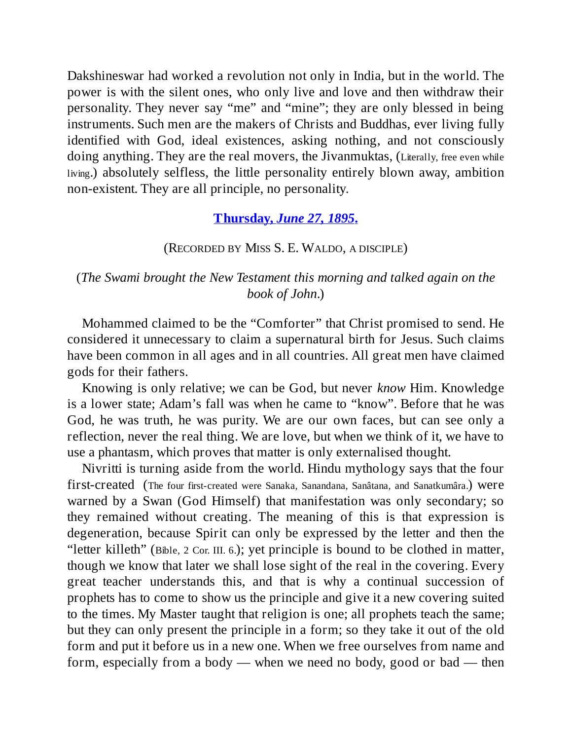Dakshineswar had worked a revolution not only in India, but in the world. The power is with the silent ones, who only live and love and then withdraw their personality. They never say "me" and "mine"; they are only blessed in being instruments. Such men are the makers of Christs and Buddhas, ever living fully identified with God, ideal existences, asking nothing, and not consciously doing anything. They are the real movers, the Jivanmuktas, (Literally, free even while living.) absolutely selfless, the little personality entirely blown away, ambition non-existent. They are all principle, no personality.

## **[Thursday,](#page-0-5)** *June 27, 1895***.**

#### (RECORDED BY MISS S. E. WALDO, A DISCIPLE)

## <span id="page-12-0"></span>(*The Swami brought the New Testament this morning and talked again on the book of John*.)

Mohammed claimed to be the "Comforter" that Christ promised to send. He considered it unnecessary to claim a supernatural birth for Jesus. Such claims have been common in all ages and in all countries. All great men have claimed gods for their fathers.

Knowing is only relative; we can be God, but never *know* Him. Knowledge is a lower state; Adam's fall was when he came to "know". Before that he was God, he was truth, he was purity. We are our own faces, but can see only a reflection, never the real thing. We are love, but when we think of it, we have to use a phantasm, which proves that matter is only externalised thought.

Nivritti is turning aside from the world. Hindu mythology says that the four first-created (The four first-created were Sanaka, Sanandana, Sanâtana, and Sanatkumâra.) were warned by a Swan (God Himself) that manifestation was only secondary; so they remained without creating. The meaning of this is that expression is degeneration, because Spirit can only be expressed by the letter and then the "letter killeth" (Bible, 2 Cor. III. 6.); yet principle is bound to be clothed in matter, though we know that later we shall lose sight of the real in the covering. Every great teacher understands this, and that is why a continual succession of prophets has to come to show us the principle and give it a new covering suited to the times. My Master taught that religion is one; all prophets teach the same; but they can only present the principle in a form; so they take it out of the old form and put it before us in a new one. When we free ourselves from name and form, especially from a body — when we need no body, good or bad — then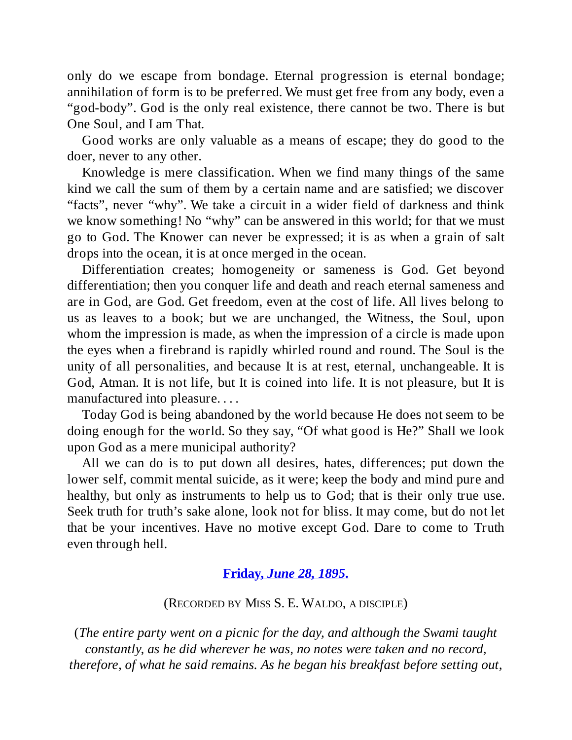only do we escape from bondage. Eternal progression is eternal bondage; annihilation of form is to be preferred. We must get free from any body, even a "god-body". God is the only real existence, there cannot be two. There is but One Soul, and I am That.

Good works are only valuable as a means of escape; they do good to the doer, never to any other.

Knowledge is mere classification. When we find many things of the same kind we call the sum of them by a certain name and are satisfied; we discover "facts", never "why". We take a circuit in a wider field of darkness and think we know something! No "why" can be answered in this world; for that we must go to God. The Knower can never be expressed; it is as when a grain of salt drops into the ocean, it is at once merged in the ocean.

Differentiation creates; homogeneity or sameness is God. Get beyond differentiation; then you conquer life and death and reach eternal sameness and are in God, are God. Get freedom, even at the cost of life. All lives belong to us as leaves to a book; but we are unchanged, the Witness, the Soul, upon whom the impression is made, as when the impression of a circle is made upon the eyes when a firebrand is rapidly whirled round and round. The Soul is the unity of all personalities, and because It is at rest, eternal, unchangeable. It is God, Atman. It is not life, but It is coined into life. It is not pleasure, but It is manufactured into pleasure. . . .

Today God is being abandoned by the world because He does not seem to be doing enough for the world. So they say, "Of what good is He?" Shall we look upon God as a mere municipal authority?

All we can do is to put down all desires, hates, differences; put down the lower self, commit mental suicide, as it were; keep the body and mind pure and healthy, but only as instruments to help us to God; that is their only true use. Seek truth for truth's sake alone, look not for bliss. It may come, but do not let that be your incentives. Have no motive except God. Dare to come to Truth even through hell.

## **[Friday,](#page-0-6)** *June 28, 1895***.**

## (RECORDED BY MISS S. E. WALDO, A DISCIPLE)

<span id="page-13-0"></span>(*The entire party went on a picnic for the day, and although the Swami taught constantly, as he did wherever he was, no notes were taken and no record, therefore, of what he said remains. As he began his breakfast before setting out,*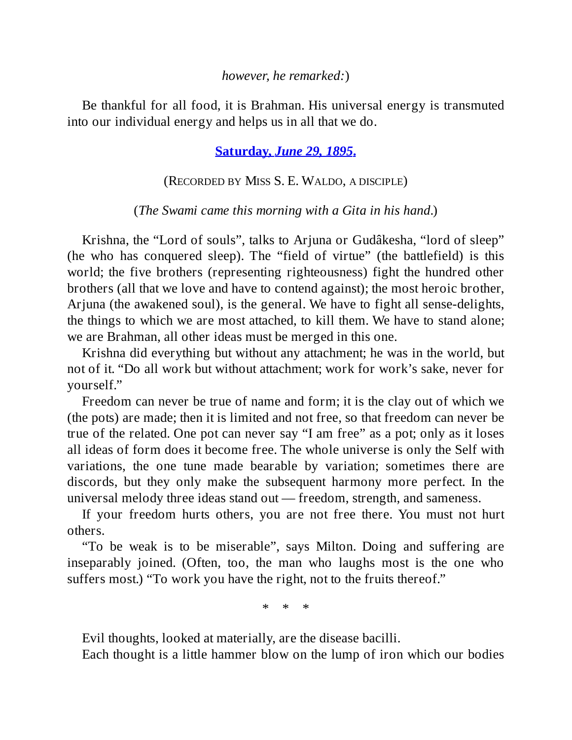### *however, he remarked:*)

<span id="page-14-0"></span>Be thankful for all food, it is Brahman. His universal energy is transmuted into our individual energy and helps us in all that we do.

**[Saturday,](#page-0-7)** *June 29, 1895***.**

## (RECORDED BY MISS S. E. WALDO, A DISCIPLE)

## (*The Swami came this morning with a Gita in his hand*.)

Krishna, the "Lord of souls", talks to Arjuna or Gudâkesha, "lord of sleep" (he who has conquered sleep). The "field of virtue" (the battlefield) is this world; the five brothers (representing righteousness) fight the hundred other brothers (all that we love and have to contend against); the most heroic brother, Arjuna (the awakened soul), is the general. We have to fight all sense-delights, the things to which we are most attached, to kill them. We have to stand alone; we are Brahman, all other ideas must be merged in this one.

Krishna did everything but without any attachment; he was in the world, but not of it. "Do all work but without attachment; work for work's sake, never for yourself."

Freedom can never be true of name and form; it is the clay out of which we (the pots) are made; then it is limited and not free, so that freedom can never be true of the related. One pot can never say "I am free" as a pot; only as it loses all ideas of form does it become free. The whole universe is only the Self with variations, the one tune made bearable by variation; sometimes there are discords, but they only make the subsequent harmony more perfect. In the universal melody three ideas stand out — freedom, strength, and sameness.

If your freedom hurts others, you are not free there. You must not hurt others.

"To be weak is to be miserable", says Milton. Doing and suffering are inseparably joined. (Often, too, the man who laughs most is the one who suffers most.) "To work you have the right, not to the fruits thereof."

\* \* \*

Evil thoughts, looked at materially, are the disease bacilli.

Each thought is a little hammer blow on the lump of iron which our bodies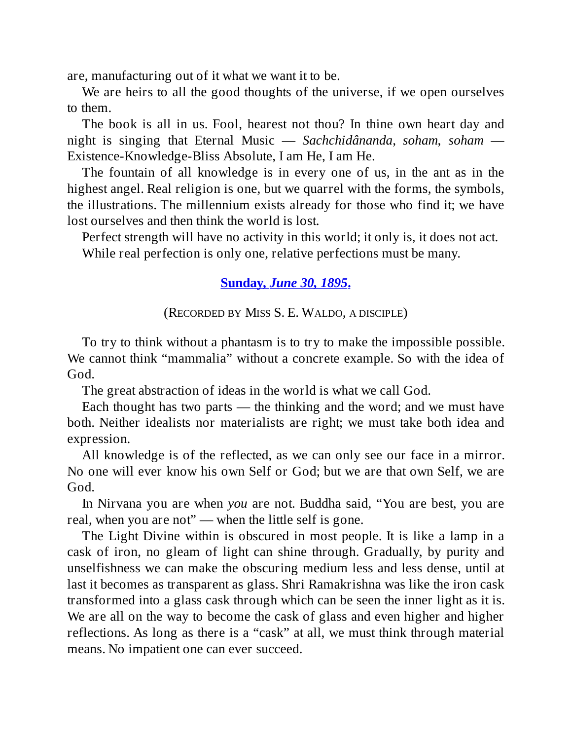are, manufacturing out of it what we want it to be.

We are heirs to all the good thoughts of the universe, if we open ourselves to them.

The book is all in us. Fool, hearest not thou? In thine own heart day and night is singing that Eternal Music — *Sachchidânanda*, *soham*, *soham* — Existence-Knowledge-Bliss Absolute, I am He, I am He.

The fountain of all knowledge is in every one of us, in the ant as in the highest angel. Real religion is one, but we quarrel with the forms, the symbols, the illustrations. The millennium exists already for those who find it; we have lost ourselves and then think the world is lost.

<span id="page-15-0"></span>Perfect strength will have no activity in this world; it only is, it does not act. While real perfection is only one, relative perfections must be many.

## **[Sunday,](#page-0-8)** *June 30, 1895***.**

(RECORDED BY MISS S. E. WALDO, A DISCIPLE)

To try to think without a phantasm is to try to make the impossible possible. We cannot think "mammalia" without a concrete example. So with the idea of God.

The great abstraction of ideas in the world is what we call God.

Each thought has two parts — the thinking and the word; and we must have both. Neither idealists nor materialists are right; we must take both idea and expression.

All knowledge is of the reflected, as we can only see our face in a mirror. No one will ever know his own Self or God; but we are that own Self, we are God.

In Nirvana you are when *you* are not. Buddha said, "You are best, you are real, when you are not" — when the little self is gone.

The Light Divine within is obscured in most people. It is like a lamp in a cask of iron, no gleam of light can shine through. Gradually, by purity and unselfishness we can make the obscuring medium less and less dense, until at last it becomes as transparent as glass. Shri Ramakrishna was like the iron cask transformed into a glass cask through which can be seen the inner light as it is. We are all on the way to become the cask of glass and even higher and higher reflections. As long as there is a "cask" at all, we must think through material means. No impatient one can ever succeed.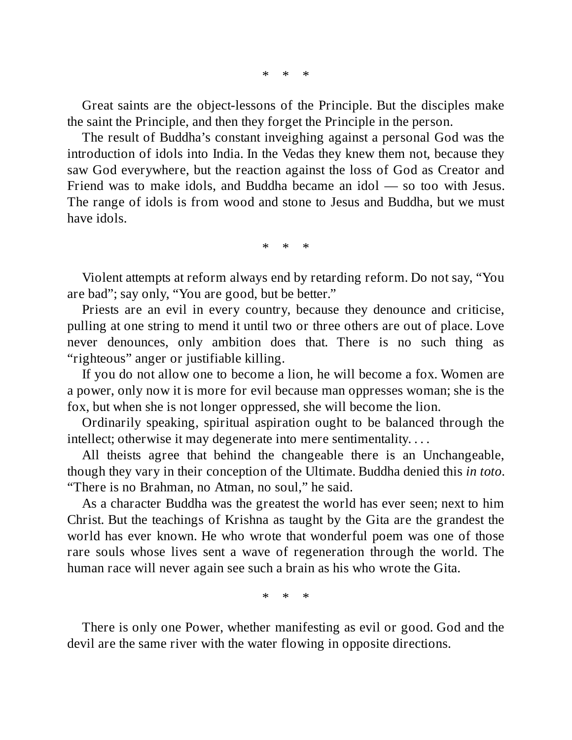\* \* \*

Great saints are the object-lessons of the Principle. But the disciples make the saint the Principle, and then they forget the Principle in the person.

The result of Buddha's constant inveighing against a personal God was the introduction of idols into India. In the Vedas they knew them not, because they saw God everywhere, but the reaction against the loss of God as Creator and Friend was to make idols, and Buddha became an idol — so too with Jesus. The range of idols is from wood and stone to Jesus and Buddha, but we must have idols.

\* \* \*

Violent attempts at reform always end by retarding reform. Do not say, "You are bad"; say only, "You are good, but be better."

Priests are an evil in every country, because they denounce and criticise, pulling at one string to mend it until two or three others are out of place. Love never denounces, only ambition does that. There is no such thing as "righteous" anger or justifiable killing.

If you do not allow one to become a lion, he will become a fox. Women are a power, only now it is more for evil because man oppresses woman; she is the fox, but when she is not longer oppressed, she will become the lion.

Ordinarily speaking, spiritual aspiration ought to be balanced through the intellect; otherwise it may degenerate into mere sentimentality....

All theists agree that behind the changeable there is an Unchangeable, though they vary in their conception of the Ultimate. Buddha denied this *in toto*. "There is no Brahman, no Atman, no soul," he said.

As a character Buddha was the greatest the world has ever seen; next to him Christ. But the teachings of Krishna as taught by the Gita are the grandest the world has ever known. He who wrote that wonderful poem was one of those rare souls whose lives sent a wave of regeneration through the world. The human race will never again see such a brain as his who wrote the Gita.

\* \* \*

There is only one Power, whether manifesting as evil or good. God and the devil are the same river with the water flowing in opposite directions.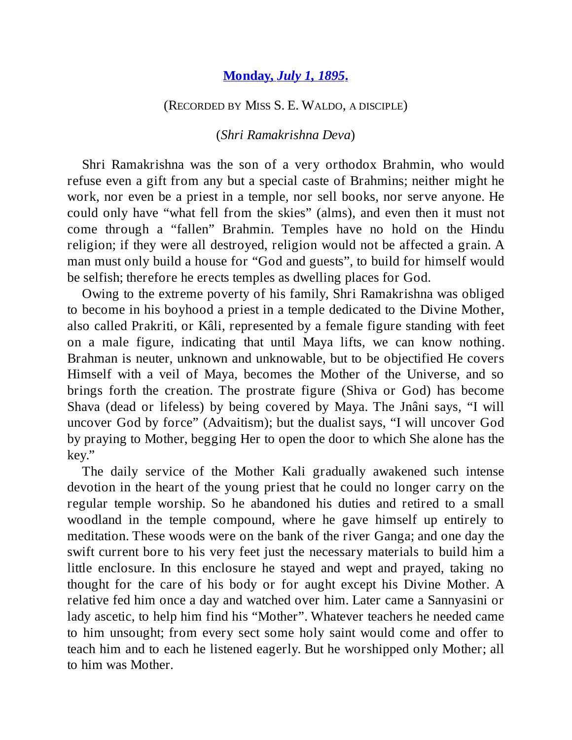## **[Monday,](#page-0-9)** *July 1, 1895***.**

### (RECORDED BY MISS S. E. WALDO, A DISCIPLE)

#### (*Shri Ramakrishna Deva*)

<span id="page-17-0"></span>Shri Ramakrishna was the son of a very orthodox Brahmin, who would refuse even a gift from any but a special caste of Brahmins; neither might he work, nor even be a priest in a temple, nor sell books, nor serve anyone. He could only have "what fell from the skies" (alms), and even then it must not come through a "fallen" Brahmin. Temples have no hold on the Hindu religion; if they were all destroyed, religion would not be affected a grain. A man must only build a house for "God and guests", to build for himself would be selfish; therefore he erects temples as dwelling places for God.

Owing to the extreme poverty of his family, Shri Ramakrishna was obliged to become in his boyhood a priest in a temple dedicated to the Divine Mother, also called Prakriti, or Kâli, represented by a female figure standing with feet on a male figure, indicating that until Maya lifts, we can know nothing. Brahman is neuter, unknown and unknowable, but to be objectified He covers Himself with a veil of Maya, becomes the Mother of the Universe, and so brings forth the creation. The prostrate figure (Shiva or God) has become Shava (dead or lifeless) by being covered by Maya. The Jnâni says, "I will uncover God by force" (Advaitism); but the dualist says, "I will uncover God by praying to Mother, begging Her to open the door to which She alone has the key."

The daily service of the Mother Kali gradually awakened such intense devotion in the heart of the young priest that he could no longer carry on the regular temple worship. So he abandoned his duties and retired to a small woodland in the temple compound, where he gave himself up entirely to meditation. These woods were on the bank of the river Ganga; and one day the swift current bore to his very feet just the necessary materials to build him a little enclosure. In this enclosure he stayed and wept and prayed, taking no thought for the care of his body or for aught except his Divine Mother. A relative fed him once a day and watched over him. Later came a Sannyasini or lady ascetic, to help him find his "Mother". Whatever teachers he needed came to him unsought; from every sect some holy saint would come and offer to teach him and to each he listened eagerly. But he worshipped only Mother; all to him was Mother.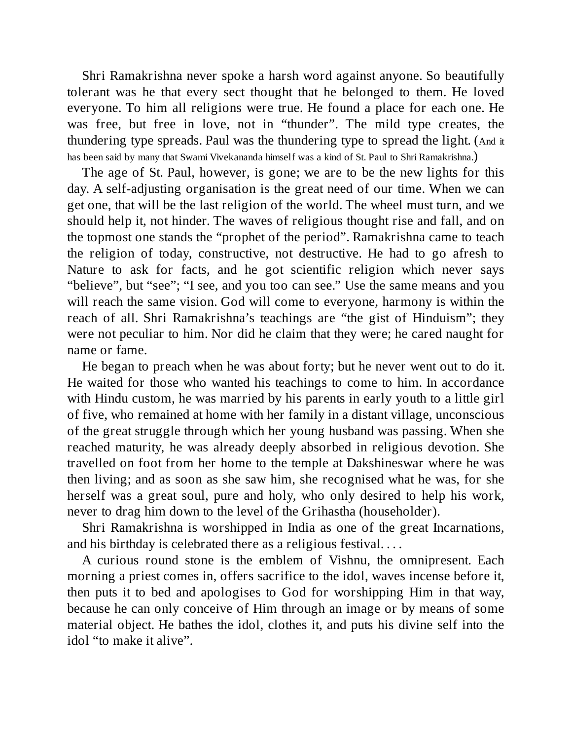Shri Ramakrishna never spoke a harsh word against anyone. So beautifully tolerant was he that every sect thought that he belonged to them. He loved everyone. To him all religions were true. He found a place for each one. He was free, but free in love, not in "thunder". The mild type creates, the thundering type spreads. Paul was the thundering type to spread the light. (And it has been said by many that Swami Vivekananda himself was a kind of St. Paul to Shri Ramakrishna.)

The age of St. Paul, however, is gone; we are to be the new lights for this day. A self-adjusting organisation is the great need of our time. When we can get one, that will be the last religion of the world. The wheel must turn, and we should help it, not hinder. The waves of religious thought rise and fall, and on the topmost one stands the "prophet of the period". Ramakrishna came to teach the religion of today, constructive, not destructive. He had to go afresh to Nature to ask for facts, and he got scientific religion which never says "believe", but "see"; "I see, and you too can see." Use the same means and you will reach the same vision. God will come to everyone, harmony is within the reach of all. Shri Ramakrishna's teachings are "the gist of Hinduism"; they were not peculiar to him. Nor did he claim that they were; he cared naught for name or fame.

He began to preach when he was about forty; but he never went out to do it. He waited for those who wanted his teachings to come to him. In accordance with Hindu custom, he was married by his parents in early youth to a little girl of five, who remained at home with her family in a distant village, unconscious of the great struggle through which her young husband was passing. When she reached maturity, he was already deeply absorbed in religious devotion. She travelled on foot from her home to the temple at Dakshineswar where he was then living; and as soon as she saw him, she recognised what he was, for she herself was a great soul, pure and holy, who only desired to help his work, never to drag him down to the level of the Grihastha (householder).

Shri Ramakrishna is worshipped in India as one of the great Incarnations, and his birthday is celebrated there as a religious festival. . . .

A curious round stone is the emblem of Vishnu, the omnipresent. Each morning a priest comes in, offers sacrifice to the idol, waves incense before it, then puts it to bed and apologises to God for worshipping Him in that way, because he can only conceive of Him through an image or by means of some material object. He bathes the idol, clothes it, and puts his divine self into the idol "to make it alive".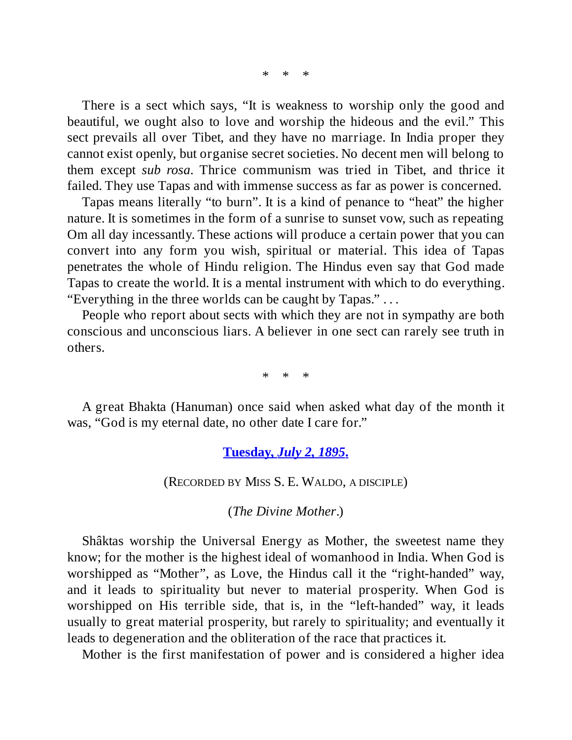\* \* \*

There is a sect which says, "It is weakness to worship only the good and beautiful, we ought also to love and worship the hideous and the evil." This sect prevails all over Tibet, and they have no marriage. In India proper they cannot exist openly, but organise secret societies. No decent men will belong to them except *sub rosa*. Thrice communism was tried in Tibet, and thrice it failed. They use Tapas and with immense success as far as power is concerned.

Tapas means literally "to burn". It is a kind of penance to "heat" the higher nature. It is sometimes in the form of a sunrise to sunset vow, such as repeating Om all day incessantly. These actions will produce a certain power that you can convert into any form you wish, spiritual or material. This idea of Tapas penetrates the whole of Hindu religion. The Hindus even say that God made Tapas to create the world. It is a mental instrument with which to do everything. "Everything in the three worlds can be caught by Tapas." . . .

People who report about sects with which they are not in sympathy are both conscious and unconscious liars. A believer in one sect can rarely see truth in others.

\* \* \*

<span id="page-19-0"></span>A great Bhakta (Hanuman) once said when asked what day of the month it was, "God is my eternal date, no other date I care for."

#### **[Tuesday,](#page-0-10)** *July 2, 1895***.**

(RECORDED BY MISS S. E. WALDO, A DISCIPLE)

(*The Divine Mother*.)

Shâktas worship the Universal Energy as Mother, the sweetest name they know; for the mother is the highest ideal of womanhood in India. When God is worshipped as "Mother", as Love, the Hindus call it the "right-handed" way, and it leads to spirituality but never to material prosperity. When God is worshipped on His terrible side, that is, in the "left-handed" way, it leads usually to great material prosperity, but rarely to spirituality; and eventually it leads to degeneration and the obliteration of the race that practices it.

Mother is the first manifestation of power and is considered a higher idea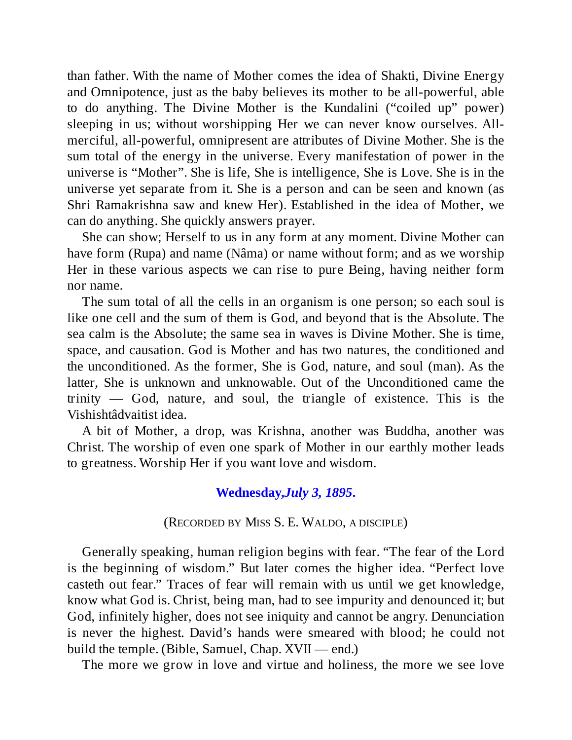than father. With the name of Mother comes the idea of Shakti, Divine Energy and Omnipotence, just as the baby believes its mother to be all-powerful, able to do anything. The Divine Mother is the Kundalini ("coiled up" power) sleeping in us; without worshipping Her we can never know ourselves. Allmerciful, all-powerful, omnipresent are attributes of Divine Mother. She is the sum total of the energy in the universe. Every manifestation of power in the universe is "Mother". She is life, She is intelligence, She is Love. She is in the universe yet separate from it. She is a person and can be seen and known (as Shri Ramakrishna saw and knew Her). Established in the idea of Mother, we can do anything. She quickly answers prayer.

She can show; Herself to us in any form at any moment. Divine Mother can have form (Rupa) and name (Nâma) or name without form; and as we worship Her in these various aspects we can rise to pure Being, having neither form nor name.

The sum total of all the cells in an organism is one person; so each soul is like one cell and the sum of them is God, and beyond that is the Absolute. The sea calm is the Absolute; the same sea in waves is Divine Mother. She is time, space, and causation. God is Mother and has two natures, the conditioned and the unconditioned. As the former, She is God, nature, and soul (man). As the latter, She is unknown and unknowable. Out of the Unconditioned came the trinity — God, nature, and soul, the triangle of existence. This is the Vishishtâdvaitist idea.

<span id="page-20-0"></span>A bit of Mother, a drop, was Krishna, another was Buddha, another was Christ. The worship of even one spark of Mother in our earthly mother leads to greatness. Worship Her if you want love and wisdom.

## **[Wednesday,](#page-0-11)***July 3, 1895***.**

### (RECORDED BY MISS S. E. WALDO, A DISCIPLE)

Generally speaking, human religion begins with fear. "The fear of the Lord is the beginning of wisdom." But later comes the higher idea. "Perfect love casteth out fear." Traces of fear will remain with us until we get knowledge, know what God is. Christ, being man, had to see impurity and denounced it; but God, infinitely higher, does not see iniquity and cannot be angry. Denunciation is never the highest. David's hands were smeared with blood; he could not build the temple. (Bible, Samuel, Chap. XVII — end.)

The more we grow in love and virtue and holiness, the more we see love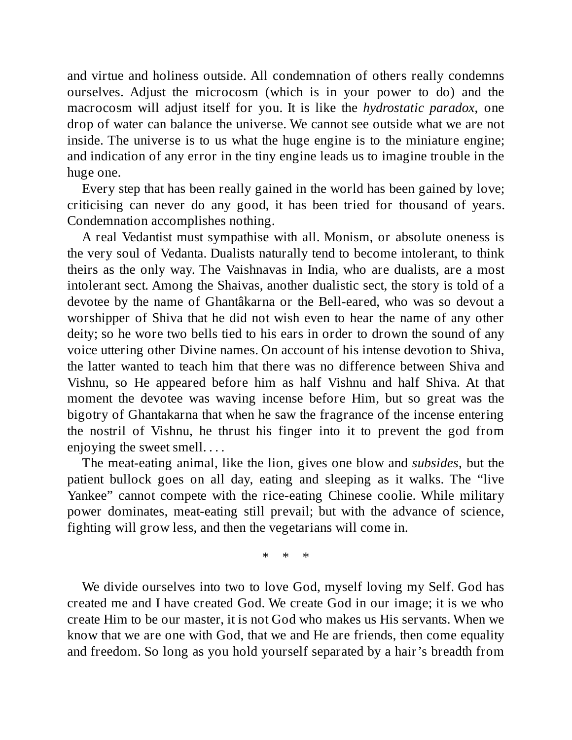and virtue and holiness outside. All condemnation of others really condemns ourselves. Adjust the microcosm (which is in your power to do) and the macrocosm will adjust itself for you. It is like the *hydrostatic paradox*, one drop of water can balance the universe. We cannot see outside what we are not inside. The universe is to us what the huge engine is to the miniature engine; and indication of any error in the tiny engine leads us to imagine trouble in the huge one.

Every step that has been really gained in the world has been gained by love; criticising can never do any good, it has been tried for thousand of years. Condemnation accomplishes nothing.

A real Vedantist must sympathise with all. Monism, or absolute oneness is the very soul of Vedanta. Dualists naturally tend to become intolerant, to think theirs as the only way. The Vaishnavas in India, who are dualists, are a most intolerant sect. Among the Shaivas, another dualistic sect, the story is told of a devotee by the name of Ghantâkarna or the Bell-eared, who was so devout a worshipper of Shiva that he did not wish even to hear the name of any other deity; so he wore two bells tied to his ears in order to drown the sound of any voice uttering other Divine names. On account of his intense devotion to Shiva, the latter wanted to teach him that there was no difference between Shiva and Vishnu, so He appeared before him as half Vishnu and half Shiva. At that moment the devotee was waving incense before Him, but so great was the bigotry of Ghantakarna that when he saw the fragrance of the incense entering the nostril of Vishnu, he thrust his finger into it to prevent the god from enjoying the sweet smell. . . .

The meat-eating animal, like the lion, gives one blow and *subsides*, but the patient bullock goes on all day, eating and sleeping as it walks. The "live Yankee" cannot compete with the rice-eating Chinese coolie. While military power dominates, meat-eating still prevail; but with the advance of science, fighting will grow less, and then the vegetarians will come in.

\* \* \*

We divide ourselves into two to love God, myself loving my Self. God has created me and I have created God. We create God in our image; it is we who create Him to be our master, it is not God who makes us His servants. When we know that we are one with God, that we and He are friends, then come equality and freedom. So long as you hold yourself separated by a hair's breadth from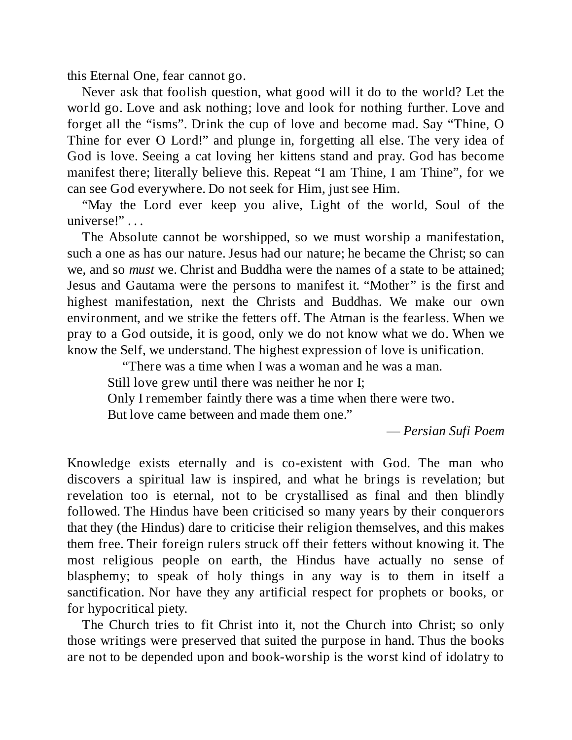this Eternal One, fear cannot go.

Never ask that foolish question, what good will it do to the world? Let the world go. Love and ask nothing; love and look for nothing further. Love and forget all the "isms". Drink the cup of love and become mad. Say "Thine, O Thine for ever O Lord!" and plunge in, forgetting all else. The very idea of God is love. Seeing a cat loving her kittens stand and pray. God has become manifest there; literally believe this. Repeat "I am Thine, I am Thine", for we can see God everywhere. Do not seek for Him, just see Him.

"May the Lord ever keep you alive, Light of the world, Soul of the universe!" . . .

The Absolute cannot be worshipped, so we must worship a manifestation, such a one as has our nature. Jesus had our nature; he became the Christ; so can we, and so *must* we. Christ and Buddha were the names of a state to be attained; Jesus and Gautama were the persons to manifest it. "Mother" is the first and highest manifestation, next the Christs and Buddhas. We make our own environment, and we strike the fetters off. The Atman is the fearless. When we pray to a God outside, it is good, only we do not know what we do. When we know the Self, we understand. The highest expression of love is unification.

"There was a time when I was a woman and he was a man.

Still love grew until there was neither he nor I;

Only I remember faintly there was a time when there were two.

But love came between and made them one."

— *Persian Sufi Poem*

Knowledge exists eternally and is co-existent with God. The man who discovers a spiritual law is inspired, and what he brings is revelation; but revelation too is eternal, not to be crystallised as final and then blindly followed. The Hindus have been criticised so many years by their conquerors that they (the Hindus) dare to criticise their religion themselves, and this makes them free. Their foreign rulers struck off their fetters without knowing it. The most religious people on earth, the Hindus have actually no sense of blasphemy; to speak of holy things in any way is to them in itself a sanctification. Nor have they any artificial respect for prophets or books, or for hypocritical piety.

The Church tries to fit Christ into it, not the Church into Christ; so only those writings were preserved that suited the purpose in hand. Thus the books are not to be depended upon and book-worship is the worst kind of idolatry to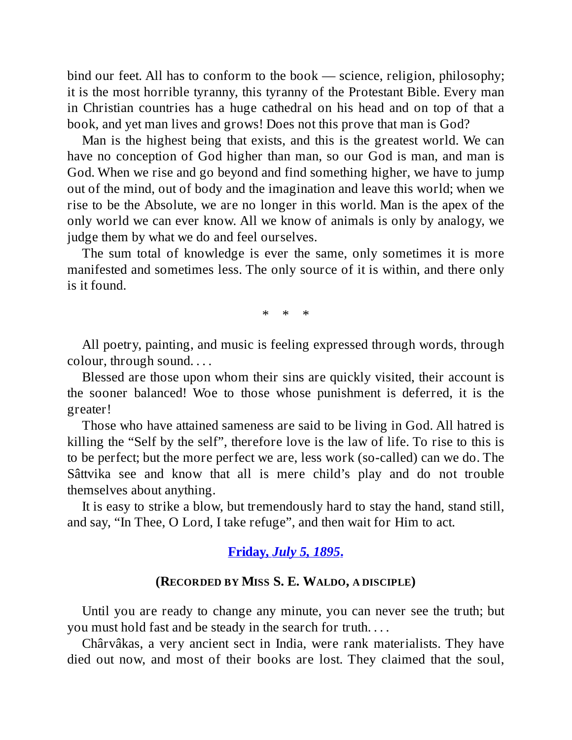bind our feet. All has to conform to the book — science, religion, philosophy; it is the most horrible tyranny, this tyranny of the Protestant Bible. Every man in Christian countries has a huge cathedral on his head and on top of that a book, and yet man lives and grows! Does not this prove that man is God?

Man is the highest being that exists, and this is the greatest world. We can have no conception of God higher than man, so our God is man, and man is God. When we rise and go beyond and find something higher, we have to jump out of the mind, out of body and the imagination and leave this world; when we rise to be the Absolute, we are no longer in this world. Man is the apex of the only world we can ever know. All we know of animals is only by analogy, we judge them by what we do and feel ourselves.

The sum total of knowledge is ever the same, only sometimes it is more manifested and sometimes less. The only source of it is within, and there only is it found.

\* \* \*

All poetry, painting, and music is feeling expressed through words, through colour, through sound. . . .

Blessed are those upon whom their sins are quickly visited, their account is the sooner balanced! Woe to those whose punishment is deferred, it is the greater!

Those who have attained sameness are said to be living in God. All hatred is killing the "Self by the self", therefore love is the law of life. To rise to this is to be perfect; but the more perfect we are, less work (so-called) can we do. The Sâttvika see and know that all is mere child's play and do not trouble themselves about anything.

<span id="page-23-0"></span>It is easy to strike a blow, but tremendously hard to stay the hand, stand still, and say, "In Thee, O Lord, I take refuge", and then wait for Him to act.

#### **[Friday,](#page-0-12)** *July 5, 1895***.**

## **(RECORDED BY MISS S. E. WALDO, A DISCIPLE)**

Until you are ready to change any minute, you can never see the truth; but you must hold fast and be steady in the search for truth. . . .

Chârvâkas, a very ancient sect in India, were rank materialists. They have died out now, and most of their books are lost. They claimed that the soul,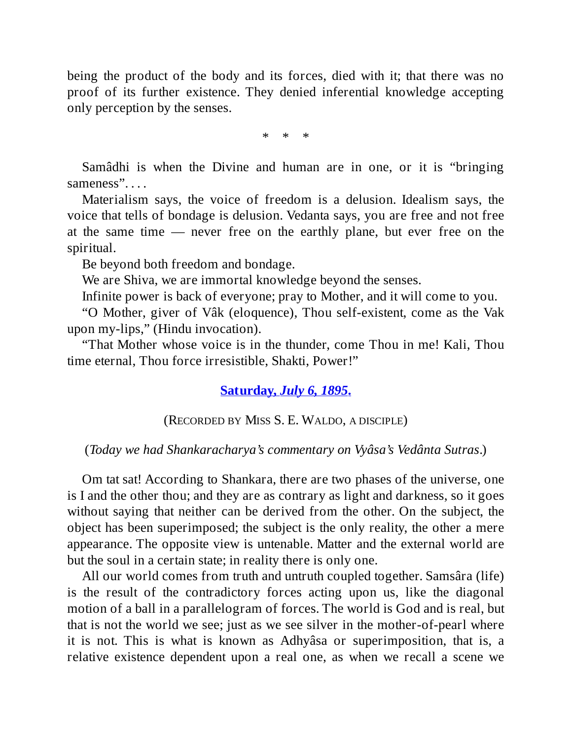being the product of the body and its forces, died with it; that there was no proof of its further existence. They denied inferential knowledge accepting only perception by the senses.

\* \* \*

Samâdhi is when the Divine and human are in one, or it is "bringing sameness". . . .

Materialism says, the voice of freedom is a delusion. Idealism says, the voice that tells of bondage is delusion. Vedanta says, you are free and not free at the same time — never free on the earthly plane, but ever free on the spiritual.

Be beyond both freedom and bondage.

We are Shiva, we are immortal knowledge beyond the senses.

Infinite power is back of everyone; pray to Mother, and it will come to you.

"O Mother, giver of Vâk (eloquence), Thou self-existent, come as the Vak upon my-lips," (Hindu invocation).

<span id="page-24-0"></span>"That Mother whose voice is in the thunder, come Thou in me! Kali, Thou time eternal, Thou force irresistible, Shakti, Power!"

## **[Saturday,](#page-0-13)** *July 6, 1895***.**

#### (RECORDED BY MISS S. E. WALDO, A DISCIPLE)

#### (*Today we had Shankaracharya's commentary on Vyâsa's Vedânta Sutras*.)

Om tat sat! According to Shankara, there are two phases of the universe, one is I and the other thou; and they are as contrary as light and darkness, so it goes without saying that neither can be derived from the other. On the subject, the object has been superimposed; the subject is the only reality, the other a mere appearance. The opposite view is untenable. Matter and the external world are but the soul in a certain state; in reality there is only one.

All our world comes from truth and untruth coupled together. Samsâra (life) is the result of the contradictory forces acting upon us, like the diagonal motion of a ball in a parallelogram of forces. The world is God and is real, but that is not the world we see; just as we see silver in the mother-of-pearl where it is not. This is what is known as Adhyâsa or superimposition, that is, a relative existence dependent upon a real one, as when we recall a scene we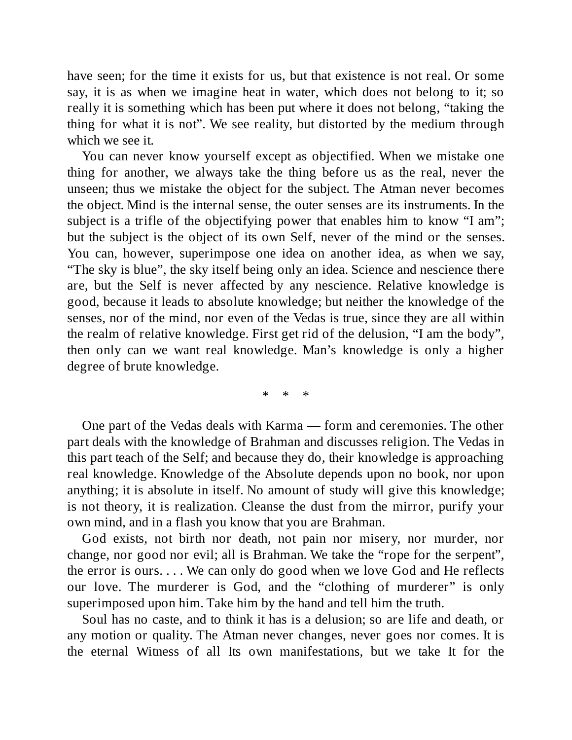have seen; for the time it exists for us, but that existence is not real. Or some say, it is as when we imagine heat in water, which does not belong to it; so really it is something which has been put where it does not belong, "taking the thing for what it is not". We see reality, but distorted by the medium through which we see it.

You can never know yourself except as objectified. When we mistake one thing for another, we always take the thing before us as the real, never the unseen; thus we mistake the object for the subject. The Atman never becomes the object. Mind is the internal sense, the outer senses are its instruments. In the subject is a trifle of the objectifying power that enables him to know "I am"; but the subject is the object of its own Self, never of the mind or the senses. You can, however, superimpose one idea on another idea, as when we say, "The sky is blue", the sky itself being only an idea. Science and nescience there are, but the Self is never affected by any nescience. Relative knowledge is good, because it leads to absolute knowledge; but neither the knowledge of the senses, nor of the mind, nor even of the Vedas is true, since they are all within the realm of relative knowledge. First get rid of the delusion, "I am the body", then only can we want real knowledge. Man's knowledge is only a higher degree of brute knowledge.

\* \* \*

One part of the Vedas deals with Karma — form and ceremonies. The other part deals with the knowledge of Brahman and discusses religion. The Vedas in this part teach of the Self; and because they do, their knowledge is approaching real knowledge. Knowledge of the Absolute depends upon no book, nor upon anything; it is absolute in itself. No amount of study will give this knowledge; is not theory, it is realization. Cleanse the dust from the mirror, purify your own mind, and in a flash you know that you are Brahman.

God exists, not birth nor death, not pain nor misery, nor murder, nor change, nor good nor evil; all is Brahman. We take the "rope for the serpent", the error is ours. . . . We can only do good when we love God and He reflects our love. The murderer is God, and the "clothing of murderer" is only superimposed upon him. Take him by the hand and tell him the truth.

Soul has no caste, and to think it has is a delusion; so are life and death, or any motion or quality. The Atman never changes, never goes nor comes. It is the eternal Witness of all Its own manifestations, but we take It for the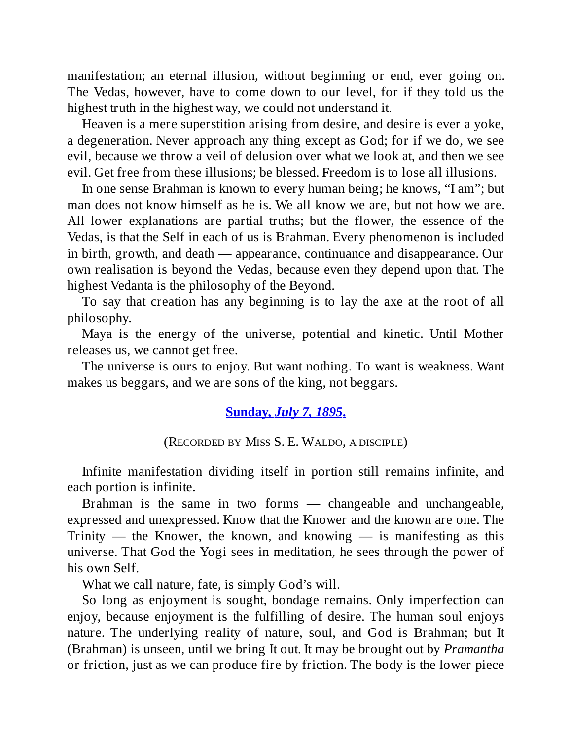manifestation; an eternal illusion, without beginning or end, ever going on. The Vedas, however, have to come down to our level, for if they told us the highest truth in the highest way, we could not understand it.

Heaven is a mere superstition arising from desire, and desire is ever a yoke, a degeneration. Never approach any thing except as God; for if we do, we see evil, because we throw a veil of delusion over what we look at, and then we see evil. Get free from these illusions; be blessed. Freedom is to lose all illusions.

In one sense Brahman is known to every human being; he knows, "I am"; but man does not know himself as he is. We all know we are, but not how we are. All lower explanations are partial truths; but the flower, the essence of the Vedas, is that the Self in each of us is Brahman. Every phenomenon is included in birth, growth, and death — appearance, continuance and disappearance. Our own realisation is beyond the Vedas, because even they depend upon that. The highest Vedanta is the philosophy of the Beyond.

To say that creation has any beginning is to lay the axe at the root of all philosophy.

Maya is the energy of the universe, potential and kinetic. Until Mother releases us, we cannot get free.

<span id="page-26-0"></span>The universe is ours to enjoy. But want nothing. To want is weakness. Want makes us beggars, and we are sons of the king, not beggars.

#### **[Sunday,](#page-0-14)** *July 7, 1895***.**

(RECORDED BY MISS S. E. WALDO, A DISCIPLE)

Infinite manifestation dividing itself in portion still remains infinite, and each portion is infinite.

Brahman is the same in two forms — changeable and unchangeable, expressed and unexpressed. Know that the Knower and the known are one. The Trinity — the Knower, the known, and knowing — is manifesting as this universe. That God the Yogi sees in meditation, he sees through the power of his own Self.

What we call nature, fate, is simply God's will.

So long as enjoyment is sought, bondage remains. Only imperfection can enjoy, because enjoyment is the fulfilling of desire. The human soul enjoys nature. The underlying reality of nature, soul, and God is Brahman; but It (Brahman) is unseen, until we bring It out. It may be brought out by *Pramantha* or friction, just as we can produce fire by friction. The body is the lower piece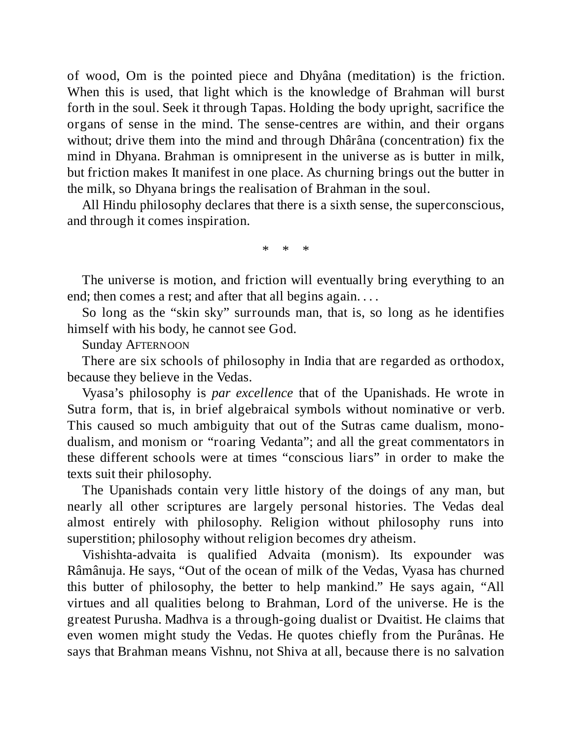of wood, Om is the pointed piece and Dhyâna (meditation) is the friction. When this is used, that light which is the knowledge of Brahman will burst forth in the soul. Seek it through Tapas. Holding the body upright, sacrifice the organs of sense in the mind. The sense-centres are within, and their organs without; drive them into the mind and through Dhârâna (concentration) fix the mind in Dhyana. Brahman is omnipresent in the universe as is butter in milk, but friction makes It manifest in one place. As churning brings out the butter in the milk, so Dhyana brings the realisation of Brahman in the soul.

All Hindu philosophy declares that there is a sixth sense, the superconscious, and through it comes inspiration.

 $\ast$ 

The universe is motion, and friction will eventually bring everything to an end; then comes a rest; and after that all begins again. . . .

So long as the "skin sky" surrounds man, that is, so long as he identifies himself with his body, he cannot see God.

Sunday AFTERNOON

There are six schools of philosophy in India that are regarded as orthodox, because they believe in the Vedas.

Vyasa's philosophy is *par excellence* that of the Upanishads. He wrote in Sutra form, that is, in brief algebraical symbols without nominative or verb. This caused so much ambiguity that out of the Sutras came dualism, monodualism, and monism or "roaring Vedanta"; and all the great commentators in these different schools were at times "conscious liars" in order to make the texts suit their philosophy.

The Upanishads contain very little history of the doings of any man, but nearly all other scriptures are largely personal histories. The Vedas deal almost entirely with philosophy. Religion without philosophy runs into superstition; philosophy without religion becomes dry atheism.

Vishishta-advaita is qualified Advaita (monism). Its expounder was Râmânuja. He says, "Out of the ocean of milk of the Vedas, Vyasa has churned this butter of philosophy, the better to help mankind." He says again, "All virtues and all qualities belong to Brahman, Lord of the universe. He is the greatest Purusha. Madhva is a through-going dualist or Dvaitist. He claims that even women might study the Vedas. He quotes chiefly from the Purânas. He says that Brahman means Vishnu, not Shiva at all, because there is no salvation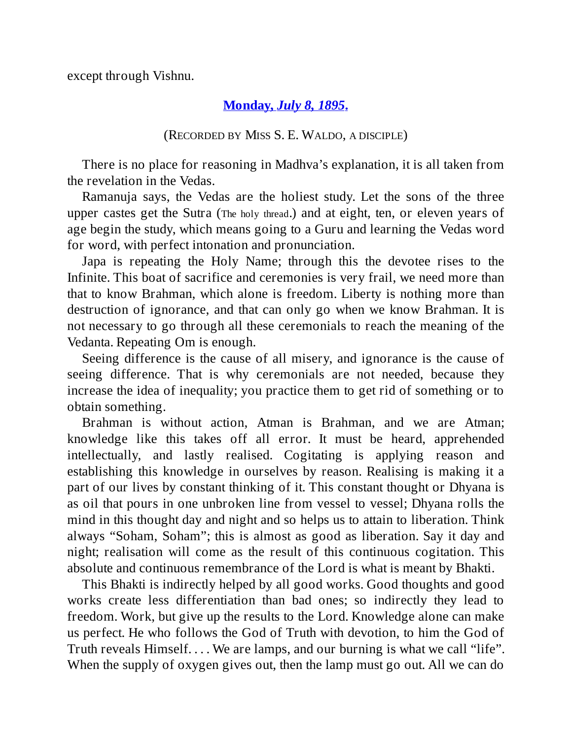<span id="page-28-0"></span>except through Vishnu.

## **[Monday,](#page-0-15)** *July 8, 1895***.**

## (RECORDED BY MISS S. E. WALDO, A DISCIPLE)

There is no place for reasoning in Madhva's explanation, it is all taken from the revelation in the Vedas.

Ramanuja says, the Vedas are the holiest study. Let the sons of the three upper castes get the Sutra (The holy thread.) and at eight, ten, or eleven years of age begin the study, which means going to a Guru and learning the Vedas word for word, with perfect intonation and pronunciation.

Japa is repeating the Holy Name; through this the devotee rises to the Infinite. This boat of sacrifice and ceremonies is very frail, we need more than that to know Brahman, which alone is freedom. Liberty is nothing more than destruction of ignorance, and that can only go when we know Brahman. It is not necessary to go through all these ceremonials to reach the meaning of the Vedanta. Repeating Om is enough.

Seeing difference is the cause of all misery, and ignorance is the cause of seeing difference. That is why ceremonials are not needed, because they increase the idea of inequality; you practice them to get rid of something or to obtain something.

Brahman is without action, Atman is Brahman, and we are Atman; knowledge like this takes off all error. It must be heard, apprehended intellectually, and lastly realised. Cogitating is applying reason and establishing this knowledge in ourselves by reason. Realising is making it a part of our lives by constant thinking of it. This constant thought or Dhyana is as oil that pours in one unbroken line from vessel to vessel; Dhyana rolls the mind in this thought day and night and so helps us to attain to liberation. Think always "Soham, Soham"; this is almost as good as liberation. Say it day and night; realisation will come as the result of this continuous cogitation. This absolute and continuous remembrance of the Lord is what is meant by Bhakti.

This Bhakti is indirectly helped by all good works. Good thoughts and good works create less differentiation than bad ones; so indirectly they lead to freedom. Work, but give up the results to the Lord. Knowledge alone can make us perfect. He who follows the God of Truth with devotion, to him the God of Truth reveals Himself. . . . We are lamps, and our burning is what we call "life". When the supply of oxygen gives out, then the lamp must go out. All we can do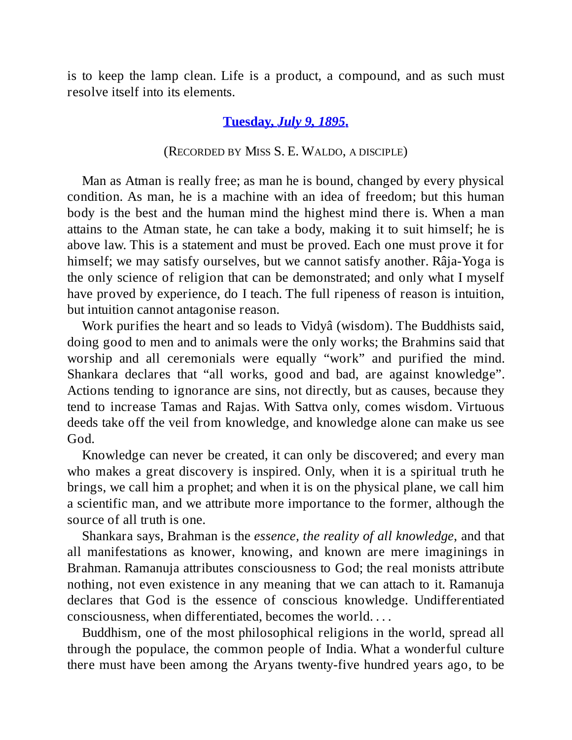<span id="page-29-0"></span>is to keep the lamp clean. Life is a product, a compound, and as such must resolve itself into its elements.

## **[Tuesday,](#page-0-16)** *July 9, 1895***.**

### (RECORDED BY MISS S. E. WALDO, A DISCIPLE)

Man as Atman is really free; as man he is bound, changed by every physical condition. As man, he is a machine with an idea of freedom; but this human body is the best and the human mind the highest mind there is. When a man attains to the Atman state, he can take a body, making it to suit himself; he is above law. This is a statement and must be proved. Each one must prove it for himself; we may satisfy ourselves, but we cannot satisfy another. Râja-Yoga is the only science of religion that can be demonstrated; and only what I myself have proved by experience, do I teach. The full ripeness of reason is intuition, but intuition cannot antagonise reason.

Work purifies the heart and so leads to Vidyâ (wisdom). The Buddhists said, doing good to men and to animals were the only works; the Brahmins said that worship and all ceremonials were equally "work" and purified the mind. Shankara declares that "all works, good and bad, are against knowledge". Actions tending to ignorance are sins, not directly, but as causes, because they tend to increase Tamas and Rajas. With Sattva only, comes wisdom. Virtuous deeds take off the veil from knowledge, and knowledge alone can make us see God.

Knowledge can never be created, it can only be discovered; and every man who makes a great discovery is inspired. Only, when it is a spiritual truth he brings, we call him a prophet; and when it is on the physical plane, we call him a scientific man, and we attribute more importance to the former, although the source of all truth is one.

Shankara says, Brahman is the *essence, the reality of all knowledge*, and that all manifestations as knower, knowing, and known are mere imaginings in Brahman. Ramanuja attributes consciousness to God; the real monists attribute nothing, not even existence in any meaning that we can attach to it. Ramanuja declares that God is the essence of conscious knowledge. Undifferentiated consciousness, when differentiated, becomes the world. . . .

Buddhism, one of the most philosophical religions in the world, spread all through the populace, the common people of India. What a wonderful culture there must have been among the Aryans twenty-five hundred years ago, to be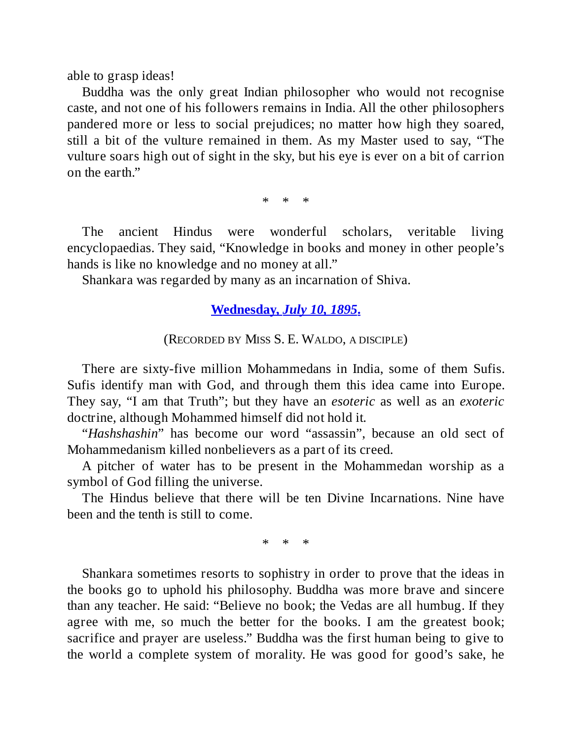able to grasp ideas!

Buddha was the only great Indian philosopher who would not recognise caste, and not one of his followers remains in India. All the other philosophers pandered more or less to social prejudices; no matter how high they soared, still a bit of the vulture remained in them. As my Master used to say, "The vulture soars high out of sight in the sky, but his eye is ever on a bit of carrion on the earth."

\* \* \*

The ancient Hindus were wonderful scholars, veritable living encyclopaedias. They said, "Knowledge in books and money in other people's hands is like no knowledge and no money at all."

<span id="page-30-0"></span>Shankara was regarded by many as an incarnation of Shiva.

## **[Wednesday,](#page-0-17)** *July 10, 1895***.**

#### (RECORDED BY MISS S. E. WALDO, A DISCIPLE)

There are sixty-five million Mohammedans in India, some of them Sufis. Sufis identify man with God, and through them this idea came into Europe. They say, "I am that Truth"; but they have an *esoteric* as well as an *exoteric* doctrine, although Mohammed himself did not hold it.

"*Hashshashin*" has become our word "assassin", because an old sect of Mohammedanism killed nonbelievers as a part of its creed.

A pitcher of water has to be present in the Mohammedan worship as a symbol of God filling the universe.

The Hindus believe that there will be ten Divine Incarnations. Nine have been and the tenth is still to come.

\* \* \*

Shankara sometimes resorts to sophistry in order to prove that the ideas in the books go to uphold his philosophy. Buddha was more brave and sincere than any teacher. He said: "Believe no book; the Vedas are all humbug. If they agree with me, so much the better for the books. I am the greatest book; sacrifice and prayer are useless." Buddha was the first human being to give to the world a complete system of morality. He was good for good's sake, he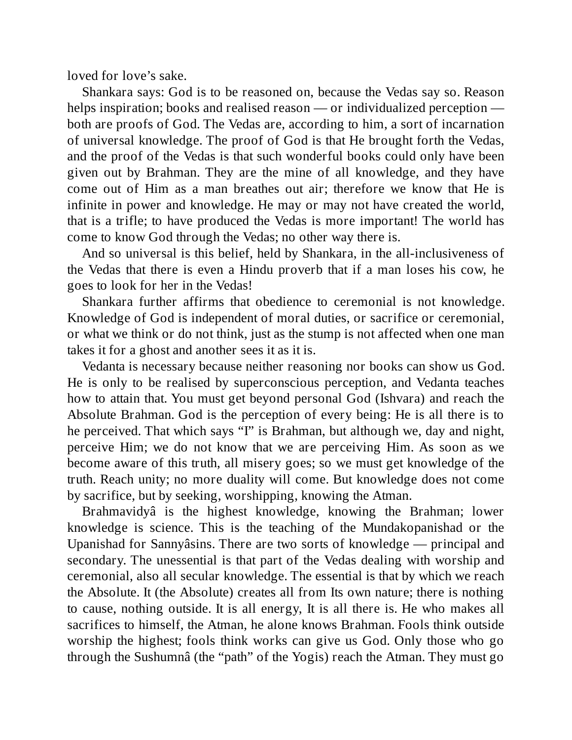loved for love's sake.

Shankara says: God is to be reasoned on, because the Vedas say so. Reason helps inspiration; books and realised reason — or individualized perception both are proofs of God. The Vedas are, according to him, a sort of incarnation of universal knowledge. The proof of God is that He brought forth the Vedas, and the proof of the Vedas is that such wonderful books could only have been given out by Brahman. They are the mine of all knowledge, and they have come out of Him as a man breathes out air; therefore we know that He is infinite in power and knowledge. He may or may not have created the world, that is a trifle; to have produced the Vedas is more important! The world has come to know God through the Vedas; no other way there is.

And so universal is this belief, held by Shankara, in the all-inclusiveness of the Vedas that there is even a Hindu proverb that if a man loses his cow, he goes to look for her in the Vedas!

Shankara further affirms that obedience to ceremonial is not knowledge. Knowledge of God is independent of moral duties, or sacrifice or ceremonial, or what we think or do not think, just as the stump is not affected when one man takes it for a ghost and another sees it as it is.

Vedanta is necessary because neither reasoning nor books can show us God. He is only to be realised by superconscious perception, and Vedanta teaches how to attain that. You must get beyond personal God (Ishvara) and reach the Absolute Brahman. God is the perception of every being: He is all there is to he perceived. That which says "I" is Brahman, but although we, day and night, perceive Him; we do not know that we are perceiving Him. As soon as we become aware of this truth, all misery goes; so we must get knowledge of the truth. Reach unity; no more duality will come. But knowledge does not come by sacrifice, but by seeking, worshipping, knowing the Atman.

Brahmavidyâ is the highest knowledge, knowing the Brahman; lower knowledge is science. This is the teaching of the Mundakopanishad or the Upanishad for Sannyâsins. There are two sorts of knowledge — principal and secondary. The unessential is that part of the Vedas dealing with worship and ceremonial, also all secular knowledge. The essential is that by which we reach the Absolute. It (the Absolute) creates all from Its own nature; there is nothing to cause, nothing outside. It is all energy, It is all there is. He who makes all sacrifices to himself, the Atman, he alone knows Brahman. Fools think outside worship the highest; fools think works can give us God. Only those who go through the Sushumnâ (the "path" of the Yogis) reach the Atman. They must go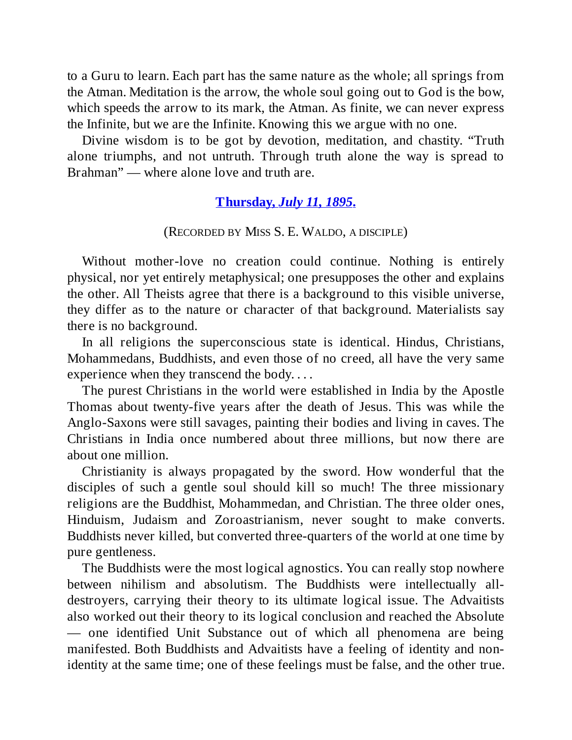to a Guru to learn. Each part has the same nature as the whole; all springs from the Atman. Meditation is the arrow, the whole soul going out to God is the bow, which speeds the arrow to its mark, the Atman. As finite, we can never express the Infinite, but we are the Infinite. Knowing this we argue with no one.

<span id="page-32-0"></span>Divine wisdom is to be got by devotion, meditation, and chastity. "Truth alone triumphs, and not untruth. Through truth alone the way is spread to Brahman" — where alone love and truth are.

## **[Thursday,](#page-0-18)** *July 11, 1895***.**

#### (RECORDED BY MISS S. E. WALDO, A DISCIPLE)

Without mother-love no creation could continue. Nothing is entirely physical, nor yet entirely metaphysical; one presupposes the other and explains the other. All Theists agree that there is a background to this visible universe, they differ as to the nature or character of that background. Materialists say there is no background.

In all religions the superconscious state is identical. Hindus, Christians, Mohammedans, Buddhists, and even those of no creed, all have the very same experience when they transcend the body....

The purest Christians in the world were established in India by the Apostle Thomas about twenty-five years after the death of Jesus. This was while the Anglo-Saxons were still savages, painting their bodies and living in caves. The Christians in India once numbered about three millions, but now there are about one million.

Christianity is always propagated by the sword. How wonderful that the disciples of such a gentle soul should kill so much! The three missionary religions are the Buddhist, Mohammedan, and Christian. The three older ones, Hinduism, Judaism and Zoroastrianism, never sought to make converts. Buddhists never killed, but converted three-quarters of the world at one time by pure gentleness.

The Buddhists were the most logical agnostics. You can really stop nowhere between nihilism and absolutism. The Buddhists were intellectually alldestroyers, carrying their theory to its ultimate logical issue. The Advaitists also worked out their theory to its logical conclusion and reached the Absolute — one identified Unit Substance out of which all phenomena are being manifested. Both Buddhists and Advaitists have a feeling of identity and nonidentity at the same time; one of these feelings must be false, and the other true.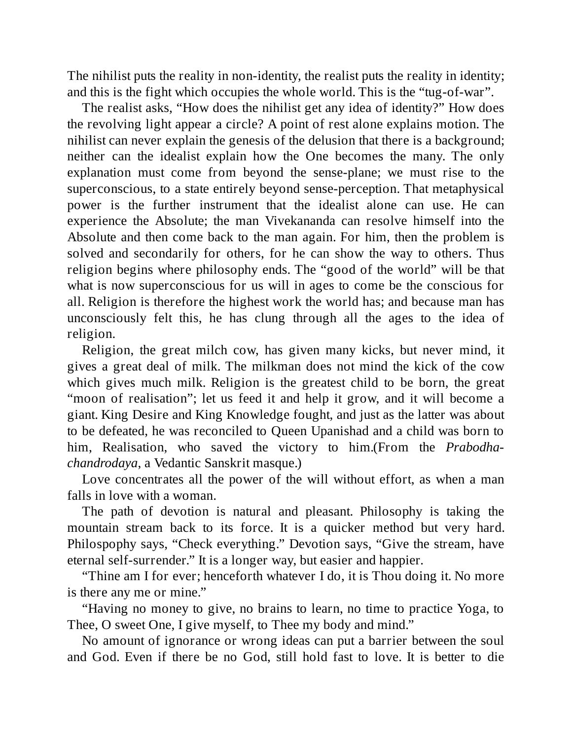The nihilist puts the reality in non-identity, the realist puts the reality in identity; and this is the fight which occupies the whole world. This is the "tug-of-war".

The realist asks, "How does the nihilist get any idea of identity?" How does the revolving light appear a circle? A point of rest alone explains motion. The nihilist can never explain the genesis of the delusion that there is a background; neither can the idealist explain how the One becomes the many. The only explanation must come from beyond the sense-plane; we must rise to the superconscious, to a state entirely beyond sense-perception. That metaphysical power is the further instrument that the idealist alone can use. He can experience the Absolute; the man Vivekananda can resolve himself into the Absolute and then come back to the man again. For him, then the problem is solved and secondarily for others, for he can show the way to others. Thus religion begins where philosophy ends. The "good of the world" will be that what is now superconscious for us will in ages to come be the conscious for all. Religion is therefore the highest work the world has; and because man has unconsciously felt this, he has clung through all the ages to the idea of religion.

Religion, the great milch cow, has given many kicks, but never mind, it gives a great deal of milk. The milkman does not mind the kick of the cow which gives much milk. Religion is the greatest child to be born, the great "moon of realisation"; let us feed it and help it grow, and it will become a giant. King Desire and King Knowledge fought, and just as the latter was about to be defeated, he was reconciled to Queen Upanishad and a child was born to him, Realisation, who saved the victory to him.(From the *Prabodhachandrodaya*, a Vedantic Sanskrit masque.)

Love concentrates all the power of the will without effort, as when a man falls in love with a woman.

The path of devotion is natural and pleasant. Philosophy is taking the mountain stream back to its force. It is a quicker method but very hard. Philospophy says, "Check everything." Devotion says, "Give the stream, have eternal self-surrender." It is a longer way, but easier and happier.

"Thine am I for ever; henceforth whatever I do, it is Thou doing it. No more is there any me or mine."

"Having no money to give, no brains to learn, no time to practice Yoga, to Thee, O sweet One, I give myself, to Thee my body and mind."

No amount of ignorance or wrong ideas can put a barrier between the soul and God. Even if there be no God, still hold fast to love. It is better to die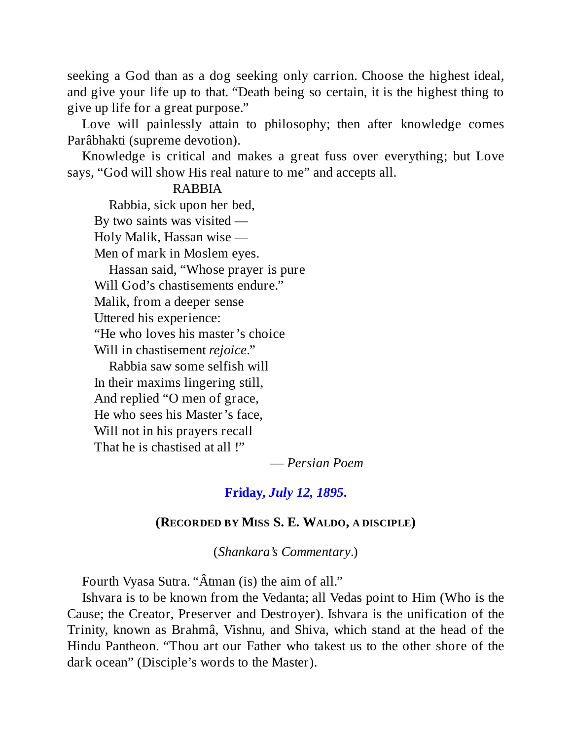seeking a God than as a dog seeking only carrion. Choose the highest ideal, and give your life up to that. "Death being so certain, it is the highest thing to give up life for a great purpose."

Love will painlessly attain to philosophy; then after knowledge comes Parâbhakti (supreme devotion).

Knowledge is critical and makes a great fuss over everything; but Love says, "God will show His real nature to me" and accepts all.

#### RABBIA

Rabbia, sick upon her bed, By two saints was visited — Holy Malik, Hassan wise — Men of mark in Moslem eyes.

Hassan said, "Whose prayer is pure Will God's chastisements endure." Malik, from a deeper sense Uttered his experience: "He who loves his master's choice Will in chastisement *rejoice*."

Rabbia saw some selfish will In their maxims lingering still, And replied "O men of grace, He who sees his Master's face, Will not in his prayers recall That he is chastised at all !"

— *Persian Poem*

## **[Friday,](#page-0-19)** *July 12, 1895***.**

#### **(RECORDED BY MISS S. E. WALDO, A DISCIPLE)**

(*Shankara's Commentary*.)

<span id="page-34-0"></span>Fourth Vyasa Sutra. "Âtman (is) the aim of all."

Ishvara is to be known from the Vedanta; all Vedas point to Him (Who is the Cause; the Creator, Preserver and Destroyer). Ishvara is the unification of the Trinity, known as Brahmâ, Vishnu, and Shiva, which stand at the head of the Hindu Pantheon. "Thou art our Father who takest us to the other shore of the dark ocean" (Disciple's words to the Master).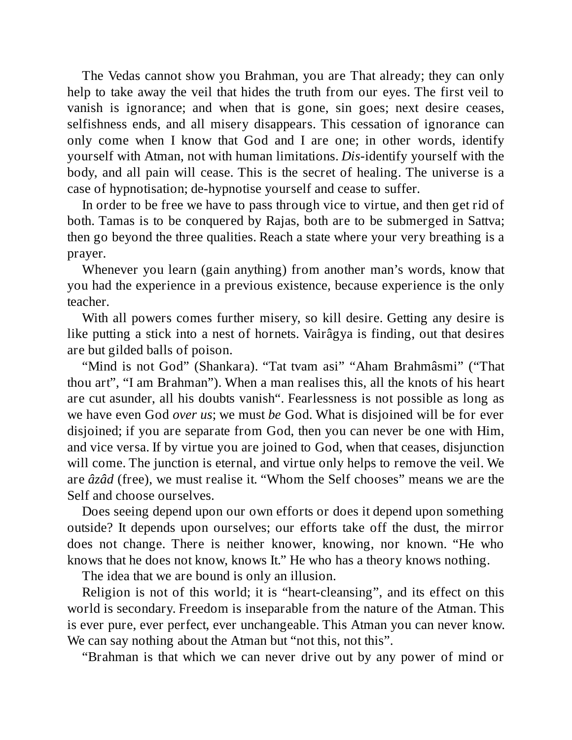The Vedas cannot show you Brahman, you are That already; they can only help to take away the veil that hides the truth from our eyes. The first veil to vanish is ignorance; and when that is gone, sin goes; next desire ceases, selfishness ends, and all misery disappears. This cessation of ignorance can only come when I know that God and I are one; in other words, identify yourself with Atman, not with human limitations. *Dis*-identify yourself with the body, and all pain will cease. This is the secret of healing. The universe is a case of hypnotisation; de-hypnotise yourself and cease to suffer.

In order to be free we have to pass through vice to virtue, and then get rid of both. Tamas is to be conquered by Rajas, both are to be submerged in Sattva; then go beyond the three qualities. Reach a state where your very breathing is a prayer.

Whenever you learn (gain anything) from another man's words, know that you had the experience in a previous existence, because experience is the only teacher.

With all powers comes further misery, so kill desire. Getting any desire is like putting a stick into a nest of hornets. Vairâgya is finding, out that desires are but gilded balls of poison.

"Mind is not God" (Shankara). "Tat tvam asi" "Aham Brahmâsmi" ("That thou art", "I am Brahman"). When a man realises this, all the knots of his heart are cut asunder, all his doubts vanish". Fearlessness is not possible as long as we have even God *over us*; we must *be* God. What is disjoined will be for ever disjoined; if you are separate from God, then you can never be one with Him, and vice versa. If by virtue you are joined to God, when that ceases, disjunction will come. The junction is eternal, and virtue only helps to remove the veil. We are *âzâd* (free), we must realise it. "Whom the Self chooses" means we are the Self and choose ourselves.

Does seeing depend upon our own efforts or does it depend upon something outside? It depends upon ourselves; our efforts take off the dust, the mirror does not change. There is neither knower, knowing, nor known. "He who knows that he does not know, knows It." He who has a theory knows nothing.

The idea that we are bound is only an illusion.

Religion is not of this world; it is "heart-cleansing", and its effect on this world is secondary. Freedom is inseparable from the nature of the Atman. This is ever pure, ever perfect, ever unchangeable. This Atman you can never know. We can say nothing about the Atman but "not this, not this".

"Brahman is that which we can never drive out by any power of mind or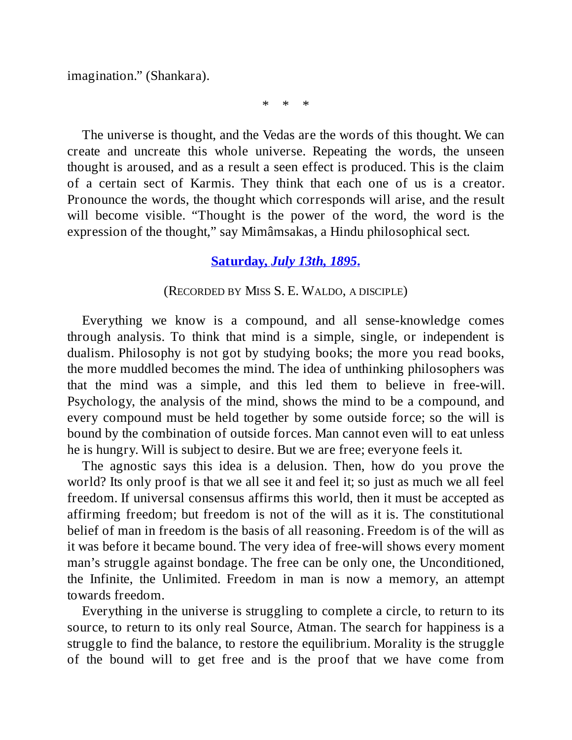imagination." (Shankara).

\* \* \*

The universe is thought, and the Vedas are the words of this thought. We can create and uncreate this whole universe. Repeating the words, the unseen thought is aroused, and as a result a seen effect is produced. This is the claim of a certain sect of Karmis. They think that each one of us is a creator. Pronounce the words, the thought which corresponds will arise, and the result will become visible. "Thought is the power of the word, the word is the expression of the thought," say Mimâmsakas, a Hindu philosophical sect.

# **[Saturday,](#page-0-0)** *July 13th, 1895***.**

### (RECORDED BY MISS S. E. WALDO, A DISCIPLE)

Everything we know is a compound, and all sense-knowledge comes through analysis. To think that mind is a simple, single, or independent is dualism. Philosophy is not got by studying books; the more you read books, the more muddled becomes the mind. The idea of unthinking philosophers was that the mind was a simple, and this led them to believe in free-will. Psychology, the analysis of the mind, shows the mind to be a compound, and every compound must be held together by some outside force; so the will is bound by the combination of outside forces. Man cannot even will to eat unless he is hungry. Will is subject to desire. But we are free; everyone feels it.

The agnostic says this idea is a delusion. Then, how do you prove the world? Its only proof is that we all see it and feel it; so just as much we all feel freedom. If universal consensus affirms this world, then it must be accepted as affirming freedom; but freedom is not of the will as it is. The constitutional belief of man in freedom is the basis of all reasoning. Freedom is of the will as it was before it became bound. The very idea of free-will shows every moment man's struggle against bondage. The free can be only one, the Unconditioned, the Infinite, the Unlimited. Freedom in man is now a memory, an attempt towards freedom.

Everything in the universe is struggling to complete a circle, to return to its source, to return to its only real Source, Atman. The search for happiness is a struggle to find the balance, to restore the equilibrium. Morality is the struggle of the bound will to get free and is the proof that we have come from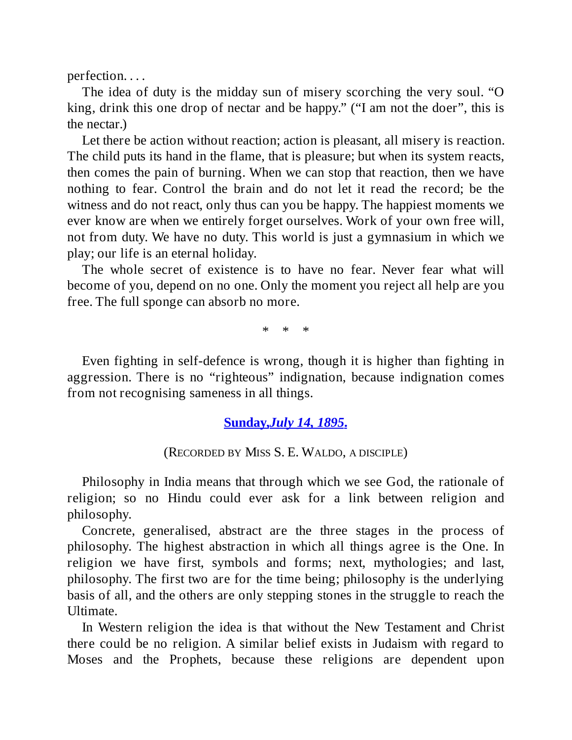perfection. . . .

The idea of duty is the midday sun of misery scorching the very soul. "O king, drink this one drop of nectar and be happy." ("I am not the doer", this is the nectar.)

Let there be action without reaction; action is pleasant, all misery is reaction. The child puts its hand in the flame, that is pleasure; but when its system reacts, then comes the pain of burning. When we can stop that reaction, then we have nothing to fear. Control the brain and do not let it read the record; be the witness and do not react, only thus can you be happy. The happiest moments we ever know are when we entirely forget ourselves. Work of your own free will, not from duty. We have no duty. This world is just a gymnasium in which we play; our life is an eternal holiday.

The whole secret of existence is to have no fear. Never fear what will become of you, depend on no one. Only the moment you reject all help are you free. The full sponge can absorb no more.

\* \* \*

Even fighting in self-defence is wrong, though it is higher than fighting in aggression. There is no "righteous" indignation, because indignation comes from not recognising sameness in all things.

## **[Sunday,](#page-0-1)***July 14, 1895***.**

(RECORDED BY MISS S. E. WALDO, A DISCIPLE)

Philosophy in India means that through which we see God, the rationale of religion; so no Hindu could ever ask for a link between religion and philosophy.

Concrete, generalised, abstract are the three stages in the process of philosophy. The highest abstraction in which all things agree is the One. In religion we have first, symbols and forms; next, mythologies; and last, philosophy. The first two are for the time being; philosophy is the underlying basis of all, and the others are only stepping stones in the struggle to reach the Ultimate.

In Western religion the idea is that without the New Testament and Christ there could be no religion. A similar belief exists in Judaism with regard to Moses and the Prophets, because these religions are dependent upon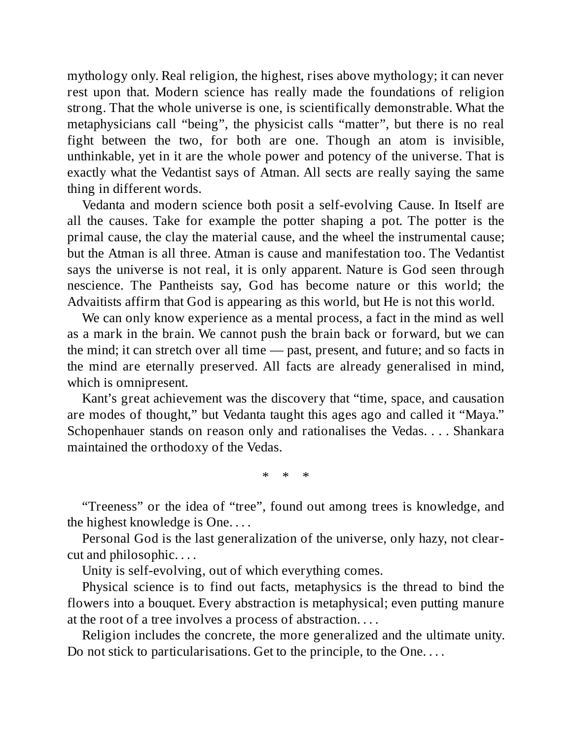mythology only. Real religion, the highest, rises above mythology; it can never rest upon that. Modern science has really made the foundations of religion strong. That the whole universe is one, is scientifically demonstrable. What the metaphysicians call "being", the physicist calls "matter", but there is no real fight between the two, for both are one. Though an atom is invisible, unthinkable, yet in it are the whole power and potency of the universe. That is exactly what the Vedantist says of Atman. All sects are really saying the same thing in different words.

Vedanta and modern science both posit a self-evolving Cause. In Itself are all the causes. Take for example the potter shaping a pot. The potter is the primal cause, the clay the material cause, and the wheel the instrumental cause; but the Atman is all three. Atman is cause and manifestation too. The Vedantist says the universe is not real, it is only apparent. Nature is God seen through nescience. The Pantheists say, God has become nature or this world; the Advaitists affirm that God is appearing as this world, but He is not this world.

We can only know experience as a mental process, a fact in the mind as well as a mark in the brain. We cannot push the brain back or forward, but we can the mind; it can stretch over all time — past, present, and future; and so facts in the mind are eternally preserved. All facts are already generalised in mind, which is omnipresent.

Kant's great achievement was the discovery that "time, space, and causation are modes of thought," but Vedanta taught this ages ago and called it "Maya." Schopenhauer stands on reason only and rationalises the Vedas. . . . Shankara maintained the orthodoxy of the Vedas.

 $\star$ 

"Treeness" or the idea of "tree", found out among trees is knowledge, and the highest knowledge is One. . . .

Personal God is the last generalization of the universe, only hazy, not clearcut and philosophic. . . .

Unity is self-evolving, out of which everything comes.

Physical science is to find out facts, metaphysics is the thread to bind the flowers into a bouquet. Every abstraction is metaphysical; even putting manure at the root of a tree involves a process of abstraction. . . .

Religion includes the concrete, the more generalized and the ultimate unity. Do not stick to particularisations. Get to the principle, to the One. . . .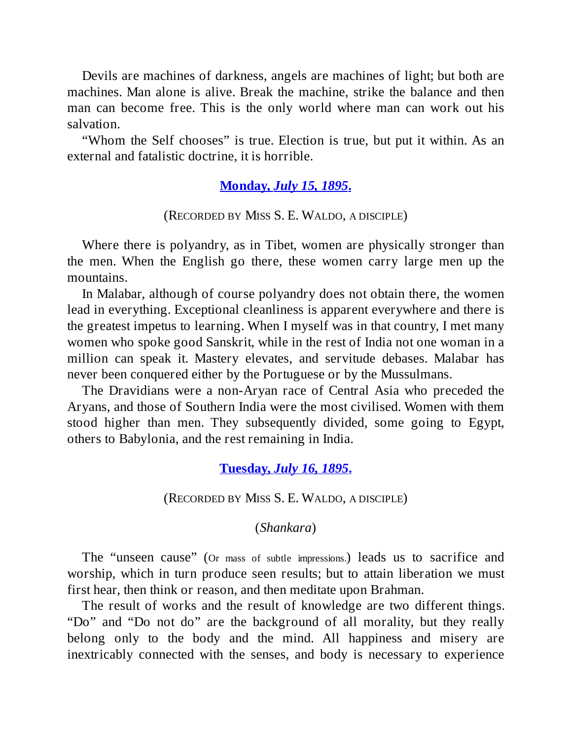Devils are machines of darkness, angels are machines of light; but both are machines. Man alone is alive. Break the machine, strike the balance and then man can become free. This is the only world where man can work out his salvation.

"Whom the Self chooses" is true. Election is true, but put it within. As an external and fatalistic doctrine, it is horrible.

## **[Monday,](#page-0-2)** *July 15, 1895***.**

### (RECORDED BY MISS S. E. WALDO, A DISCIPLE)

Where there is polyandry, as in Tibet, women are physically stronger than the men. When the English go there, these women carry large men up the mountains.

In Malabar, although of course polyandry does not obtain there, the women lead in everything. Exceptional cleanliness is apparent everywhere and there is the greatest impetus to learning. When I myself was in that country, I met many women who spoke good Sanskrit, while in the rest of India not one woman in a million can speak it. Mastery elevates, and servitude debases. Malabar has never been conquered either by the Portuguese or by the Mussulmans.

The Dravidians were a non-Aryan race of Central Asia who preceded the Aryans, and those of Southern India were the most civilised. Women with them stood higher than men. They subsequently divided, some going to Egypt, others to Babylonia, and the rest remaining in India.

### **[Tuesday,](#page-0-3)** *July 16, 1895***.**

#### (RECORDED BY MISS S. E. WALDO, A DISCIPLE)

### (*Shankara*)

The "unseen cause" (Or mass of subtle impressions.) leads us to sacrifice and worship, which in turn produce seen results; but to attain liberation we must first hear, then think or reason, and then meditate upon Brahman.

The result of works and the result of knowledge are two different things. "Do" and "Do not do" are the background of all morality, but they really belong only to the body and the mind. All happiness and misery are inextricably connected with the senses, and body is necessary to experience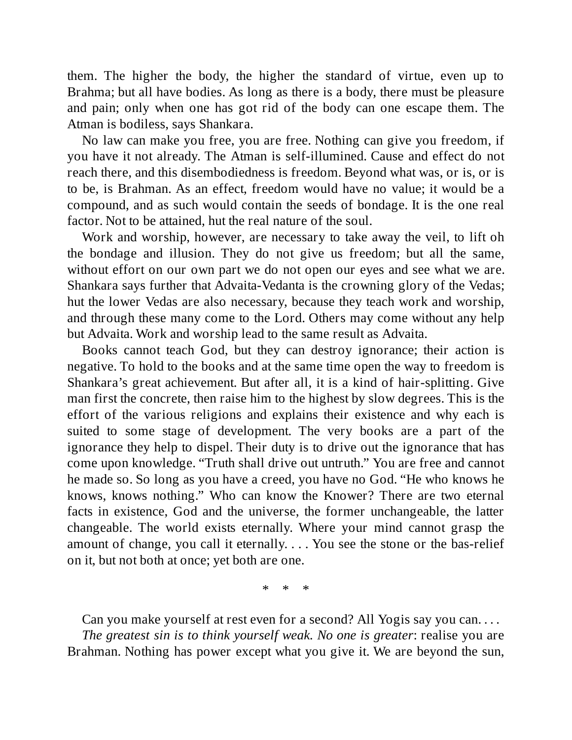them. The higher the body, the higher the standard of virtue, even up to Brahma; but all have bodies. As long as there is a body, there must be pleasure and pain; only when one has got rid of the body can one escape them. The Atman is bodiless, says Shankara.

No law can make you free, you are free. Nothing can give you freedom, if you have it not already. The Atman is self-illumined. Cause and effect do not reach there, and this disembodiedness is freedom. Beyond what was, or is, or is to be, is Brahman. As an effect, freedom would have no value; it would be a compound, and as such would contain the seeds of bondage. It is the one real factor. Not to be attained, hut the real nature of the soul.

Work and worship, however, are necessary to take away the veil, to lift oh the bondage and illusion. They do not give us freedom; but all the same, without effort on our own part we do not open our eyes and see what we are. Shankara says further that Advaita-Vedanta is the crowning glory of the Vedas; hut the lower Vedas are also necessary, because they teach work and worship, and through these many come to the Lord. Others may come without any help but Advaita. Work and worship lead to the same result as Advaita.

Books cannot teach God, but they can destroy ignorance; their action is negative. To hold to the books and at the same time open the way to freedom is Shankara's great achievement. But after all, it is a kind of hair-splitting. Give man first the concrete, then raise him to the highest by slow degrees. This is the effort of the various religions and explains their existence and why each is suited to some stage of development. The very books are a part of the ignorance they help to dispel. Their duty is to drive out the ignorance that has come upon knowledge. "Truth shall drive out untruth." You are free and cannot he made so. So long as you have a creed, you have no God. "He who knows he knows, knows nothing." Who can know the Knower? There are two eternal facts in existence, God and the universe, the former unchangeable, the latter changeable. The world exists eternally. Where your mind cannot grasp the amount of change, you call it eternally. . . . You see the stone or the bas-relief on it, but not both at once; yet both are one.

\* \* \*

Can you make yourself at rest even for a second? All Yogis say you can. . . . *The greatest sin is to think yourself weak. No one is greater*: realise you are Brahman. Nothing has power except what you give it. We are beyond the sun,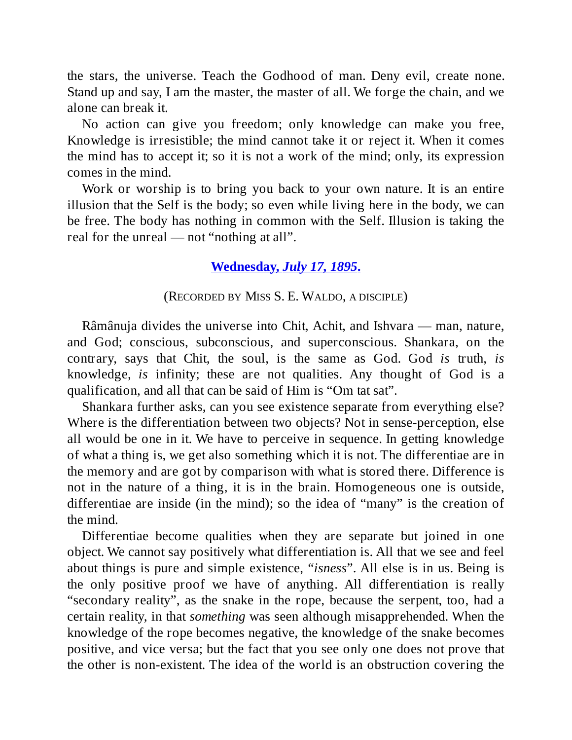the stars, the universe. Teach the Godhood of man. Deny evil, create none. Stand up and say, I am the master, the master of all. We forge the chain, and we alone can break it.

No action can give you freedom; only knowledge can make you free, Knowledge is irresistible; the mind cannot take it or reject it. When it comes the mind has to accept it; so it is not a work of the mind; only, its expression comes in the mind.

Work or worship is to bring you back to your own nature. It is an entire illusion that the Self is the body; so even while living here in the body, we can be free. The body has nothing in common with the Self. Illusion is taking the real for the unreal — not "nothing at all".

## **[Wednesday,](#page-0-4)** *July 17, 1895***.**

### (RECORDED BY MISS S. E. WALDO, A DISCIPLE)

Râmânuja divides the universe into Chit, Achit, and Ishvara — man, nature, and God; conscious, subconscious, and superconscious. Shankara, on the contrary, says that Chit, the soul, is the same as God. God *is* truth, *is* knowledge, *is* infinity; these are not qualities. Any thought of God is a qualification, and all that can be said of Him is "Om tat sat".

Shankara further asks, can you see existence separate from everything else? Where is the differentiation between two objects? Not in sense-perception, else all would be one in it. We have to perceive in sequence. In getting knowledge of what a thing is, we get also something which it is not. The differentiae are in the memory and are got by comparison with what is stored there. Difference is not in the nature of a thing, it is in the brain. Homogeneous one is outside, differentiae are inside (in the mind); so the idea of "many" is the creation of the mind.

Differentiae become qualities when they are separate but joined in one object. We cannot say positively what differentiation is. All that we see and feel about things is pure and simple existence, "*isness*". All else is in us. Being is the only positive proof we have of anything. All differentiation is really "secondary reality", as the snake in the rope, because the serpent, too, had a certain reality, in that *something* was seen although misapprehended. When the knowledge of the rope becomes negative, the knowledge of the snake becomes positive, and vice versa; but the fact that you see only one does not prove that the other is non-existent. The idea of the world is an obstruction covering the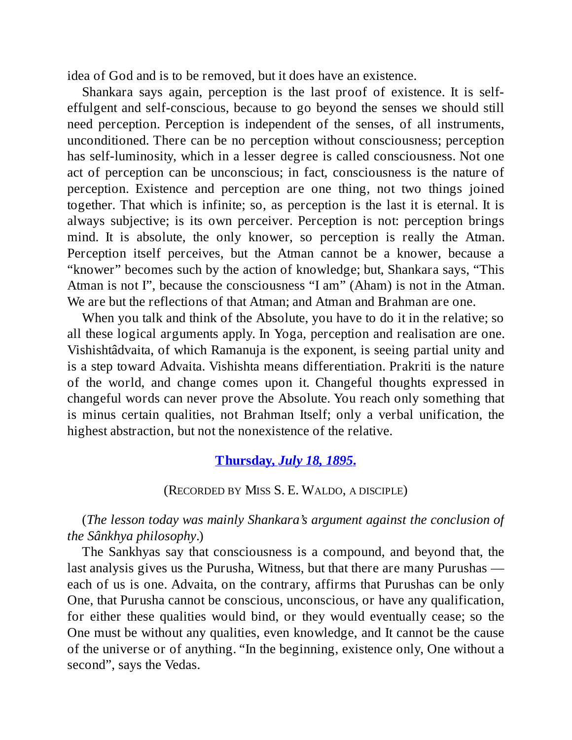idea of God and is to be removed, but it does have an existence.

Shankara says again, perception is the last proof of existence. It is selfeffulgent and self-conscious, because to go beyond the senses we should still need perception. Perception is independent of the senses, of all instruments, unconditioned. There can be no perception without consciousness; perception has self-luminosity, which in a lesser degree is called consciousness. Not one act of perception can be unconscious; in fact, consciousness is the nature of perception. Existence and perception are one thing, not two things joined together. That which is infinite; so, as perception is the last it is eternal. It is always subjective; is its own perceiver. Perception is not: perception brings mind. It is absolute, the only knower, so perception is really the Atman. Perception itself perceives, but the Atman cannot be a knower, because a "knower" becomes such by the action of knowledge; but, Shankara says, "This Atman is not I", because the consciousness "I am" (Aham) is not in the Atman. We are but the reflections of that Atman; and Atman and Brahman are one.

When you talk and think of the Absolute, you have to do it in the relative; so all these logical arguments apply. In Yoga, perception and realisation are one. Vishishtâdvaita, of which Ramanuja is the exponent, is seeing partial unity and is a step toward Advaita. Vishishta means differentiation. Prakriti is the nature of the world, and change comes upon it. Changeful thoughts expressed in changeful words can never prove the Absolute. You reach only something that is minus certain qualities, not Brahman Itself; only a verbal unification, the highest abstraction, but not the nonexistence of the relative.

## **[Thursday,](#page-0-5)** *July 18, 1895***.**

## (RECORDED BY MISS S. E. WALDO, A DISCIPLE)

(*The lesson today was mainly Shankara's argument against the conclusion of the Sânkhya philosophy*.)

The Sankhyas say that consciousness is a compound, and beyond that, the last analysis gives us the Purusha, Witness, but that there are many Purushas each of us is one. Advaita, on the contrary, affirms that Purushas can be only One, that Purusha cannot be conscious, unconscious, or have any qualification, for either these qualities would bind, or they would eventually cease; so the One must be without any qualities, even knowledge, and It cannot be the cause of the universe or of anything. "In the beginning, existence only, One without a second", says the Vedas.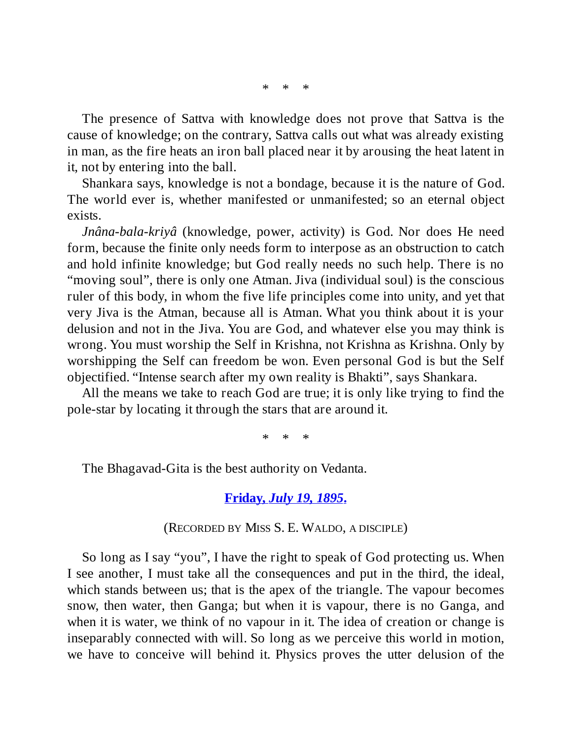\* \* \*

The presence of Sattva with knowledge does not prove that Sattva is the cause of knowledge; on the contrary, Sattva calls out what was already existing in man, as the fire heats an iron ball placed near it by arousing the heat latent in it, not by entering into the ball.

Shankara says, knowledge is not a bondage, because it is the nature of God. The world ever is, whether manifested or unmanifested; so an eternal object exists.

*Jnâna-bala-kriyâ* (knowledge, power, activity) is God. Nor does He need form, because the finite only needs form to interpose as an obstruction to catch and hold infinite knowledge; but God really needs no such help. There is no "moving soul", there is only one Atman. Jiva (individual soul) is the conscious ruler of this body, in whom the five life principles come into unity, and yet that very Jiva is the Atman, because all is Atman. What you think about it is your delusion and not in the Jiva. You are God, and whatever else you may think is wrong. You must worship the Self in Krishna, not Krishna as Krishna. Only by worshipping the Self can freedom be won. Even personal God is but the Self objectified. "Intense search after my own reality is Bhakti", says Shankara.

All the means we take to reach God are true; it is only like trying to find the pole-star by locating it through the stars that are around it.

\* \* \*

The Bhagavad-Gita is the best authority on Vedanta.

**[Friday,](#page-0-6)** *July 19, 1895***.**

(RECORDED BY MISS S. E. WALDO, A DISCIPLE)

So long as I say "you", I have the right to speak of God protecting us. When I see another, I must take all the consequences and put in the third, the ideal, which stands between us; that is the apex of the triangle. The vapour becomes snow, then water, then Ganga; but when it is vapour, there is no Ganga, and when it is water, we think of no vapour in it. The idea of creation or change is inseparably connected with will. So long as we perceive this world in motion, we have to conceive will behind it. Physics proves the utter delusion of the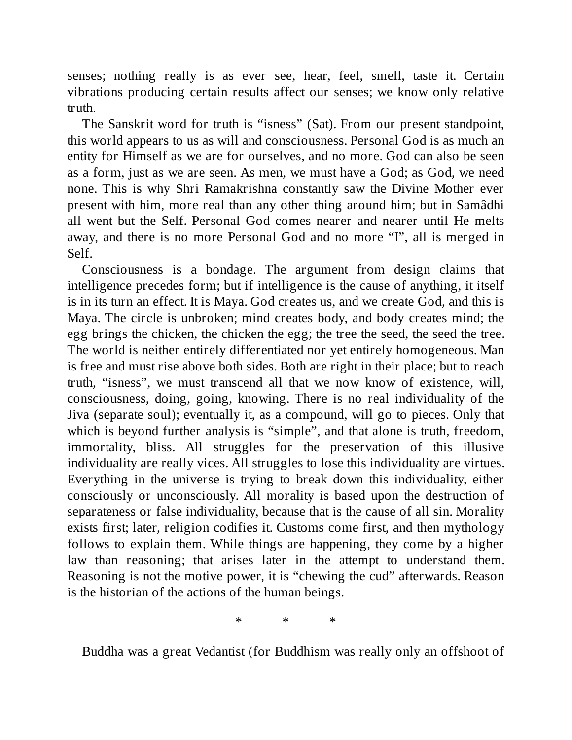senses; nothing really is as ever see, hear, feel, smell, taste it. Certain vibrations producing certain results affect our senses; we know only relative truth.

The Sanskrit word for truth is "isness" (Sat). From our present standpoint, this world appears to us as will and consciousness. Personal God is as much an entity for Himself as we are for ourselves, and no more. God can also be seen as a form, just as we are seen. As men, we must have a God; as God, we need none. This is why Shri Ramakrishna constantly saw the Divine Mother ever present with him, more real than any other thing around him; but in Samâdhi all went but the Self. Personal God comes nearer and nearer until He melts away, and there is no more Personal God and no more "I", all is merged in Self.

Consciousness is a bondage. The argument from design claims that intelligence precedes form; but if intelligence is the cause of anything, it itself is in its turn an effect. It is Maya. God creates us, and we create God, and this is Maya. The circle is unbroken; mind creates body, and body creates mind; the egg brings the chicken, the chicken the egg; the tree the seed, the seed the tree. The world is neither entirely differentiated nor yet entirely homogeneous. Man is free and must rise above both sides. Both are right in their place; but to reach truth, "isness", we must transcend all that we now know of existence, will, consciousness, doing, going, knowing. There is no real individuality of the Jiva (separate soul); eventually it, as a compound, will go to pieces. Only that which is beyond further analysis is "simple", and that alone is truth, freedom, immortality, bliss. All struggles for the preservation of this illusive individuality are really vices. All struggles to lose this individuality are virtues. Everything in the universe is trying to break down this individuality, either consciously or unconsciously. All morality is based upon the destruction of separateness or false individuality, because that is the cause of all sin. Morality exists first; later, religion codifies it. Customs come first, and then mythology follows to explain them. While things are happening, they come by a higher law than reasoning; that arises later in the attempt to understand them. Reasoning is not the motive power, it is "chewing the cud" afterwards. Reason is the historian of the actions of the human beings.

\* \* \*

Buddha was a great Vedantist (for Buddhism was really only an offshoot of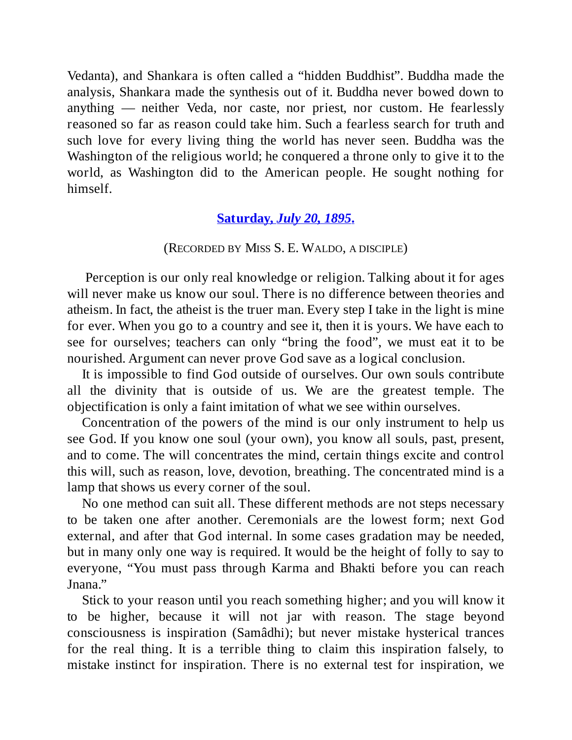Vedanta), and Shankara is often called a "hidden Buddhist". Buddha made the analysis, Shankara made the synthesis out of it. Buddha never bowed down to anything — neither Veda, nor caste, nor priest, nor custom. He fearlessly reasoned so far as reason could take him. Such a fearless search for truth and such love for every living thing the world has never seen. Buddha was the Washington of the religious world; he conquered a throne only to give it to the world, as Washington did to the American people. He sought nothing for himself.

# **[Saturday,](#page-0-7)** *July 20, 1895***.**

# (RECORDED BY MISS S. E. WALDO, A DISCIPLE)

Perception is our only real knowledge or religion. Talking about it for ages will never make us know our soul. There is no difference between theories and atheism. In fact, the atheist is the truer man. Every step I take in the light is mine for ever. When you go to a country and see it, then it is yours. We have each to see for ourselves; teachers can only "bring the food", we must eat it to be nourished. Argument can never prove God save as a logical conclusion.

It is impossible to find God outside of ourselves. Our own souls contribute all the divinity that is outside of us. We are the greatest temple. The objectification is only a faint imitation of what we see within ourselves.

Concentration of the powers of the mind is our only instrument to help us see God. If you know one soul (your own), you know all souls, past, present, and to come. The will concentrates the mind, certain things excite and control this will, such as reason, love, devotion, breathing. The concentrated mind is a lamp that shows us every corner of the soul.

No one method can suit all. These different methods are not steps necessary to be taken one after another. Ceremonials are the lowest form; next God external, and after that God internal. In some cases gradation may be needed, but in many only one way is required. It would be the height of folly to say to everyone, "You must pass through Karma and Bhakti before you can reach Jnana."

Stick to your reason until you reach something higher; and you will know it to be higher, because it will not jar with reason. The stage beyond consciousness is inspiration (Samâdhi); but never mistake hysterical trances for the real thing. It is a terrible thing to claim this inspiration falsely, to mistake instinct for inspiration. There is no external test for inspiration, we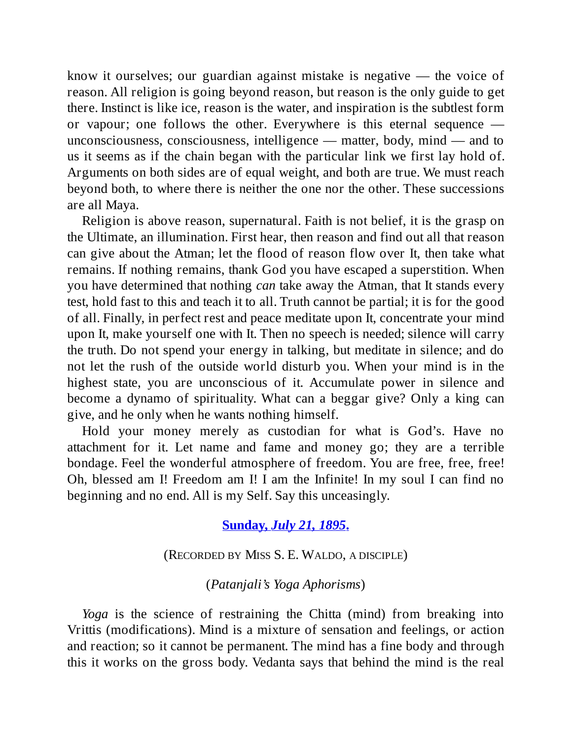know it ourselves; our guardian against mistake is negative — the voice of reason. All religion is going beyond reason, but reason is the only guide to get there. Instinct is like ice, reason is the water, and inspiration is the subtlest form or vapour; one follows the other. Everywhere is this eternal sequence unconsciousness, consciousness, intelligence — matter, body, mind — and to us it seems as if the chain began with the particular link we first lay hold of. Arguments on both sides are of equal weight, and both are true. We must reach beyond both, to where there is neither the one nor the other. These successions are all Maya.

Religion is above reason, supernatural. Faith is not belief, it is the grasp on the Ultimate, an illumination. First hear, then reason and find out all that reason can give about the Atman; let the flood of reason flow over It, then take what remains. If nothing remains, thank God you have escaped a superstition. When you have determined that nothing *can* take away the Atman, that It stands every test, hold fast to this and teach it to all. Truth cannot be partial; it is for the good of all. Finally, in perfect rest and peace meditate upon It, concentrate your mind upon It, make yourself one with It. Then no speech is needed; silence will carry the truth. Do not spend your energy in talking, but meditate in silence; and do not let the rush of the outside world disturb you. When your mind is in the highest state, you are unconscious of it. Accumulate power in silence and become a dynamo of spirituality. What can a beggar give? Only a king can give, and he only when he wants nothing himself.

Hold your money merely as custodian for what is God's. Have no attachment for it. Let name and fame and money go; they are a terrible bondage. Feel the wonderful atmosphere of freedom. You are free, free, free! Oh, blessed am I! Freedom am I! I am the Infinite! In my soul I can find no beginning and no end. All is my Self. Say this unceasingly.

# **[Sunday,](#page-0-8)** *July 21, 1895***.**

(RECORDED BY MISS S. E. WALDO, A DISCIPLE)

(*Patanjali's Yoga Aphorisms*)

*Yoga* is the science of restraining the Chitta (mind) from breaking into Vrittis (modifications). Mind is a mixture of sensation and feelings, or action and reaction; so it cannot be permanent. The mind has a fine body and through this it works on the gross body. Vedanta says that behind the mind is the real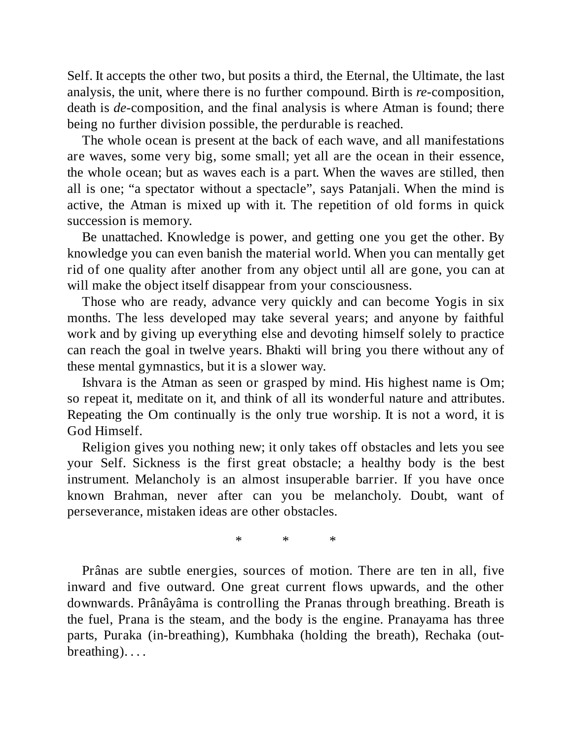Self. It accepts the other two, but posits a third, the Eternal, the Ultimate, the last analysis, the unit, where there is no further compound. Birth is *re*-composition, death is *de*-composition, and the final analysis is where Atman is found; there being no further division possible, the perdurable is reached.

The whole ocean is present at the back of each wave, and all manifestations are waves, some very big, some small; yet all are the ocean in their essence, the whole ocean; but as waves each is a part. When the waves are stilled, then all is one; "a spectator without a spectacle", says Patanjali. When the mind is active, the Atman is mixed up with it. The repetition of old forms in quick succession is memory.

Be unattached. Knowledge is power, and getting one you get the other. By knowledge you can even banish the material world. When you can mentally get rid of one quality after another from any object until all are gone, you can at will make the object itself disappear from your consciousness.

Those who are ready, advance very quickly and can become Yogis in six months. The less developed may take several years; and anyone by faithful work and by giving up everything else and devoting himself solely to practice can reach the goal in twelve years. Bhakti will bring you there without any of these mental gymnastics, but it is a slower way.

Ishvara is the Atman as seen or grasped by mind. His highest name is Om; so repeat it, meditate on it, and think of all its wonderful nature and attributes. Repeating the Om continually is the only true worship. It is not a word, it is God Himself.

Religion gives you nothing new; it only takes off obstacles and lets you see your Self. Sickness is the first great obstacle; a healthy body is the best instrument. Melancholy is an almost insuperable barrier. If you have once known Brahman, never after can you be melancholy. Doubt, want of perseverance, mistaken ideas are other obstacles.

\* \* \*

Prânas are subtle energies, sources of motion. There are ten in all, five inward and five outward. One great current flows upwards, and the other downwards. Prânâyâma is controlling the Pranas through breathing. Breath is the fuel, Prana is the steam, and the body is the engine. Pranayama has three parts, Puraka (in-breathing), Kumbhaka (holding the breath), Rechaka (outbreathing). . . .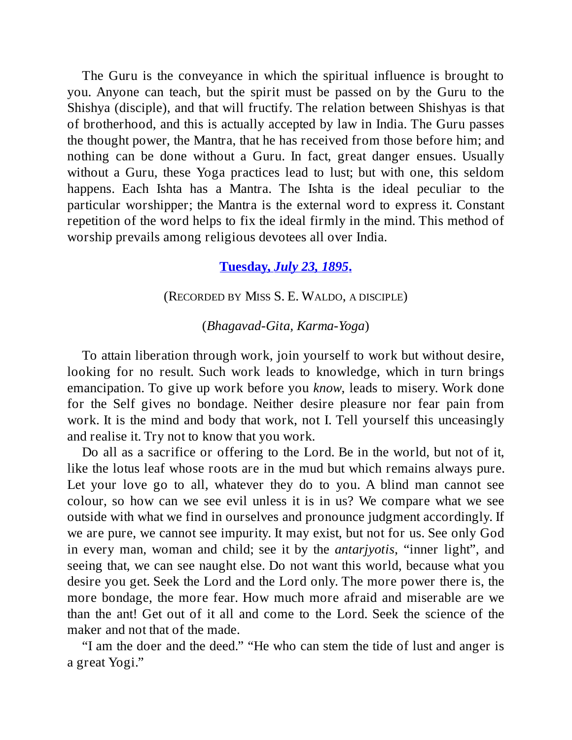The Guru is the conveyance in which the spiritual influence is brought to you. Anyone can teach, but the spirit must be passed on by the Guru to the Shishya (disciple), and that will fructify. The relation between Shishyas is that of brotherhood, and this is actually accepted by law in India. The Guru passes the thought power, the Mantra, that he has received from those before him; and nothing can be done without a Guru. In fact, great danger ensues. Usually without a Guru, these Yoga practices lead to lust; but with one, this seldom happens. Each Ishta has a Mantra. The Ishta is the ideal peculiar to the particular worshipper; the Mantra is the external word to express it. Constant repetition of the word helps to fix the ideal firmly in the mind. This method of worship prevails among religious devotees all over India.

# **[Tuesday,](#page-0-9)** *July 23, 1895***.**

### (RECORDED BY MISS S. E. WALDO, A DISCIPLE)

## (*Bhagavad-Gita, Karma-Yoga*)

To attain liberation through work, join yourself to work but without desire, looking for no result. Such work leads to knowledge, which in turn brings emancipation. To give up work before you *know*, leads to misery. Work done for the Self gives no bondage. Neither desire pleasure nor fear pain from work. It is the mind and body that work, not I. Tell yourself this unceasingly and realise it. Try not to know that you work.

Do all as a sacrifice or offering to the Lord. Be in the world, but not of it, like the lotus leaf whose roots are in the mud but which remains always pure. Let your love go to all, whatever they do to you. A blind man cannot see colour, so how can we see evil unless it is in us? We compare what we see outside with what we find in ourselves and pronounce judgment accordingly. If we are pure, we cannot see impurity. It may exist, but not for us. See only God in every man, woman and child; see it by the *antarjyotis*, "inner light", and seeing that, we can see naught else. Do not want this world, because what you desire you get. Seek the Lord and the Lord only. The more power there is, the more bondage, the more fear. How much more afraid and miserable are we than the ant! Get out of it all and come to the Lord. Seek the science of the maker and not that of the made.

"I am the doer and the deed." "He who can stem the tide of lust and anger is a great Yogi."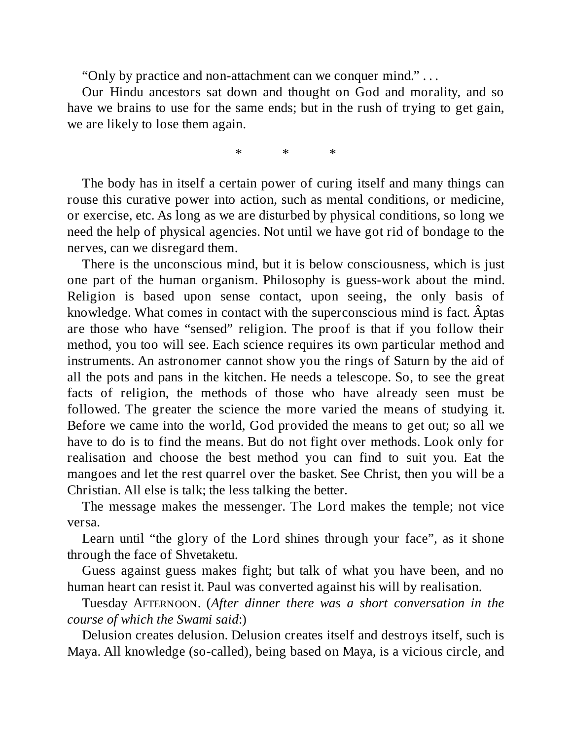"Only by practice and non-attachment can we conquer mind." . . .

Our Hindu ancestors sat down and thought on God and morality, and so have we brains to use for the same ends; but in the rush of trying to get gain, we are likely to lose them again.

\* \* \*

The body has in itself a certain power of curing itself and many things can rouse this curative power into action, such as mental conditions, or medicine, or exercise, etc. As long as we are disturbed by physical conditions, so long we need the help of physical agencies. Not until we have got rid of bondage to the nerves, can we disregard them.

There is the unconscious mind, but it is below consciousness, which is just one part of the human organism. Philosophy is guess-work about the mind. Religion is based upon sense contact, upon seeing, the only basis of knowledge. What comes in contact with the superconscious mind is fact. Âptas are those who have "sensed" religion. The proof is that if you follow their method, you too will see. Each science requires its own particular method and instruments. An astronomer cannot show you the rings of Saturn by the aid of all the pots and pans in the kitchen. He needs a telescope. So, to see the great facts of religion, the methods of those who have already seen must be followed. The greater the science the more varied the means of studying it. Before we came into the world, God provided the means to get out; so all we have to do is to find the means. But do not fight over methods. Look only for realisation and choose the best method you can find to suit you. Eat the mangoes and let the rest quarrel over the basket. See Christ, then you will be a Christian. All else is talk; the less talking the better.

The message makes the messenger. The Lord makes the temple; not vice versa.

Learn until "the glory of the Lord shines through your face", as it shone through the face of Shvetaketu.

Guess against guess makes fight; but talk of what you have been, and no human heart can resist it. Paul was converted against his will by realisation.

Tuesday AFTERNOON. (*After dinner there was a short conversation in the course of which the Swami said*:)

Delusion creates delusion. Delusion creates itself and destroys itself, such is Maya. All knowledge (so-called), being based on Maya, is a vicious circle, and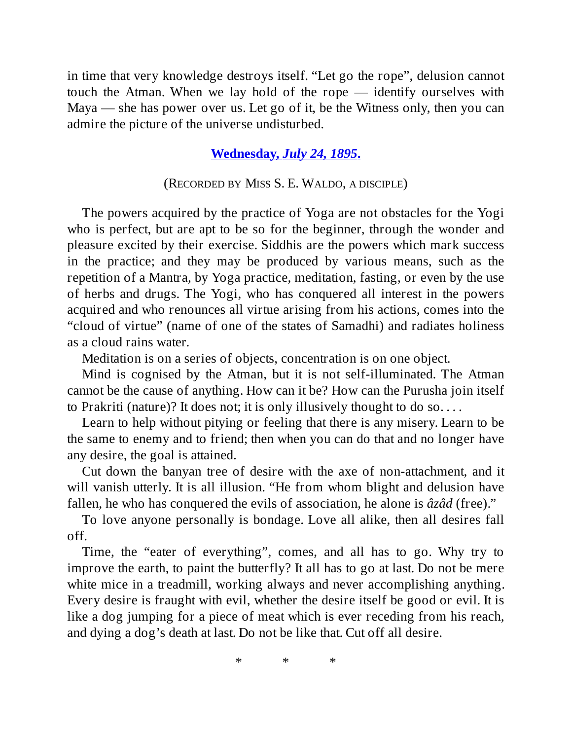in time that very knowledge destroys itself. "Let go the rope", delusion cannot touch the Atman. When we lay hold of the rope — identify ourselves with Maya — she has power over us. Let go of it, be the Witness only, then you can admire the picture of the universe undisturbed.

**[Wednesday,](#page-0-10)** *July 24, 1895***.**

(RECORDED BY MISS S. E. WALDO, A DISCIPLE)

The powers acquired by the practice of Yoga are not obstacles for the Yogi who is perfect, but are apt to be so for the beginner, through the wonder and pleasure excited by their exercise. Siddhis are the powers which mark success in the practice; and they may be produced by various means, such as the repetition of a Mantra, by Yoga practice, meditation, fasting, or even by the use of herbs and drugs. The Yogi, who has conquered all interest in the powers acquired and who renounces all virtue arising from his actions, comes into the "cloud of virtue" (name of one of the states of Samadhi) and radiates holiness as a cloud rains water.

Meditation is on a series of objects, concentration is on one object.

Mind is cognised by the Atman, but it is not self-illuminated. The Atman cannot be the cause of anything. How can it be? How can the Purusha join itself to Prakriti (nature)? It does not; it is only illusively thought to do so. . . .

Learn to help without pitying or feeling that there is any misery. Learn to be the same to enemy and to friend; then when you can do that and no longer have any desire, the goal is attained.

Cut down the banyan tree of desire with the axe of non-attachment, and it will vanish utterly. It is all illusion. "He from whom blight and delusion have fallen, he who has conquered the evils of association, he alone is *âzâd* (free)."

To love anyone personally is bondage. Love all alike, then all desires fall off.

Time, the "eater of everything", comes, and all has to go. Why try to improve the earth, to paint the butterfly? It all has to go at last. Do not be mere white mice in a treadmill, working always and never accomplishing anything. Every desire is fraught with evil, whether the desire itself be good or evil. It is like a dog jumping for a piece of meat which is ever receding from his reach, and dying a dog's death at last. Do not be like that. Cut off all desire.

\* \* \*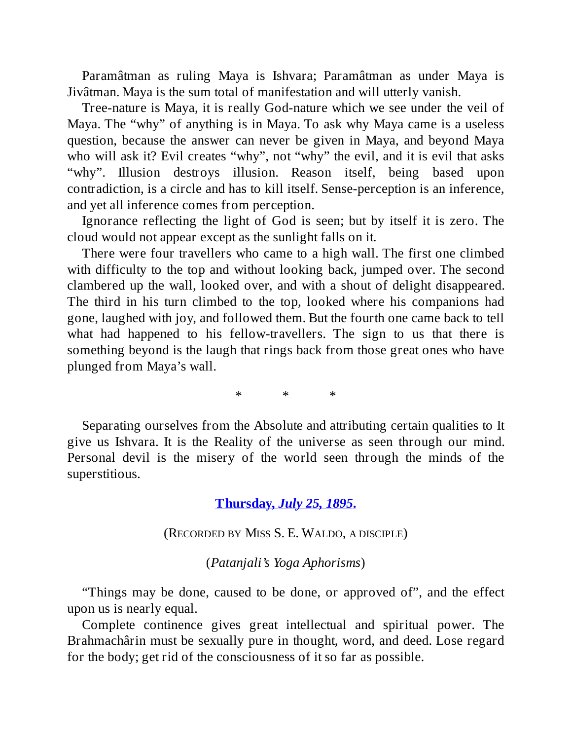Paramâtman as ruling Maya is Ishvara; Paramâtman as under Maya is Jivâtman. Maya is the sum total of manifestation and will utterly vanish.

Tree-nature is Maya, it is really God-nature which we see under the veil of Maya. The "why" of anything is in Maya. To ask why Maya came is a useless question, because the answer can never be given in Maya, and beyond Maya who will ask it? Evil creates "why", not "why" the evil, and it is evil that asks "why". Illusion destroys illusion. Reason itself, being based upon contradiction, is a circle and has to kill itself. Sense-perception is an inference, and yet all inference comes from perception.

Ignorance reflecting the light of God is seen; but by itself it is zero. The cloud would not appear except as the sunlight falls on it.

There were four travellers who came to a high wall. The first one climbed with difficulty to the top and without looking back, jumped over. The second clambered up the wall, looked over, and with a shout of delight disappeared. The third in his turn climbed to the top, looked where his companions had gone, laughed with joy, and followed them. But the fourth one came back to tell what had happened to his fellow-travellers. The sign to us that there is something beyond is the laugh that rings back from those great ones who have plunged from Maya's wall.

\* \* \*

Separating ourselves from the Absolute and attributing certain qualities to It give us Ishvara. It is the Reality of the universe as seen through our mind. Personal devil is the misery of the world seen through the minds of the superstitious.

**[Thursday,](#page-0-11)** *July 25, 1895***.**

(RECORDED BY MISS S. E. WALDO, A DISCIPLE)

(*Patanjali's Yoga Aphorisms*)

"Things may be done, caused to be done, or approved of", and the effect upon us is nearly equal.

Complete continence gives great intellectual and spiritual power. The Brahmachârin must be sexually pure in thought, word, and deed. Lose regard for the body; get rid of the consciousness of it so far as possible.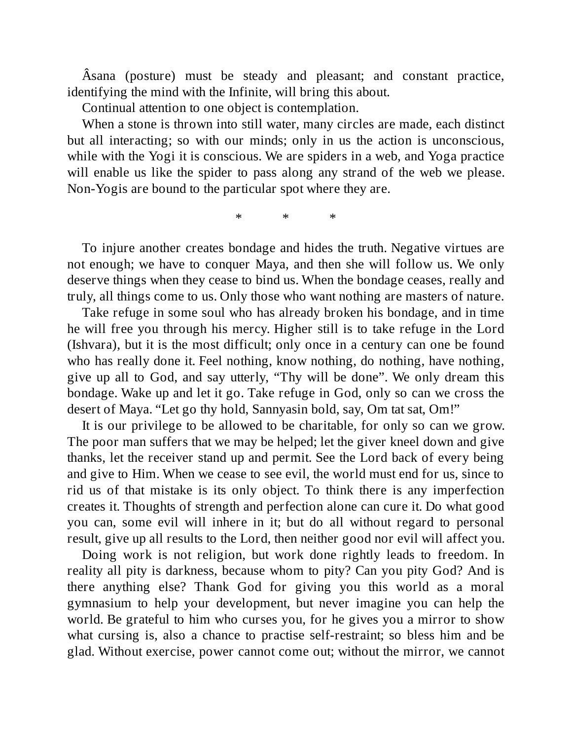Âsana (posture) must be steady and pleasant; and constant practice, identifying the mind with the Infinite, will bring this about.

Continual attention to one object is contemplation.

When a stone is thrown into still water, many circles are made, each distinct but all interacting; so with our minds; only in us the action is unconscious, while with the Yogi it is conscious. We are spiders in a web, and Yoga practice will enable us like the spider to pass along any strand of the web we please. Non-Yogis are bound to the particular spot where they are.

\* \* \*

To injure another creates bondage and hides the truth. Negative virtues are not enough; we have to conquer Maya, and then she will follow us. We only deserve things when they cease to bind us. When the bondage ceases, really and truly, all things come to us. Only those who want nothing are masters of nature.

Take refuge in some soul who has already broken his bondage, and in time he will free you through his mercy. Higher still is to take refuge in the Lord (Ishvara), but it is the most difficult; only once in a century can one be found who has really done it. Feel nothing, know nothing, do nothing, have nothing, give up all to God, and say utterly, "Thy will be done". We only dream this bondage. Wake up and let it go. Take refuge in God, only so can we cross the desert of Maya. "Let go thy hold, Sannyasin bold, say, Om tat sat, Om!"

It is our privilege to be allowed to be charitable, for only so can we grow. The poor man suffers that we may be helped; let the giver kneel down and give thanks, let the receiver stand up and permit. See the Lord back of every being and give to Him. When we cease to see evil, the world must end for us, since to rid us of that mistake is its only object. To think there is any imperfection creates it. Thoughts of strength and perfection alone can cure it. Do what good you can, some evil will inhere in it; but do all without regard to personal result, give up all results to the Lord, then neither good nor evil will affect you.

Doing work is not religion, but work done rightly leads to freedom. In reality all pity is darkness, because whom to pity? Can you pity God? And is there anything else? Thank God for giving you this world as a moral gymnasium to help your development, but never imagine you can help the world. Be grateful to him who curses you, for he gives you a mirror to show what cursing is, also a chance to practise self-restraint; so bless him and be glad. Without exercise, power cannot come out; without the mirror, we cannot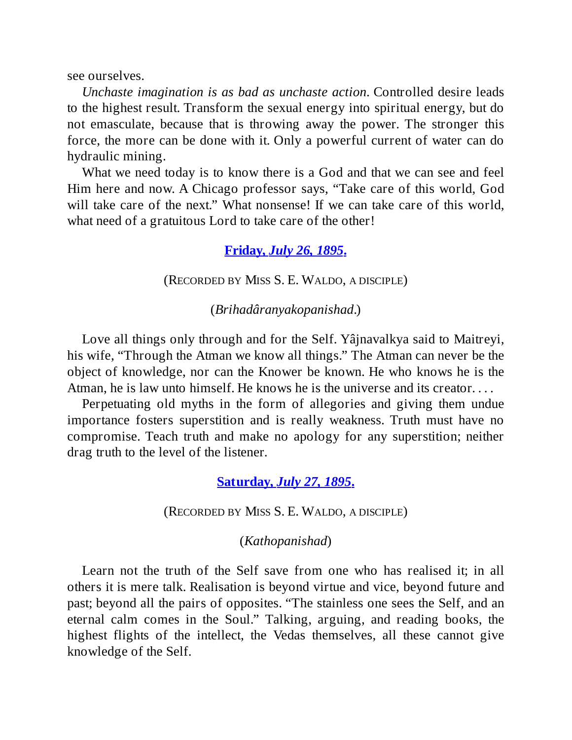see ourselves.

*Unchaste imagination is as bad as unchaste action*. Controlled desire leads to the highest result. Transform the sexual energy into spiritual energy, but do not emasculate, because that is throwing away the power. The stronger this force, the more can be done with it. Only a powerful current of water can do hydraulic mining.

What we need today is to know there is a God and that we can see and feel Him here and now. A Chicago professor says, "Take care of this world, God will take care of the next." What nonsense! If we can take care of this world, what need of a gratuitous Lord to take care of the other!

# **[Friday,](#page-0-12)** *July 26, 1895***.**

(RECORDED BY MISS S. E. WALDO, A DISCIPLE)

(*Brihadâranyakopanishad*.)

Love all things only through and for the Self. Yâjnavalkya said to Maitreyi, his wife, "Through the Atman we know all things." The Atman can never be the object of knowledge, nor can the Knower be known. He who knows he is the Atman, he is law unto himself. He knows he is the universe and its creator. . . .

Perpetuating old myths in the form of allegories and giving them undue importance fosters superstition and is really weakness. Truth must have no compromise. Teach truth and make no apology for any superstition; neither drag truth to the level of the listener.

**[Saturday,](#page-0-13)** *July 27, 1895***.**

(RECORDED BY MISS S. E. WALDO, A DISCIPLE)

(*Kathopanishad*)

Learn not the truth of the Self save from one who has realised it; in all others it is mere talk. Realisation is beyond virtue and vice, beyond future and past; beyond all the pairs of opposites. "The stainless one sees the Self, and an eternal calm comes in the Soul." Talking, arguing, and reading books, the highest flights of the intellect, the Vedas themselves, all these cannot give knowledge of the Self.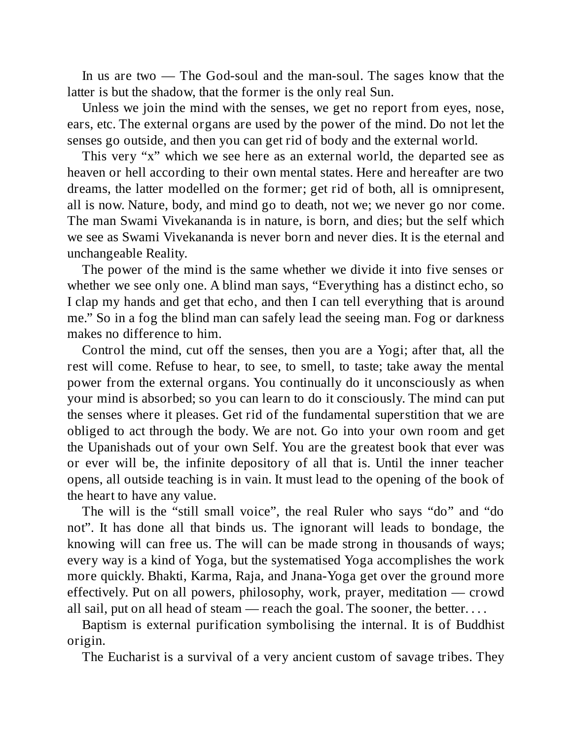In us are two — The God-soul and the man-soul. The sages know that the latter is but the shadow, that the former is the only real Sun.

Unless we join the mind with the senses, we get no report from eyes, nose, ears, etc. The external organs are used by the power of the mind. Do not let the senses go outside, and then you can get rid of body and the external world.

This very "x" which we see here as an external world, the departed see as heaven or hell according to their own mental states. Here and hereafter are two dreams, the latter modelled on the former; get rid of both, all is omnipresent, all is now. Nature, body, and mind go to death, not we; we never go nor come. The man Swami Vivekananda is in nature, is born, and dies; but the self which we see as Swami Vivekananda is never born and never dies. It is the eternal and unchangeable Reality.

The power of the mind is the same whether we divide it into five senses or whether we see only one. A blind man says, "Everything has a distinct echo, so I clap my hands and get that echo, and then I can tell everything that is around me." So in a fog the blind man can safely lead the seeing man. Fog or darkness makes no difference to him.

Control the mind, cut off the senses, then you are a Yogi; after that, all the rest will come. Refuse to hear, to see, to smell, to taste; take away the mental power from the external organs. You continually do it unconsciously as when your mind is absorbed; so you can learn to do it consciously. The mind can put the senses where it pleases. Get rid of the fundamental superstition that we are obliged to act through the body. We are not. Go into your own room and get the Upanishads out of your own Self. You are the greatest book that ever was or ever will be, the infinite depository of all that is. Until the inner teacher opens, all outside teaching is in vain. It must lead to the opening of the book of the heart to have any value.

The will is the "still small voice", the real Ruler who says "do" and "do not". It has done all that binds us. The ignorant will leads to bondage, the knowing will can free us. The will can be made strong in thousands of ways; every way is a kind of Yoga, but the systematised Yoga accomplishes the work more quickly. Bhakti, Karma, Raja, and Jnana-Yoga get over the ground more effectively. Put on all powers, philosophy, work, prayer, meditation — crowd all sail, put on all head of steam  $-$  reach the goal. The sooner, the better....

Baptism is external purification symbolising the internal. It is of Buddhist origin.

The Eucharist is a survival of a very ancient custom of savage tribes. They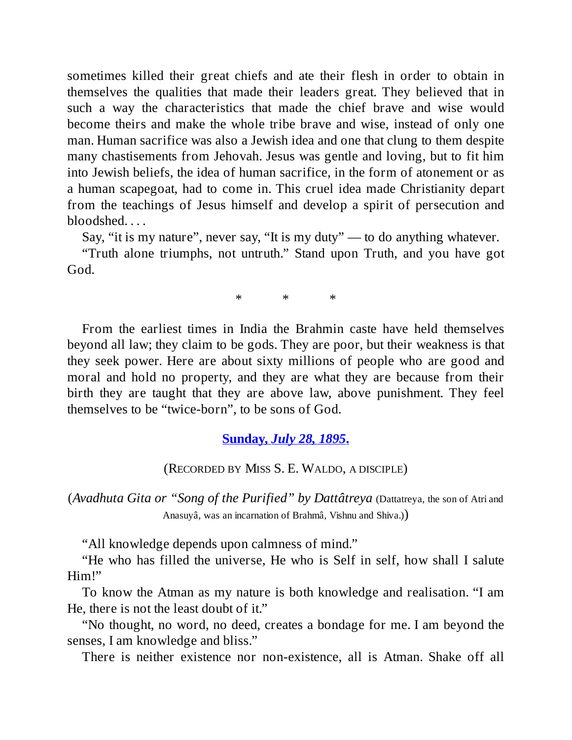sometimes killed their great chiefs and ate their flesh in order to obtain in themselves the qualities that made their leaders great. They believed that in such a way the characteristics that made the chief brave and wise would become theirs and make the whole tribe brave and wise, instead of only one man. Human sacrifice was also a Jewish idea and one that clung to them despite many chastisements from Jehovah. Jesus was gentle and loving, but to fit him into Jewish beliefs, the idea of human sacrifice, in the form of atonement or as a human scapegoat, had to come in. This cruel idea made Christianity depart from the teachings of Jesus himself and develop a spirit of persecution and bloodshed. . . .

Say, "it is my nature", never say, "It is my duty" — to do anything whatever.

"Truth alone triumphs, not untruth." Stand upon Truth, and you have got God.

\* \* \*

From the earliest times in India the Brahmin caste have held themselves beyond all law; they claim to be gods. They are poor, but their weakness is that they seek power. Here are about sixty millions of people who are good and moral and hold no property, and they are what they are because from their birth they are taught that they are above law, above punishment. They feel themselves to be "twice-born", to be sons of God.

### **[Sunday,](#page-1-0)** *July 28, 1895***.**

(RECORDED BY MISS S. E. WALDO, A DISCIPLE)

(*Avadhuta Gita or "Song of the Purified" by Dattâtreya* (Dattatreya, the son of Atri and Anasuyâ, was an incarnation of Brahmâ, Vishnu and Shiva.))

"All knowledge depends upon calmness of mind."

"He who has filled the universe, He who is Self in self, how shall I salute Him!"

To know the Atman as my nature is both knowledge and realisation. "I am He, there is not the least doubt of it."

"No thought, no word, no deed, creates a bondage for me. I am beyond the senses, I am knowledge and bliss."

There is neither existence nor non-existence, all is Atman. Shake off all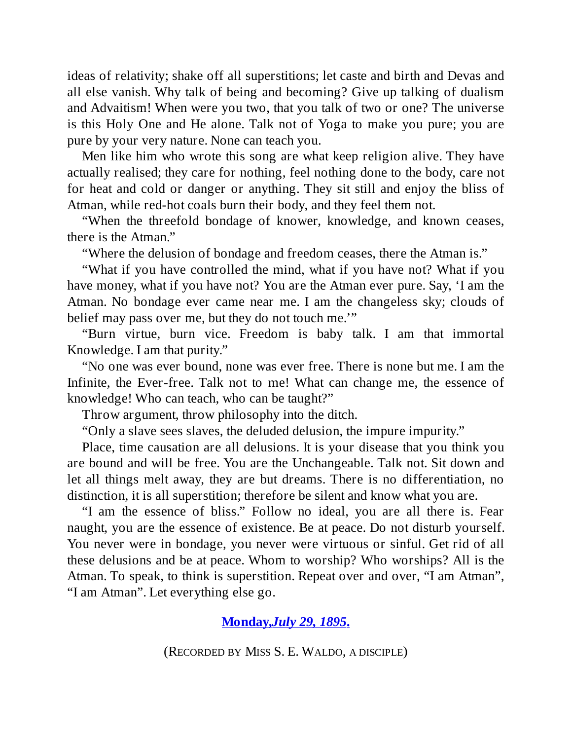ideas of relativity; shake off all superstitions; let caste and birth and Devas and all else vanish. Why talk of being and becoming? Give up talking of dualism and Advaitism! When were you two, that you talk of two or one? The universe is this Holy One and He alone. Talk not of Yoga to make you pure; you are pure by your very nature. None can teach you.

Men like him who wrote this song are what keep religion alive. They have actually realised; they care for nothing, feel nothing done to the body, care not for heat and cold or danger or anything. They sit still and enjoy the bliss of Atman, while red-hot coals burn their body, and they feel them not.

"When the threefold bondage of knower, knowledge, and known ceases, there is the Atman."

"Where the delusion of bondage and freedom ceases, there the Atman is."

"What if you have controlled the mind, what if you have not? What if you have money, what if you have not? You are the Atman ever pure. Say, 'I am the Atman. No bondage ever came near me. I am the changeless sky; clouds of belief may pass over me, but they do not touch me.'"

"Burn virtue, burn vice. Freedom is baby talk. I am that immortal Knowledge. I am that purity."

"No one was ever bound, none was ever free. There is none but me. I am the Infinite, the Ever-free. Talk not to me! What can change me, the essence of knowledge! Who can teach, who can be taught?"

Throw argument, throw philosophy into the ditch.

"Only a slave sees slaves, the deluded delusion, the impure impurity."

Place, time causation are all delusions. It is your disease that you think you are bound and will be free. You are the Unchangeable. Talk not. Sit down and let all things melt away, they are but dreams. There is no differentiation, no distinction, it is all superstition; therefore be silent and know what you are.

"I am the essence of bliss." Follow no ideal, you are all there is. Fear naught, you are the essence of existence. Be at peace. Do not disturb yourself. You never were in bondage, you never were virtuous or sinful. Get rid of all these delusions and be at peace. Whom to worship? Who worships? All is the Atman. To speak, to think is superstition. Repeat over and over, "I am Atman", "I am Atman". Let everything else go.

# **[Monday,](#page-1-1)***July 29, 1895***.**

(RECORDED BY MISS S. E. WALDO, A DISCIPLE)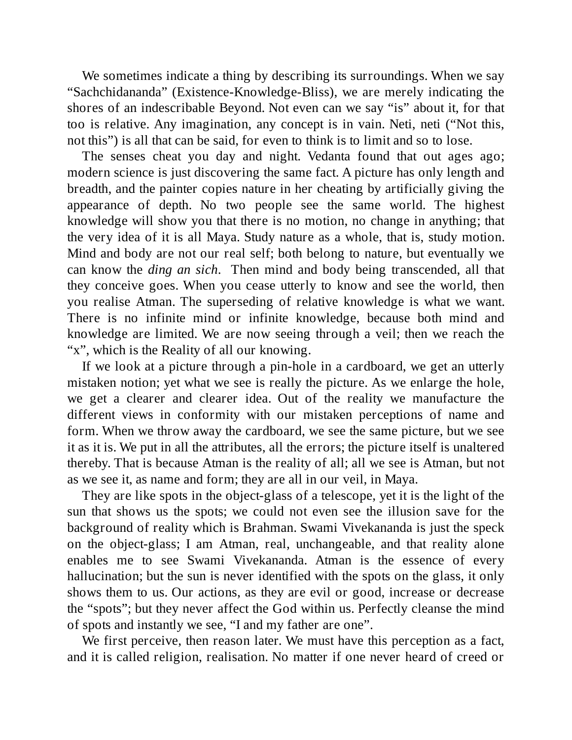We sometimes indicate a thing by describing its surroundings. When we say "Sachchidananda" (Existence-Knowledge-Bliss), we are merely indicating the shores of an indescribable Beyond. Not even can we say "is" about it, for that too is relative. Any imagination, any concept is in vain. Neti, neti ("Not this, not this") is all that can be said, for even to think is to limit and so to lose.

The senses cheat you day and night. Vedanta found that out ages ago; modern science is just discovering the same fact. A picture has only length and breadth, and the painter copies nature in her cheating by artificially giving the appearance of depth. No two people see the same world. The highest knowledge will show you that there is no motion, no change in anything; that the very idea of it is all Maya. Study nature as a whole, that is, study motion. Mind and body are not our real self; both belong to nature, but eventually we can know the *ding an sich*. Then mind and body being transcended, all that they conceive goes. When you cease utterly to know and see the world, then you realise Atman. The superseding of relative knowledge is what we want. There is no infinite mind or infinite knowledge, because both mind and knowledge are limited. We are now seeing through a veil; then we reach the "x", which is the Reality of all our knowing.

If we look at a picture through a pin-hole in a cardboard, we get an utterly mistaken notion; yet what we see is really the picture. As we enlarge the hole, we get a clearer and clearer idea. Out of the reality we manufacture the different views in conformity with our mistaken perceptions of name and form. When we throw away the cardboard, we see the same picture, but we see it as it is. We put in all the attributes, all the errors; the picture itself is unaltered thereby. That is because Atman is the reality of all; all we see is Atman, but not as we see it, as name and form; they are all in our veil, in Maya.

They are like spots in the object-glass of a telescope, yet it is the light of the sun that shows us the spots; we could not even see the illusion save for the background of reality which is Brahman. Swami Vivekananda is just the speck on the object-glass; I am Atman, real, unchangeable, and that reality alone enables me to see Swami Vivekananda. Atman is the essence of every hallucination; but the sun is never identified with the spots on the glass, it only shows them to us. Our actions, as they are evil or good, increase or decrease the "spots"; but they never affect the God within us. Perfectly cleanse the mind of spots and instantly we see, "I and my father are one".

We first perceive, then reason later. We must have this perception as a fact, and it is called religion, realisation. No matter if one never heard of creed or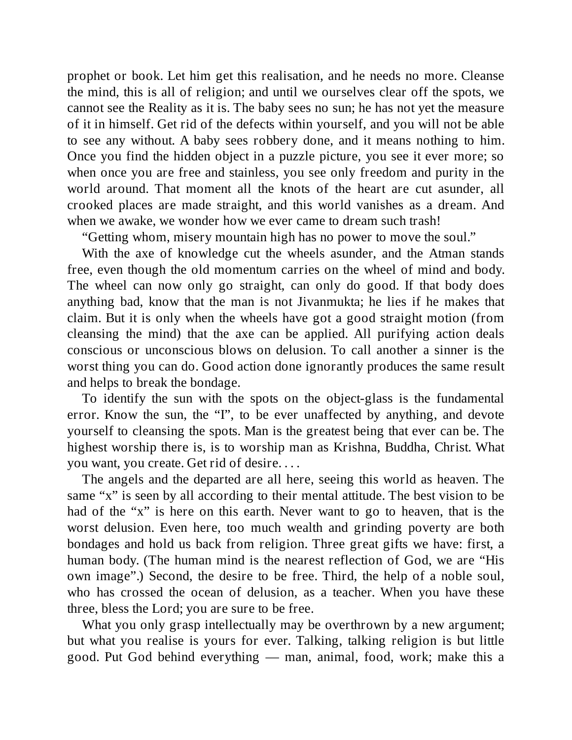prophet or book. Let him get this realisation, and he needs no more. Cleanse the mind, this is all of religion; and until we ourselves clear off the spots, we cannot see the Reality as it is. The baby sees no sun; he has not yet the measure of it in himself. Get rid of the defects within yourself, and you will not be able to see any without. A baby sees robbery done, and it means nothing to him. Once you find the hidden object in a puzzle picture, you see it ever more; so when once you are free and stainless, you see only freedom and purity in the world around. That moment all the knots of the heart are cut asunder, all crooked places are made straight, and this world vanishes as a dream. And when we awake, we wonder how we ever came to dream such trash!

"Getting whom, misery mountain high has no power to move the soul."

With the axe of knowledge cut the wheels asunder, and the Atman stands free, even though the old momentum carries on the wheel of mind and body. The wheel can now only go straight, can only do good. If that body does anything bad, know that the man is not Jivanmukta; he lies if he makes that claim. But it is only when the wheels have got a good straight motion (from cleansing the mind) that the axe can be applied. All purifying action deals conscious or unconscious blows on delusion. To call another a sinner is the worst thing you can do. Good action done ignorantly produces the same result and helps to break the bondage.

To identify the sun with the spots on the object-glass is the fundamental error. Know the sun, the "I", to be ever unaffected by anything, and devote yourself to cleansing the spots. Man is the greatest being that ever can be. The highest worship there is, is to worship man as Krishna, Buddha, Christ. What you want, you create. Get rid of desire. . . .

The angels and the departed are all here, seeing this world as heaven. The same "x" is seen by all according to their mental attitude. The best vision to be had of the "x" is here on this earth. Never want to go to heaven, that is the worst delusion. Even here, too much wealth and grinding poverty are both bondages and hold us back from religion. Three great gifts we have: first, a human body. (The human mind is the nearest reflection of God, we are "His own image".) Second, the desire to be free. Third, the help of a noble soul, who has crossed the ocean of delusion, as a teacher. When you have these three, bless the Lord; you are sure to be free.

What you only grasp intellectually may be overthrown by a new argument; but what you realise is yours for ever. Talking, talking religion is but little good. Put God behind everything — man, animal, food, work; make this a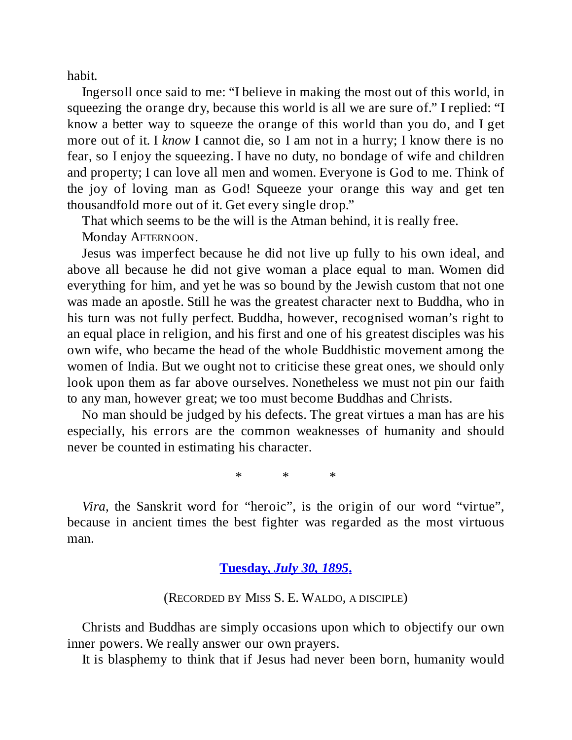habit.

Ingersoll once said to me: "I believe in making the most out of this world, in squeezing the orange dry, because this world is all we are sure of." I replied: "I know a better way to squeeze the orange of this world than you do, and I get more out of it. I *know* I cannot die, so I am not in a hurry; I know there is no fear, so I enjoy the squeezing. I have no duty, no bondage of wife and children and property; I can love all men and women. Everyone is God to me. Think of the joy of loving man as God! Squeeze your orange this way and get ten thousandfold more out of it. Get every single drop."

That which seems to be the will is the Atman behind, it is really free.

Monday AFTERNOON.

Jesus was imperfect because he did not live up fully to his own ideal, and above all because he did not give woman a place equal to man. Women did everything for him, and yet he was so bound by the Jewish custom that not one was made an apostle. Still he was the greatest character next to Buddha, who in his turn was not fully perfect. Buddha, however, recognised woman's right to an equal place in religion, and his first and one of his greatest disciples was his own wife, who became the head of the whole Buddhistic movement among the women of India. But we ought not to criticise these great ones, we should only look upon them as far above ourselves. Nonetheless we must not pin our faith to any man, however great; we too must become Buddhas and Christs.

No man should be judged by his defects. The great virtues a man has are his especially, his errors are the common weaknesses of humanity and should never be counted in estimating his character.

\* \* \*

*Vira*, the Sanskrit word for "heroic", is the origin of our word "virtue", because in ancient times the best fighter was regarded as the most virtuous man.

## **[Tuesday,](#page-1-2)** *July 30, 1895***.**

### (RECORDED BY MISS S. E. WALDO, A DISCIPLE)

Christs and Buddhas are simply occasions upon which to objectify our own inner powers. We really answer our own prayers.

It is blasphemy to think that if Jesus had never been born, humanity would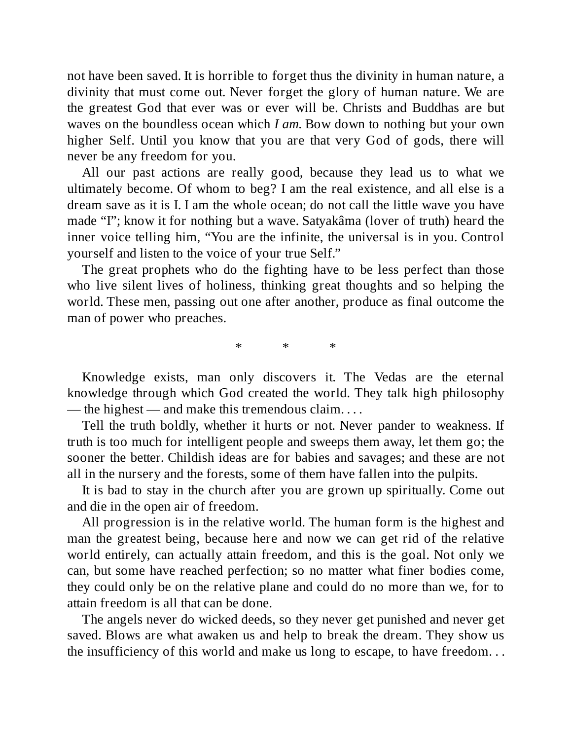not have been saved. It is horrible to forget thus the divinity in human nature, a divinity that must come out. Never forget the glory of human nature. We are the greatest God that ever was or ever will be. Christs and Buddhas are but waves on the boundless ocean which *I am*. Bow down to nothing but your own higher Self. Until you know that you are that very God of gods, there will never be any freedom for you.

All our past actions are really good, because they lead us to what we ultimately become. Of whom to beg? I am the real existence, and all else is a dream save as it is I. I am the whole ocean; do not call the little wave you have made "I"; know it for nothing but a wave. Satyakâma (lover of truth) heard the inner voice telling him, "You are the infinite, the universal is in you. Control yourself and listen to the voice of your true Self."

The great prophets who do the fighting have to be less perfect than those who live silent lives of holiness, thinking great thoughts and so helping the world. These men, passing out one after another, produce as final outcome the man of power who preaches.

\* \* \*

Knowledge exists, man only discovers it. The Vedas are the eternal knowledge through which God created the world. They talk high philosophy — the highest — and make this tremendous claim....

Tell the truth boldly, whether it hurts or not. Never pander to weakness. If truth is too much for intelligent people and sweeps them away, let them go; the sooner the better. Childish ideas are for babies and savages; and these are not all in the nursery and the forests, some of them have fallen into the pulpits.

It is bad to stay in the church after you are grown up spiritually. Come out and die in the open air of freedom.

All progression is in the relative world. The human form is the highest and man the greatest being, because here and now we can get rid of the relative world entirely, can actually attain freedom, and this is the goal. Not only we can, but some have reached perfection; so no matter what finer bodies come, they could only be on the relative plane and could do no more than we, for to attain freedom is all that can be done.

The angels never do wicked deeds, so they never get punished and never get saved. Blows are what awaken us and help to break the dream. They show us the insufficiency of this world and make us long to escape, to have freedom. . .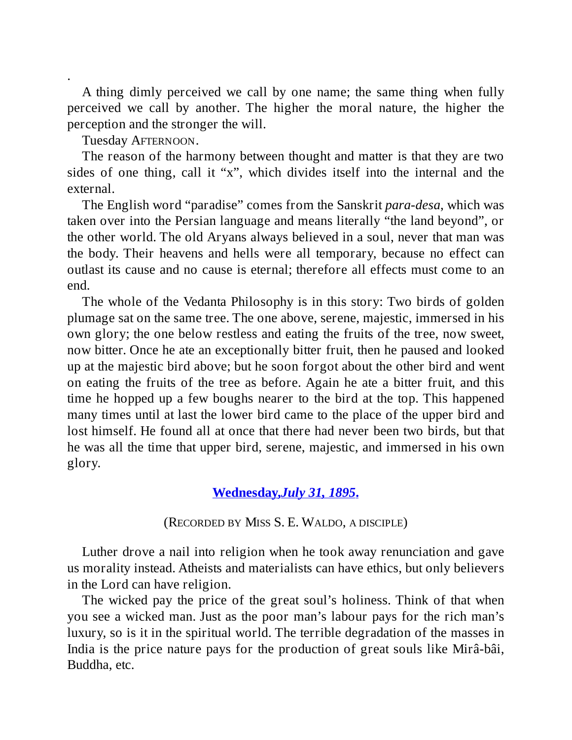A thing dimly perceived we call by one name; the same thing when fully perceived we call by another. The higher the moral nature, the higher the perception and the stronger the will.

Tuesday AFTERNOON.

.

The reason of the harmony between thought and matter is that they are two sides of one thing, call it "x", which divides itself into the internal and the external.

The English word "paradise" comes from the Sanskrit *para-desa*, which was taken over into the Persian language and means literally "the land beyond", or the other world. The old Aryans always believed in a soul, never that man was the body. Their heavens and hells were all temporary, because no effect can outlast its cause and no cause is eternal; therefore all effects must come to an end.

The whole of the Vedanta Philosophy is in this story: Two birds of golden plumage sat on the same tree. The one above, serene, majestic, immersed in his own glory; the one below restless and eating the fruits of the tree, now sweet, now bitter. Once he ate an exceptionally bitter fruit, then he paused and looked up at the majestic bird above; but he soon forgot about the other bird and went on eating the fruits of the tree as before. Again he ate a bitter fruit, and this time he hopped up a few boughs nearer to the bird at the top. This happened many times until at last the lower bird came to the place of the upper bird and lost himself. He found all at once that there had never been two birds, but that he was all the time that upper bird, serene, majestic, and immersed in his own glory.

# **[Wednesday,](#page-1-3)***July 31, 1895***.**

(RECORDED BY MISS S. E. WALDO, A DISCIPLE)

Luther drove a nail into religion when he took away renunciation and gave us morality instead. Atheists and materialists can have ethics, but only believers in the Lord can have religion.

The wicked pay the price of the great soul's holiness. Think of that when you see a wicked man. Just as the poor man's labour pays for the rich man's luxury, so is it in the spiritual world. The terrible degradation of the masses in India is the price nature pays for the production of great souls like Mirâ-bâi, Buddha, etc.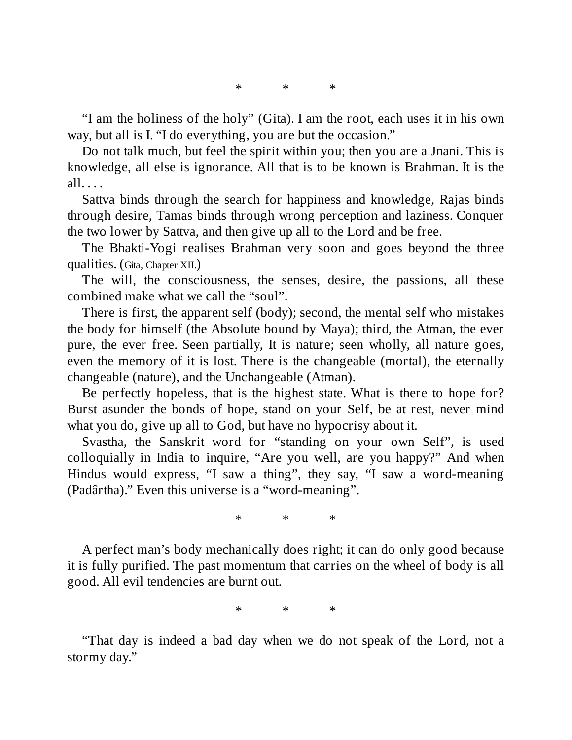"I am the holiness of the holy" (Gita). I am the root, each uses it in his own way, but all is I. "I do everything, you are but the occasion."

Do not talk much, but feel the spirit within you; then you are a Jnani. This is knowledge, all else is ignorance. All that is to be known is Brahman. It is the all. . . .

Sattva binds through the search for happiness and knowledge, Rajas binds through desire, Tamas binds through wrong perception and laziness. Conquer the two lower by Sattva, and then give up all to the Lord and be free.

The Bhakti-Yogi realises Brahman very soon and goes beyond the three qualities. (Gita, Chapter XII.)

The will, the consciousness, the senses, desire, the passions, all these combined make what we call the "soul".

There is first, the apparent self (body); second, the mental self who mistakes the body for himself (the Absolute bound by Maya); third, the Atman, the ever pure, the ever free. Seen partially, It is nature; seen wholly, all nature goes, even the memory of it is lost. There is the changeable (mortal), the eternally changeable (nature), and the Unchangeable (Atman).

Be perfectly hopeless, that is the highest state. What is there to hope for? Burst asunder the bonds of hope, stand on your Self, be at rest, never mind what you do, give up all to God, but have no hypocrisy about it.

Svastha, the Sanskrit word for "standing on your own Self", is used colloquially in India to inquire, "Are you well, are you happy?" And when Hindus would express, "I saw a thing", they say, "I saw a word-meaning (Padârtha)." Even this universe is a "word-meaning".

\* \* \*

A perfect man's body mechanically does right; it can do only good because it is fully purified. The past momentum that carries on the wheel of body is all good. All evil tendencies are burnt out.

\* \* \*

"That day is indeed a bad day when we do not speak of the Lord, not a stormy day."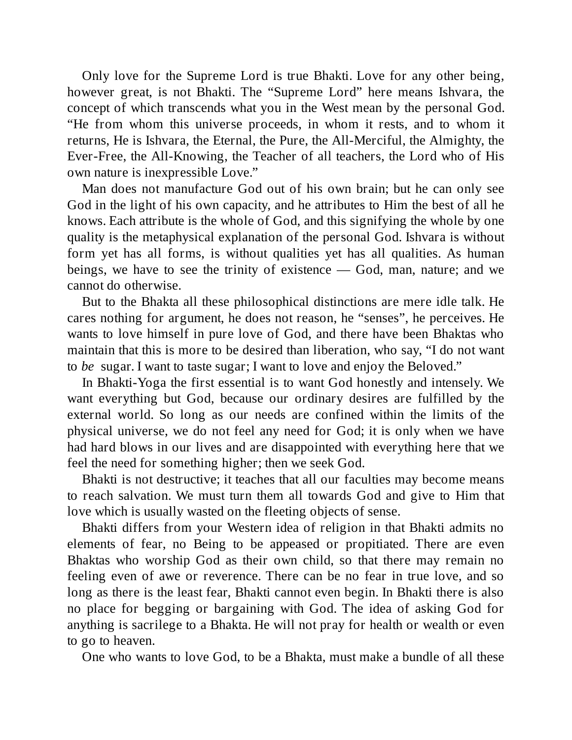Only love for the Supreme Lord is true Bhakti. Love for any other being, however great, is not Bhakti. The "Supreme Lord" here means Ishvara, the concept of which transcends what you in the West mean by the personal God. "He from whom this universe proceeds, in whom it rests, and to whom it returns, He is Ishvara, the Eternal, the Pure, the All-Merciful, the Almighty, the Ever-Free, the All-Knowing, the Teacher of all teachers, the Lord who of His own nature is inexpressible Love."

Man does not manufacture God out of his own brain; but he can only see God in the light of his own capacity, and he attributes to Him the best of all he knows. Each attribute is the whole of God, and this signifying the whole by one quality is the metaphysical explanation of the personal God. Ishvara is without form yet has all forms, is without qualities yet has all qualities. As human beings, we have to see the trinity of existence — God, man, nature; and we cannot do otherwise.

But to the Bhakta all these philosophical distinctions are mere idle talk. He cares nothing for argument, he does not reason, he "senses", he perceives. He wants to love himself in pure love of God, and there have been Bhaktas who maintain that this is more to be desired than liberation, who say, "I do not want to *be* sugar. I want to taste sugar; I want to love and enjoy the Beloved."

In Bhakti-Yoga the first essential is to want God honestly and intensely. We want everything but God, because our ordinary desires are fulfilled by the external world. So long as our needs are confined within the limits of the physical universe, we do not feel any need for God; it is only when we have had hard blows in our lives and are disappointed with everything here that we feel the need for something higher; then we seek God.

Bhakti is not destructive; it teaches that all our faculties may become means to reach salvation. We must turn them all towards God and give to Him that love which is usually wasted on the fleeting objects of sense.

Bhakti differs from your Western idea of religion in that Bhakti admits no elements of fear, no Being to be appeased or propitiated. There are even Bhaktas who worship God as their own child, so that there may remain no feeling even of awe or reverence. There can be no fear in true love, and so long as there is the least fear, Bhakti cannot even begin. In Bhakti there is also no place for begging or bargaining with God. The idea of asking God for anything is sacrilege to a Bhakta. He will not pray for health or wealth or even to go to heaven.

One who wants to love God, to be a Bhakta, must make a bundle of all these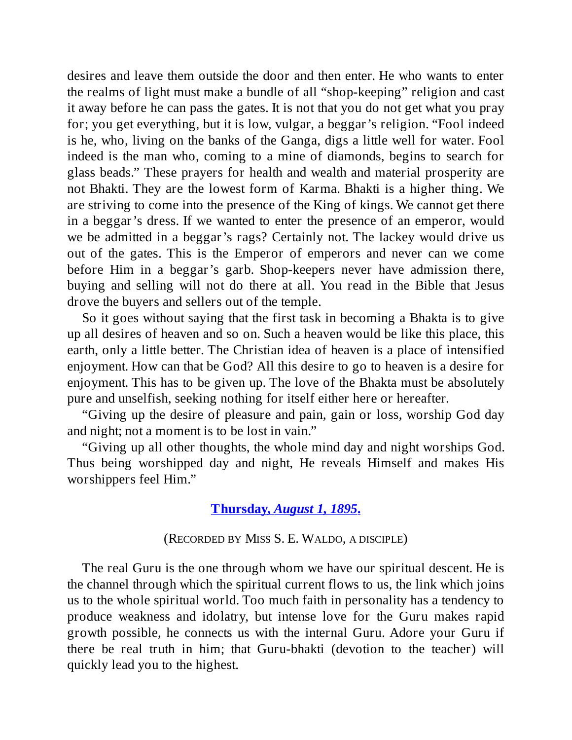desires and leave them outside the door and then enter. He who wants to enter the realms of light must make a bundle of all "shop-keeping" religion and cast it away before he can pass the gates. It is not that you do not get what you pray for; you get everything, but it is low, vulgar, a beggar's religion. "Fool indeed is he, who, living on the banks of the Ganga, digs a little well for water. Fool indeed is the man who, coming to a mine of diamonds, begins to search for glass beads." These prayers for health and wealth and material prosperity are not Bhakti. They are the lowest form of Karma. Bhakti is a higher thing. We are striving to come into the presence of the King of kings. We cannot get there in a beggar's dress. If we wanted to enter the presence of an emperor, would we be admitted in a beggar's rags? Certainly not. The lackey would drive us out of the gates. This is the Emperor of emperors and never can we come before Him in a beggar's garb. Shop-keepers never have admission there, buying and selling will not do there at all. You read in the Bible that Jesus drove the buyers and sellers out of the temple.

So it goes without saying that the first task in becoming a Bhakta is to give up all desires of heaven and so on. Such a heaven would be like this place, this earth, only a little better. The Christian idea of heaven is a place of intensified enjoyment. How can that be God? All this desire to go to heaven is a desire for enjoyment. This has to be given up. The love of the Bhakta must be absolutely pure and unselfish, seeking nothing for itself either here or hereafter.

"Giving up the desire of pleasure and pain, gain or loss, worship God day and night; not a moment is to be lost in vain."

"Giving up all other thoughts, the whole mind day and night worships God. Thus being worshipped day and night, He reveals Himself and makes His worshippers feel Him."

## **[Thursday,](#page-1-4)** *August 1, 1895***.**

### (RECORDED BY MISS S. E. WALDO, A DISCIPLE)

The real Guru is the one through whom we have our spiritual descent. He is the channel through which the spiritual current flows to us, the link which joins us to the whole spiritual world. Too much faith in personality has a tendency to produce weakness and idolatry, but intense love for the Guru makes rapid growth possible, he connects us with the internal Guru. Adore your Guru if there be real truth in him; that Guru-bhakti (devotion to the teacher) will quickly lead you to the highest.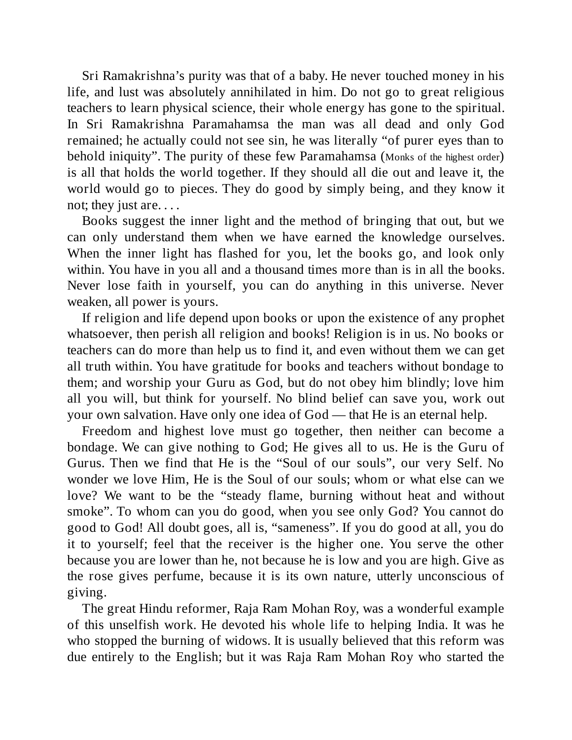Sri Ramakrishna's purity was that of a baby. He never touched money in his life, and lust was absolutely annihilated in him. Do not go to great religious teachers to learn physical science, their whole energy has gone to the spiritual. In Sri Ramakrishna Paramahamsa the man was all dead and only God remained; he actually could not see sin, he was literally "of purer eyes than to behold iniquity". The purity of these few Paramahamsa (Monks of the highest order) is all that holds the world together. If they should all die out and leave it, the world would go to pieces. They do good by simply being, and they know it not; they just are....

Books suggest the inner light and the method of bringing that out, but we can only understand them when we have earned the knowledge ourselves. When the inner light has flashed for you, let the books go, and look only within. You have in you all and a thousand times more than is in all the books. Never lose faith in yourself, you can do anything in this universe. Never weaken, all power is yours.

If religion and life depend upon books or upon the existence of any prophet whatsoever, then perish all religion and books! Religion is in us. No books or teachers can do more than help us to find it, and even without them we can get all truth within. You have gratitude for books and teachers without bondage to them; and worship your Guru as God, but do not obey him blindly; love him all you will, but think for yourself. No blind belief can save you, work out your own salvation. Have only one idea of God — that He is an eternal help.

Freedom and highest love must go together, then neither can become a bondage. We can give nothing to God; He gives all to us. He is the Guru of Gurus. Then we find that He is the "Soul of our souls", our very Self. No wonder we love Him, He is the Soul of our souls; whom or what else can we love? We want to be the "steady flame, burning without heat and without smoke". To whom can you do good, when you see only God? You cannot do good to God! All doubt goes, all is, "sameness". If you do good at all, you do it to yourself; feel that the receiver is the higher one. You serve the other because you are lower than he, not because he is low and you are high. Give as the rose gives perfume, because it is its own nature, utterly unconscious of giving.

The great Hindu reformer, Raja Ram Mohan Roy, was a wonderful example of this unselfish work. He devoted his whole life to helping India. It was he who stopped the burning of widows. It is usually believed that this reform was due entirely to the English; but it was Raja Ram Mohan Roy who started the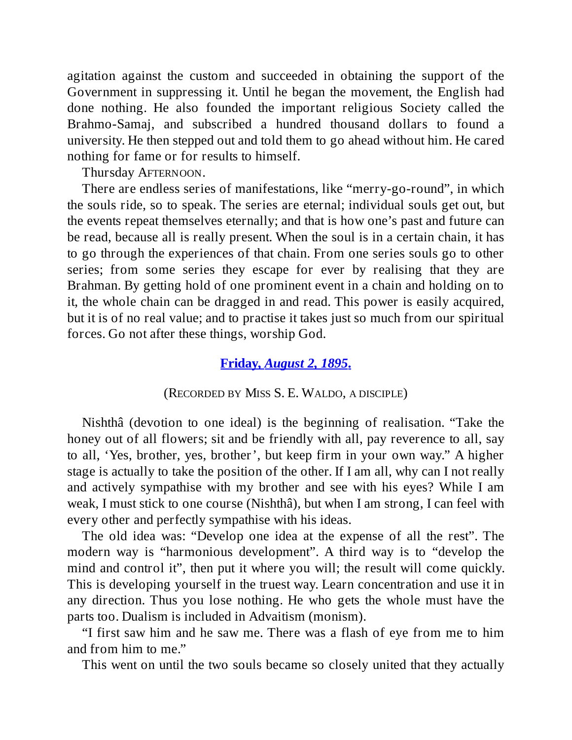agitation against the custom and succeeded in obtaining the support of the Government in suppressing it. Until he began the movement, the English had done nothing. He also founded the important religious Society called the Brahmo-Samaj, and subscribed a hundred thousand dollars to found a university. He then stepped out and told them to go ahead without him. He cared nothing for fame or for results to himself.

Thursday AFTERNOON.

There are endless series of manifestations, like "merry-go-round", in which the souls ride, so to speak. The series are eternal; individual souls get out, but the events repeat themselves eternally; and that is how one's past and future can be read, because all is really present. When the soul is in a certain chain, it has to go through the experiences of that chain. From one series souls go to other series; from some series they escape for ever by realising that they are Brahman. By getting hold of one prominent event in a chain and holding on to it, the whole chain can be dragged in and read. This power is easily acquired, but it is of no real value; and to practise it takes just so much from our spiritual forces. Go not after these things, worship God.

# **[Friday,](#page-1-5)** *August 2, 1895***.**

(RECORDED BY MISS S. E. WALDO, A DISCIPLE)

Nishthâ (devotion to one ideal) is the beginning of realisation. "Take the honey out of all flowers; sit and be friendly with all, pay reverence to all, say to all, 'Yes, brother, yes, brother', but keep firm in your own way." A higher stage is actually to take the position of the other. If I am all, why can I not really and actively sympathise with my brother and see with his eyes? While I am weak, I must stick to one course (Nishthâ), but when I am strong, I can feel with every other and perfectly sympathise with his ideas.

The old idea was: "Develop one idea at the expense of all the rest". The modern way is "harmonious development". A third way is to "develop the mind and control it", then put it where you will; the result will come quickly. This is developing yourself in the truest way. Learn concentration and use it in any direction. Thus you lose nothing. He who gets the whole must have the parts too. Dualism is included in Advaitism (monism).

"I first saw him and he saw me. There was a flash of eye from me to him and from him to me."

This went on until the two souls became so closely united that they actually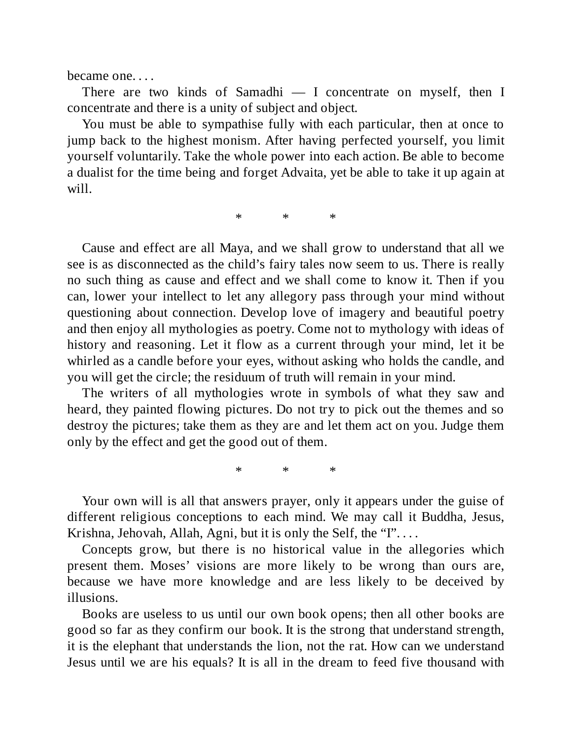became one. . . .

There are two kinds of Samadhi  $-$  I concentrate on myself, then I concentrate and there is a unity of subject and object.

You must be able to sympathise fully with each particular, then at once to jump back to the highest monism. After having perfected yourself, you limit yourself voluntarily. Take the whole power into each action. Be able to become a dualist for the time being and forget Advaita, yet be able to take it up again at will.

\* \* \*

Cause and effect are all Maya, and we shall grow to understand that all we see is as disconnected as the child's fairy tales now seem to us. There is really no such thing as cause and effect and we shall come to know it. Then if you can, lower your intellect to let any allegory pass through your mind without questioning about connection. Develop love of imagery and beautiful poetry and then enjoy all mythologies as poetry. Come not to mythology with ideas of history and reasoning. Let it flow as a current through your mind, let it be whirled as a candle before your eyes, without asking who holds the candle, and you will get the circle; the residuum of truth will remain in your mind.

The writers of all mythologies wrote in symbols of what they saw and heard, they painted flowing pictures. Do not try to pick out the themes and so destroy the pictures; take them as they are and let them act on you. Judge them only by the effect and get the good out of them.

\* \* \*

Your own will is all that answers prayer, only it appears under the guise of different religious conceptions to each mind. We may call it Buddha, Jesus, Krishna, Jehovah, Allah, Agni, but it is only the Self, the "I"....

Concepts grow, but there is no historical value in the allegories which present them. Moses' visions are more likely to be wrong than ours are, because we have more knowledge and are less likely to be deceived by illusions.

Books are useless to us until our own book opens; then all other books are good so far as they confirm our book. It is the strong that understand strength, it is the elephant that understands the lion, not the rat. How can we understand Jesus until we are his equals? It is all in the dream to feed five thousand with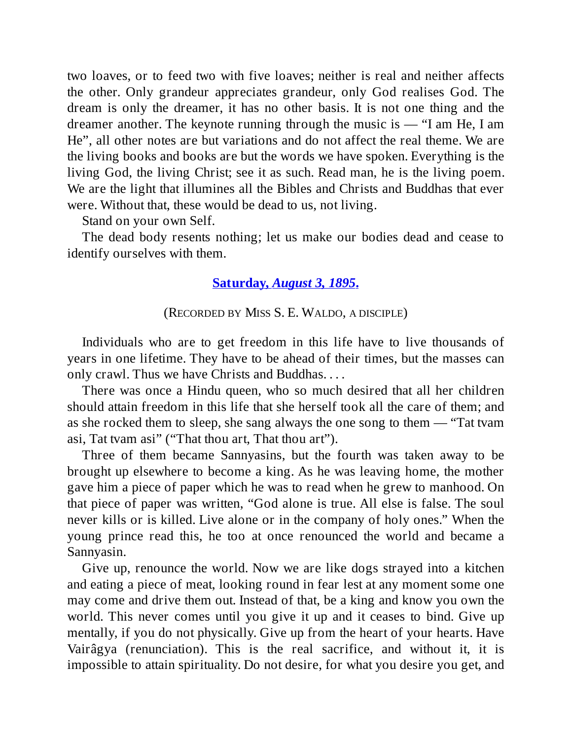two loaves, or to feed two with five loaves; neither is real and neither affects the other. Only grandeur appreciates grandeur, only God realises God. The dream is only the dreamer, it has no other basis. It is not one thing and the dreamer another. The keynote running through the music is — "I am He, I am He", all other notes are but variations and do not affect the real theme. We are the living books and books are but the words we have spoken. Everything is the living God, the living Christ; see it as such. Read man, he is the living poem. We are the light that illumines all the Bibles and Christs and Buddhas that ever were. Without that, these would be dead to us, not living.

Stand on your own Self.

The dead body resents nothing; let us make our bodies dead and cease to identify ourselves with them.

### **[Saturday,](#page-1-6)** *August 3, 1895***.**

(RECORDED BY MISS S. E. WALDO, A DISCIPLE)

Individuals who are to get freedom in this life have to live thousands of years in one lifetime. They have to be ahead of their times, but the masses can only crawl. Thus we have Christs and Buddhas. . . .

There was once a Hindu queen, who so much desired that all her children should attain freedom in this life that she herself took all the care of them; and as she rocked them to sleep, she sang always the one song to them — "Tat tvam asi, Tat tvam asi" ("That thou art, That thou art").

Three of them became Sannyasins, but the fourth was taken away to be brought up elsewhere to become a king. As he was leaving home, the mother gave him a piece of paper which he was to read when he grew to manhood. On that piece of paper was written, "God alone is true. All else is false. The soul never kills or is killed. Live alone or in the company of holy ones." When the young prince read this, he too at once renounced the world and became a Sannyasin.

Give up, renounce the world. Now we are like dogs strayed into a kitchen and eating a piece of meat, looking round in fear lest at any moment some one may come and drive them out. Instead of that, be a king and know you own the world. This never comes until you give it up and it ceases to bind. Give up mentally, if you do not physically. Give up from the heart of your hearts. Have Vairâgya (renunciation). This is the real sacrifice, and without it, it is impossible to attain spirituality. Do not desire, for what you desire you get, and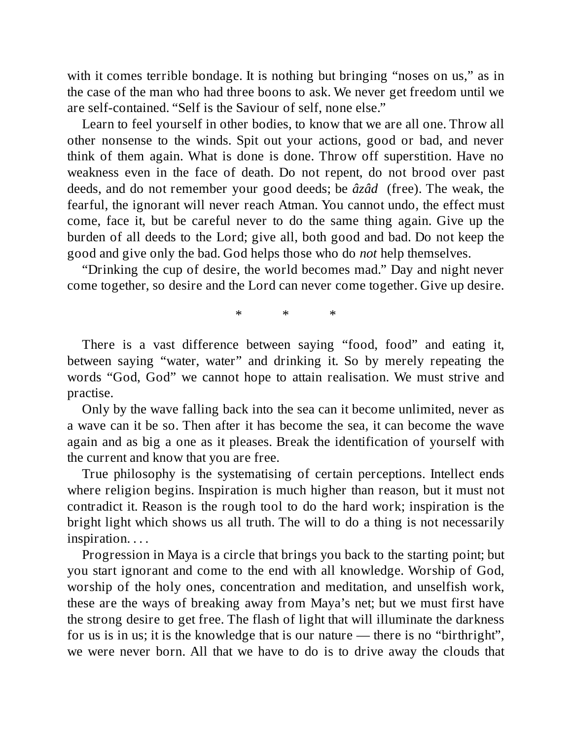with it comes terrible bondage. It is nothing but bringing "noses on us," as in the case of the man who had three boons to ask. We never get freedom until we are self-contained. "Self is the Saviour of self, none else."

Learn to feel yourself in other bodies, to know that we are all one. Throw all other nonsense to the winds. Spit out your actions, good or bad, and never think of them again. What is done is done. Throw off superstition. Have no weakness even in the face of death. Do not repent, do not brood over past deeds, and do not remember your good deeds; be *âzâd* (free). The weak, the fearful, the ignorant will never reach Atman. You cannot undo, the effect must come, face it, but be careful never to do the same thing again. Give up the burden of all deeds to the Lord; give all, both good and bad. Do not keep the good and give only the bad. God helps those who do *not* help themselves.

"Drinking the cup of desire, the world becomes mad." Day and night never come together, so desire and the Lord can never come together. Give up desire.

\* \* \*

There is a vast difference between saying "food, food" and eating it, between saying "water, water" and drinking it. So by merely repeating the words "God, God" we cannot hope to attain realisation. We must strive and practise.

Only by the wave falling back into the sea can it become unlimited, never as a wave can it be so. Then after it has become the sea, it can become the wave again and as big a one as it pleases. Break the identification of yourself with the current and know that you are free.

True philosophy is the systematising of certain perceptions. Intellect ends where religion begins. Inspiration is much higher than reason, but it must not contradict it. Reason is the rough tool to do the hard work; inspiration is the bright light which shows us all truth. The will to do a thing is not necessarily inspiration. . . .

Progression in Maya is a circle that brings you back to the starting point; but you start ignorant and come to the end with all knowledge. Worship of God, worship of the holy ones, concentration and meditation, and unselfish work, these are the ways of breaking away from Maya's net; but we must first have the strong desire to get free. The flash of light that will illuminate the darkness for us is in us; it is the knowledge that is our nature — there is no "birthright", we were never born. All that we have to do is to drive away the clouds that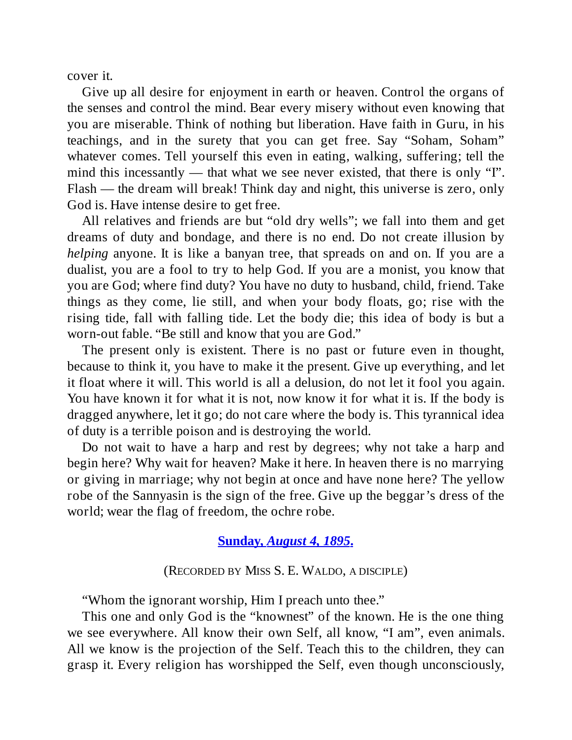cover it.

Give up all desire for enjoyment in earth or heaven. Control the organs of the senses and control the mind. Bear every misery without even knowing that you are miserable. Think of nothing but liberation. Have faith in Guru, in his teachings, and in the surety that you can get free. Say "Soham, Soham" whatever comes. Tell yourself this even in eating, walking, suffering; tell the mind this incessantly — that what we see never existed, that there is only "I". Flash — the dream will break! Think day and night, this universe is zero, only God is. Have intense desire to get free.

All relatives and friends are but "old dry wells"; we fall into them and get dreams of duty and bondage, and there is no end. Do not create illusion by *helping* anyone. It is like a banyan tree, that spreads on and on. If you are a dualist, you are a fool to try to help God. If you are a monist, you know that you are God; where find duty? You have no duty to husband, child, friend. Take things as they come, lie still, and when your body floats, go; rise with the rising tide, fall with falling tide. Let the body die; this idea of body is but a worn-out fable. "Be still and know that you are God."

The present only is existent. There is no past or future even in thought, because to think it, you have to make it the present. Give up everything, and let it float where it will. This world is all a delusion, do not let it fool you again. You have known it for what it is not, now know it for what it is. If the body is dragged anywhere, let it go; do not care where the body is. This tyrannical idea of duty is a terrible poison and is destroying the world.

Do not wait to have a harp and rest by degrees; why not take a harp and begin here? Why wait for heaven? Make it here. In heaven there is no marrying or giving in marriage; why not begin at once and have none here? The yellow robe of the Sannyasin is the sign of the free. Give up the beggar's dress of the world; wear the flag of freedom, the ochre robe.

### **[Sunday,](#page-1-7)** *August 4, 1895***.**

(RECORDED BY MISS S. E. WALDO, A DISCIPLE)

"Whom the ignorant worship, Him I preach unto thee."

This one and only God is the "knownest" of the known. He is the one thing we see everywhere. All know their own Self, all know, "I am", even animals. All we know is the projection of the Self. Teach this to the children, they can grasp it. Every religion has worshipped the Self, even though unconsciously,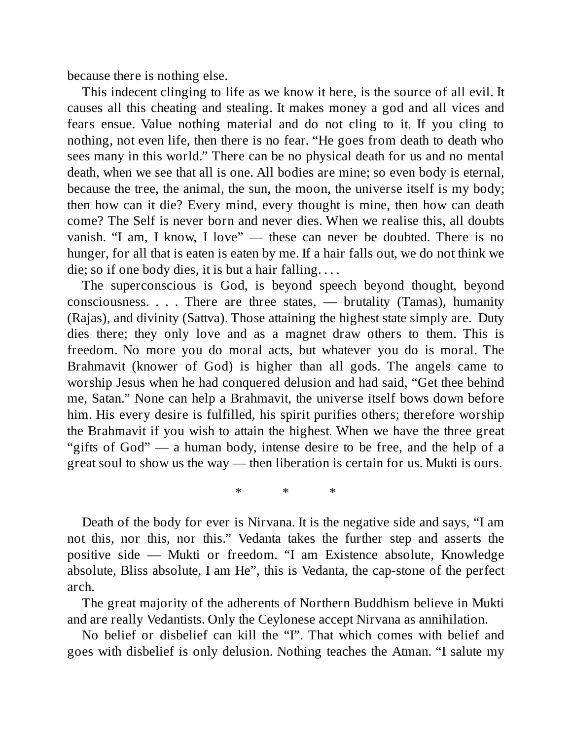because there is nothing else.

This indecent clinging to life as we know it here, is the source of all evil. It causes all this cheating and stealing. It makes money a god and all vices and fears ensue. Value nothing material and do not cling to it. If you cling to nothing, not even life, then there is no fear. "He goes from death to death who sees many in this world." There can be no physical death for us and no mental death, when we see that all is one. All bodies are mine; so even body is eternal, because the tree, the animal, the sun, the moon, the universe itself is my body; then how can it die? Every mind, every thought is mine, then how can death come? The Self is never born and never dies. When we realise this, all doubts vanish. "I am, I know, I love" — these can never be doubted. There is no hunger, for all that is eaten is eaten by me. If a hair falls out, we do not think we die; so if one body dies, it is but a hair falling. . . .

The superconscious is God, is beyond speech beyond thought, beyond consciousness. . . . There are three states, — brutality (Tamas), humanity (Rajas), and divinity (Sattva). Those attaining the highest state simply are. Duty dies there; they only love and as a magnet draw others to them. This is freedom. No more you do moral acts, but whatever you do is moral. The Brahmavit (knower of God) is higher than all gods. The angels came to worship Jesus when he had conquered delusion and had said, "Get thee behind me, Satan." None can help a Brahmavit, the universe itself bows down before him. His every desire is fulfilled, his spirit purifies others; therefore worship the Brahmavit if you wish to attain the highest. When we have the three great "gifts of  $God"$   $\rightarrow$  a human body, intense desire to be free, and the help of a great soul to show us the way — then liberation is certain for us. Mukti is ours.

\* \* \*

Death of the body for ever is Nirvana. It is the negative side and says, "I am not this, nor this, nor this." Vedanta takes the further step and asserts the positive side — Mukti or freedom. "I am Existence absolute, Knowledge absolute, Bliss absolute, I am He", this is Vedanta, the cap-stone of the perfect arch.

The great majority of the adherents of Northern Buddhism believe in Mukti and are really Vedantists. Only the Ceylonese accept Nirvana as annihilation.

No belief or disbelief can kill the "I". That which comes with belief and goes with disbelief is only delusion. Nothing teaches the Atman. "I salute my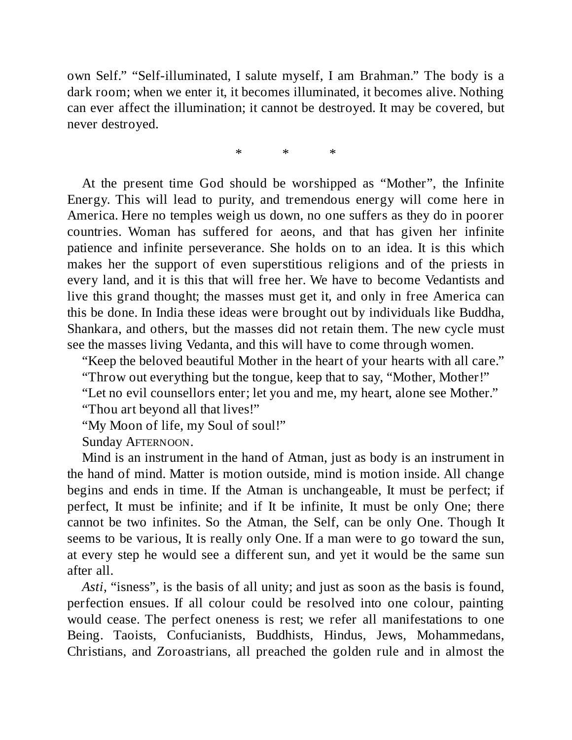own Self." "Self-illuminated, I salute myself, I am Brahman." The body is a dark room; when we enter it, it becomes illuminated, it becomes alive. Nothing can ever affect the illumination; it cannot be destroyed. It may be covered, but never destroyed.

\* \* \*

At the present time God should be worshipped as "Mother", the Infinite Energy. This will lead to purity, and tremendous energy will come here in America. Here no temples weigh us down, no one suffers as they do in poorer countries. Woman has suffered for aeons, and that has given her infinite patience and infinite perseverance. She holds on to an idea. It is this which makes her the support of even superstitious religions and of the priests in every land, and it is this that will free her. We have to become Vedantists and live this grand thought; the masses must get it, and only in free America can this be done. In India these ideas were brought out by individuals like Buddha, Shankara, and others, but the masses did not retain them. The new cycle must see the masses living Vedanta, and this will have to come through women.

"Keep the beloved beautiful Mother in the heart of your hearts with all care." "Throw out everything but the tongue, keep that to say, "Mother, Mother!" "Let no evil counsellors enter; let you and me, my heart, alone see Mother."

"Thou art beyond all that lives!"

"My Moon of life, my Soul of soul!"

Sunday AFTERNOON.

Mind is an instrument in the hand of Atman, just as body is an instrument in the hand of mind. Matter is motion outside, mind is motion inside. All change begins and ends in time. If the Atman is unchangeable, It must be perfect; if perfect, It must be infinite; and if It be infinite, It must be only One; there cannot be two infinites. So the Atman, the Self, can be only One. Though It seems to be various, It is really only One. If a man were to go toward the sun, at every step he would see a different sun, and yet it would be the same sun after all.

*Asti*, "isness", is the basis of all unity; and just as soon as the basis is found, perfection ensues. If all colour could be resolved into one colour, painting would cease. The perfect oneness is rest; we refer all manifestations to one Being. Taoists, Confucianists, Buddhists, Hindus, Jews, Mohammedans, Christians, and Zoroastrians, all preached the golden rule and in almost the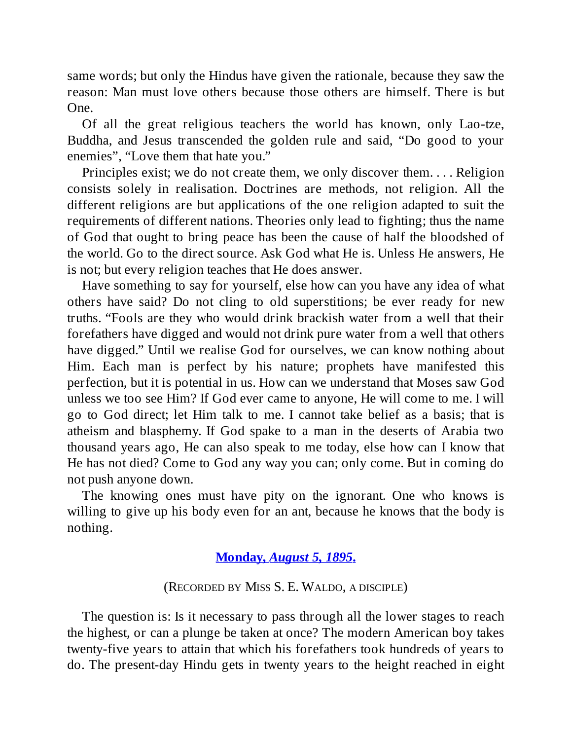same words; but only the Hindus have given the rationale, because they saw the reason: Man must love others because those others are himself. There is but One.

Of all the great religious teachers the world has known, only Lao-tze, Buddha, and Jesus transcended the golden rule and said, "Do good to your enemies", "Love them that hate you."

Principles exist; we do not create them, we only discover them. . . . Religion consists solely in realisation. Doctrines are methods, not religion. All the different religions are but applications of the one religion adapted to suit the requirements of different nations. Theories only lead to fighting; thus the name of God that ought to bring peace has been the cause of half the bloodshed of the world. Go to the direct source. Ask God what He is. Unless He answers, He is not; but every religion teaches that He does answer.

Have something to say for yourself, else how can you have any idea of what others have said? Do not cling to old superstitions; be ever ready for new truths. "Fools are they who would drink brackish water from a well that their forefathers have digged and would not drink pure water from a well that others have digged." Until we realise God for ourselves, we can know nothing about Him. Each man is perfect by his nature; prophets have manifested this perfection, but it is potential in us. How can we understand that Moses saw God unless we too see Him? If God ever came to anyone, He will come to me. I will go to God direct; let Him talk to me. I cannot take belief as a basis; that is atheism and blasphemy. If God spake to a man in the deserts of Arabia two thousand years ago, He can also speak to me today, else how can I know that He has not died? Come to God any way you can; only come. But in coming do not push anyone down.

The knowing ones must have pity on the ignorant. One who knows is willing to give up his body even for an ant, because he knows that the body is nothing.

## **[Monday,](#page-1-0)** *August 5, 1895***.**

## (RECORDED BY MISS S. E. WALDO, A DISCIPLE)

The question is: Is it necessary to pass through all the lower stages to reach the highest, or can a plunge be taken at once? The modern American boy takes twenty-five years to attain that which his forefathers took hundreds of years to do. The present-day Hindu gets in twenty years to the height reached in eight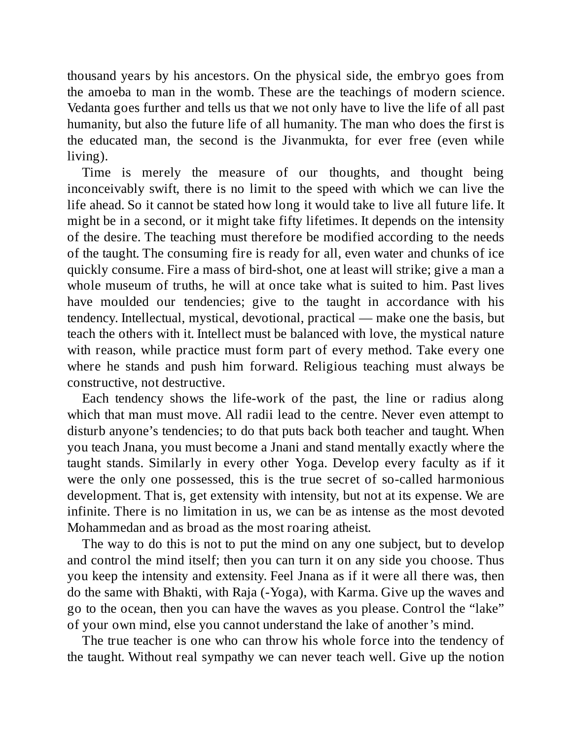thousand years by his ancestors. On the physical side, the embryo goes from the amoeba to man in the womb. These are the teachings of modern science. Vedanta goes further and tells us that we not only have to live the life of all past humanity, but also the future life of all humanity. The man who does the first is the educated man, the second is the Jivanmukta, for ever free (even while living).

Time is merely the measure of our thoughts, and thought being inconceivably swift, there is no limit to the speed with which we can live the life ahead. So it cannot be stated how long it would take to live all future life. It might be in a second, or it might take fifty lifetimes. It depends on the intensity of the desire. The teaching must therefore be modified according to the needs of the taught. The consuming fire is ready for all, even water and chunks of ice quickly consume. Fire a mass of bird-shot, one at least will strike; give a man a whole museum of truths, he will at once take what is suited to him. Past lives have moulded our tendencies; give to the taught in accordance with his tendency. Intellectual, mystical, devotional, practical — make one the basis, but teach the others with it. Intellect must be balanced with love, the mystical nature with reason, while practice must form part of every method. Take every one where he stands and push him forward. Religious teaching must always be constructive, not destructive.

Each tendency shows the life-work of the past, the line or radius along which that man must move. All radii lead to the centre. Never even attempt to disturb anyone's tendencies; to do that puts back both teacher and taught. When you teach Jnana, you must become a Jnani and stand mentally exactly where the taught stands. Similarly in every other Yoga. Develop every faculty as if it were the only one possessed, this is the true secret of so-called harmonious development. That is, get extensity with intensity, but not at its expense. We are infinite. There is no limitation in us, we can be as intense as the most devoted Mohammedan and as broad as the most roaring atheist.

The way to do this is not to put the mind on any one subject, but to develop and control the mind itself; then you can turn it on any side you choose. Thus you keep the intensity and extensity. Feel Jnana as if it were all there was, then do the same with Bhakti, with Raja (-Yoga), with Karma. Give up the waves and go to the ocean, then you can have the waves as you please. Control the "lake" of your own mind, else you cannot understand the lake of another's mind.

The true teacher is one who can throw his whole force into the tendency of the taught. Without real sympathy we can never teach well. Give up the notion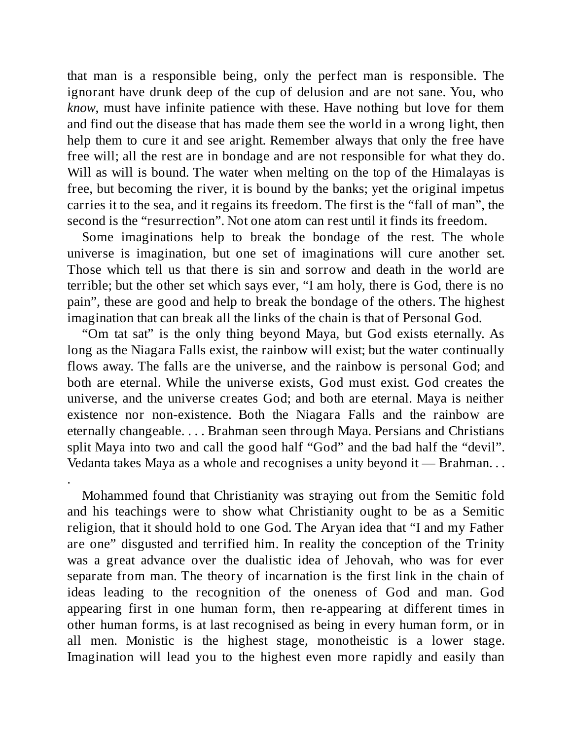that man is a responsible being, only the perfect man is responsible. The ignorant have drunk deep of the cup of delusion and are not sane. You, who *know*, must have infinite patience with these. Have nothing but love for them and find out the disease that has made them see the world in a wrong light, then help them to cure it and see aright. Remember always that only the free have free will; all the rest are in bondage and are not responsible for what they do. Will as will is bound. The water when melting on the top of the Himalayas is free, but becoming the river, it is bound by the banks; yet the original impetus carries it to the sea, and it regains its freedom. The first is the "fall of man", the second is the "resurrection". Not one atom can rest until it finds its freedom.

Some imaginations help to break the bondage of the rest. The whole universe is imagination, but one set of imaginations will cure another set. Those which tell us that there is sin and sorrow and death in the world are terrible; but the other set which says ever, "I am holy, there is God, there is no pain", these are good and help to break the bondage of the others. The highest imagination that can break all the links of the chain is that of Personal God.

"Om tat sat" is the only thing beyond Maya, but God exists eternally. As long as the Niagara Falls exist, the rainbow will exist; but the water continually flows away. The falls are the universe, and the rainbow is personal God; and both are eternal. While the universe exists, God must exist. God creates the universe, and the universe creates God; and both are eternal. Maya is neither existence nor non-existence. Both the Niagara Falls and the rainbow are eternally changeable. . . . Brahman seen through Maya. Persians and Christians split Maya into two and call the good half "God" and the bad half the "devil". Vedanta takes Maya as a whole and recognises a unity beyond it — Brahman. . .

.

Mohammed found that Christianity was straying out from the Semitic fold and his teachings were to show what Christianity ought to be as a Semitic religion, that it should hold to one God. The Aryan idea that "I and my Father are one" disgusted and terrified him. In reality the conception of the Trinity was a great advance over the dualistic idea of Jehovah, who was for ever separate from man. The theory of incarnation is the first link in the chain of ideas leading to the recognition of the oneness of God and man. God appearing first in one human form, then re-appearing at different times in other human forms, is at last recognised as being in every human form, or in all men. Monistic is the highest stage, monotheistic is a lower stage. Imagination will lead you to the highest even more rapidly and easily than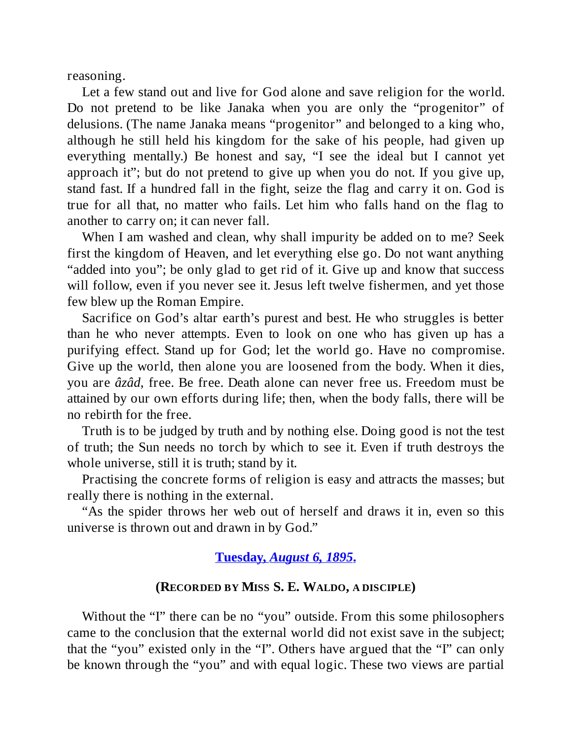reasoning.

Let a few stand out and live for God alone and save religion for the world. Do not pretend to be like Janaka when you are only the "progenitor" of delusions. (The name Janaka means "progenitor" and belonged to a king who, although he still held his kingdom for the sake of his people, had given up everything mentally.) Be honest and say, "I see the ideal but I cannot yet approach it"; but do not pretend to give up when you do not. If you give up, stand fast. If a hundred fall in the fight, seize the flag and carry it on. God is true for all that, no matter who fails. Let him who falls hand on the flag to another to carry on; it can never fall.

When I am washed and clean, why shall impurity be added on to me? Seek first the kingdom of Heaven, and let everything else go. Do not want anything "added into you"; be only glad to get rid of it. Give up and know that success will follow, even if you never see it. Jesus left twelve fishermen, and yet those few blew up the Roman Empire.

Sacrifice on God's altar earth's purest and best. He who struggles is better than he who never attempts. Even to look on one who has given up has a purifying effect. Stand up for God; let the world go. Have no compromise. Give up the world, then alone you are loosened from the body. When it dies, you are *âzâd*, free. Be free. Death alone can never free us. Freedom must be attained by our own efforts during life; then, when the body falls, there will be no rebirth for the free.

Truth is to be judged by truth and by nothing else. Doing good is not the test of truth; the Sun needs no torch by which to see it. Even if truth destroys the whole universe, still it is truth; stand by it.

Practising the concrete forms of religion is easy and attracts the masses; but really there is nothing in the external.

"As the spider throws her web out of herself and draws it in, even so this universe is thrown out and drawn in by God."

## **[Tuesday,](#page-1-1)** *August 6, 1895***.**

## **(RECORDED BY MISS S. E. WALDO, A DISCIPLE)**

Without the "I" there can be no "you" outside. From this some philosophers came to the conclusion that the external world did not exist save in the subject; that the "you" existed only in the "I". Others have argued that the "I" can only be known through the "you" and with equal logic. These two views are partial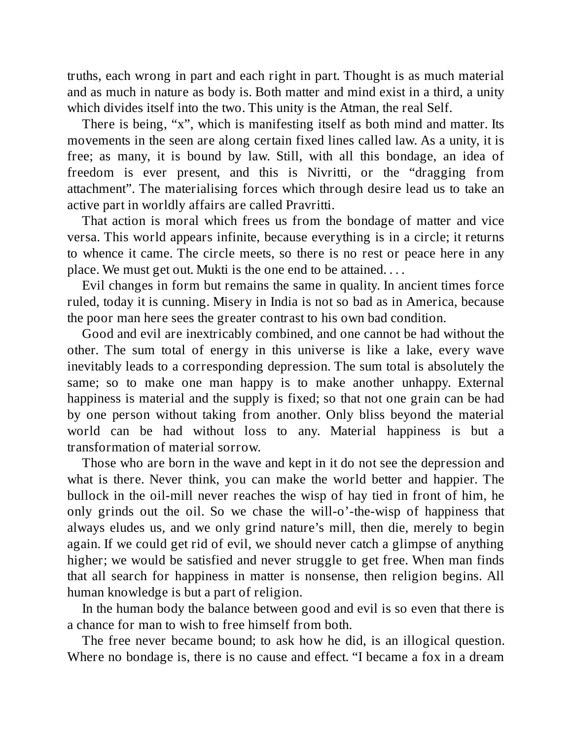truths, each wrong in part and each right in part. Thought is as much material and as much in nature as body is. Both matter and mind exist in a third, a unity which divides itself into the two. This unity is the Atman, the real Self.

There is being, "x", which is manifesting itself as both mind and matter. Its movements in the seen are along certain fixed lines called law. As a unity, it is free; as many, it is bound by law. Still, with all this bondage, an idea of freedom is ever present, and this is Nivritti, or the "dragging from attachment". The materialising forces which through desire lead us to take an active part in worldly affairs are called Pravritti.

That action is moral which frees us from the bondage of matter and vice versa. This world appears infinite, because everything is in a circle; it returns to whence it came. The circle meets, so there is no rest or peace here in any place. We must get out. Mukti is the one end to be attained. . . .

Evil changes in form but remains the same in quality. In ancient times force ruled, today it is cunning. Misery in India is not so bad as in America, because the poor man here sees the greater contrast to his own bad condition.

Good and evil are inextricably combined, and one cannot be had without the other. The sum total of energy in this universe is like a lake, every wave inevitably leads to a corresponding depression. The sum total is absolutely the same; so to make one man happy is to make another unhappy. External happiness is material and the supply is fixed; so that not one grain can be had by one person without taking from another. Only bliss beyond the material world can be had without loss to any. Material happiness is but a transformation of material sorrow.

Those who are born in the wave and kept in it do not see the depression and what is there. Never think, you can make the world better and happier. The bullock in the oil-mill never reaches the wisp of hay tied in front of him, he only grinds out the oil. So we chase the will-o'-the-wisp of happiness that always eludes us, and we only grind nature's mill, then die, merely to begin again. If we could get rid of evil, we should never catch a glimpse of anything higher; we would be satisfied and never struggle to get free. When man finds that all search for happiness in matter is nonsense, then religion begins. All human knowledge is but a part of religion.

In the human body the balance between good and evil is so even that there is a chance for man to wish to free himself from both.

The free never became bound; to ask how he did, is an illogical question. Where no bondage is, there is no cause and effect. "I became a fox in a dream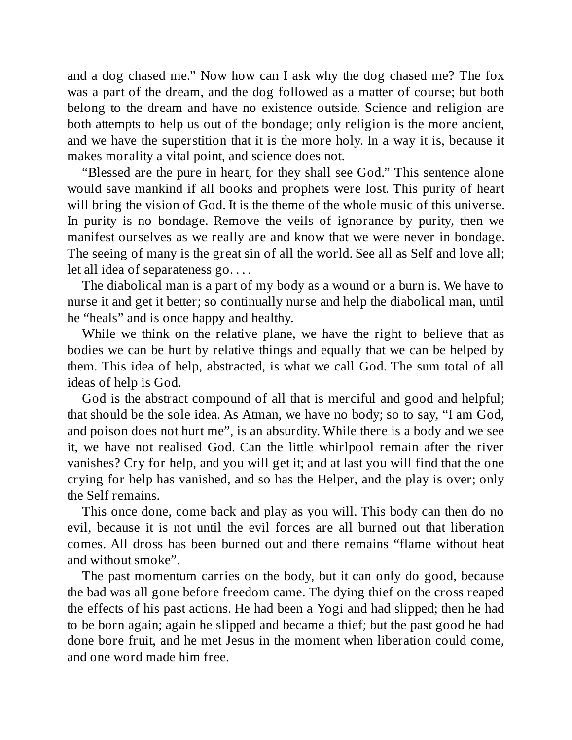and a dog chased me." Now how can I ask why the dog chased me? The fox was a part of the dream, and the dog followed as a matter of course; but both belong to the dream and have no existence outside. Science and religion are both attempts to help us out of the bondage; only religion is the more ancient, and we have the superstition that it is the more holy. In a way it is, because it makes morality a vital point, and science does not.

"Blessed are the pure in heart, for they shall see God." This sentence alone would save mankind if all books and prophets were lost. This purity of heart will bring the vision of God. It is the theme of the whole music of this universe. In purity is no bondage. Remove the veils of ignorance by purity, then we manifest ourselves as we really are and know that we were never in bondage. The seeing of many is the great sin of all the world. See all as Self and love all; let all idea of separateness go. . . .

The diabolical man is a part of my body as a wound or a burn is. We have to nurse it and get it better; so continually nurse and help the diabolical man, until he "heals" and is once happy and healthy.

While we think on the relative plane, we have the right to believe that as bodies we can be hurt by relative things and equally that we can be helped by them. This idea of help, abstracted, is what we call God. The sum total of all ideas of help is God.

God is the abstract compound of all that is merciful and good and helpful; that should be the sole idea. As Atman, we have no body; so to say, "I am God, and poison does not hurt me", is an absurdity. While there is a body and we see it, we have not realised God. Can the little whirlpool remain after the river vanishes? Cry for help, and you will get it; and at last you will find that the one crying for help has vanished, and so has the Helper, and the play is over; only the Self remains.

This once done, come back and play as you will. This body can then do no evil, because it is not until the evil forces are all burned out that liberation comes. All dross has been burned out and there remains "flame without heat and without smoke".

The past momentum carries on the body, but it can only do good, because the bad was all gone before freedom came. The dying thief on the cross reaped the effects of his past actions. He had been a Yogi and had slipped; then he had to be born again; again he slipped and became a thief; but the past good he had done bore fruit, and he met Jesus in the moment when liberation could come, and one word made him free.